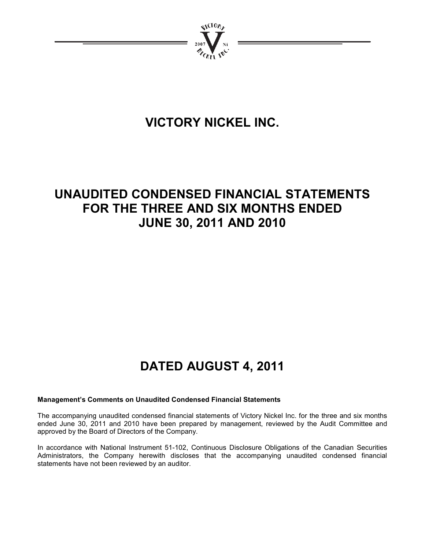

# **VICTORY NICKEL INC.**

# **UNAUDITED CONDENSED FINANCIAL STATEMENTS FOR THE THREE AND SIX MONTHS ENDED JUNE 30, 2011 AND 2010**

# **DATED AUGUST 4, 2011**

### **Management's Comments on Unaudited Condensed Financial Statements**

The accompanying unaudited condensed financial statements of Victory Nickel Inc. for the three and six months ended June 30, 2011 and 2010 have been prepared by management, reviewed by the Audit Committee and approved by the Board of Directors of the Company.

In accordance with National Instrument 51-102, Continuous Disclosure Obligations of the Canadian Securities Administrators, the Company herewith discloses that the accompanying unaudited condensed financial statements have not been reviewed by an auditor.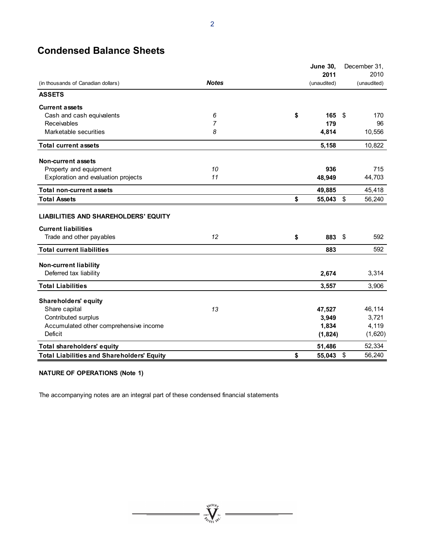# **Condensed Balance Sheets**

|                                                   | <b>June 30,</b><br>2011 |              |             |    |             |  |
|---------------------------------------------------|-------------------------|--------------|-------------|----|-------------|--|
| (in thousands of Canadian dollars)                |                         | <b>Notes</b> |             |    |             |  |
|                                                   |                         |              | (unaudited) |    | (unaudited) |  |
| <b>ASSETS</b>                                     |                         |              |             |    |             |  |
| <b>Current assets</b>                             |                         |              |             |    |             |  |
| Cash and cash equivalents                         | 6                       | \$           | 165         | \$ | 170         |  |
| Receivables                                       | 7                       |              | 179         |    | 96          |  |
| Marketable securities                             | 8                       |              | 4,814       |    | 10,556      |  |
| <b>Total current assets</b>                       |                         |              | 5,158       |    | 10,822      |  |
| <b>Non-current assets</b>                         |                         |              |             |    |             |  |
| Property and equipment                            | 10                      |              | 936         |    | 715         |  |
| Exploration and evaluation projects               | 11                      |              | 48,949      |    | 44,703      |  |
| <b>Total non-current assets</b>                   |                         |              | 49,885      |    | 45,418      |  |
| <b>Total Assets</b>                               |                         | \$           | 55,043 \$   |    | 56,240      |  |
| <b>LIABILITIES AND SHAREHOLDERS' EQUITY</b>       |                         |              |             |    |             |  |
| <b>Current liabilities</b>                        |                         |              |             |    |             |  |
| Trade and other payables                          | 12                      | \$           | 883 \$      |    | 592         |  |
| <b>Total current liabilities</b>                  |                         |              | 883         |    | 592         |  |
| <b>Non-current liability</b>                      |                         |              |             |    |             |  |
| Deferred tax liability                            |                         |              | 2,674       |    | 3,314       |  |
| <b>Total Liabilities</b>                          |                         |              | 3,557       |    | 3,906       |  |
| Shareholders' equity                              |                         |              |             |    |             |  |
| Share capital                                     | 13                      |              | 47,527      |    | 46,114      |  |
| Contributed surplus                               |                         |              | 3,949       |    | 3,721       |  |
| Accumulated other comprehensive income            |                         |              | 1,834       |    | 4,119       |  |
| <b>Deficit</b>                                    |                         |              | (1,824)     |    | (1,620)     |  |
| Total shareholders' equity                        |                         |              | 51,486      |    | 52,334      |  |
| <b>Total Liabilities and Shareholders' Equity</b> |                         | \$           | 55,043 \$   |    | 56,240      |  |

=  $\sum_{i=1}^{N^{(10)}h}$ 

 $\overline{\phantom{0}}$ 

### **NATURE OF OPERATIONS (Note 1)**

The accompanying notes are an integral part of these condensed financial statements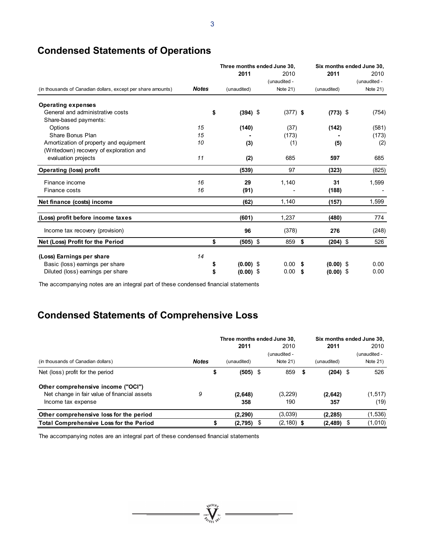|  |  | <b>Condensed Statements of Operations</b> |
|--|--|-------------------------------------------|
|--|--|-------------------------------------------|

|                                                              |              |                   | Three months ended June 30, |                   | Six months ended June 30, |  |  |
|--------------------------------------------------------------|--------------|-------------------|-----------------------------|-------------------|---------------------------|--|--|
|                                                              |              | 2011              | 2010                        | 2011              | 2010                      |  |  |
|                                                              |              |                   | (unaudited -                |                   | (unaudited -              |  |  |
| (in thousands of Canadian dollars, except per share amounts) | <b>Notes</b> | (unaudited)       | Note 21)                    | (unaudited)       | Note 21)                  |  |  |
| <b>Operating expenses</b>                                    |              |                   |                             |                   |                           |  |  |
| General and administrative costs                             |              | \$<br>$(394)$ \$  | $(377)$ \$                  | $(773)$ \$        | (754)                     |  |  |
| Share-based payments:                                        |              |                   |                             |                   |                           |  |  |
| Options                                                      | 15           | (140)             | (37)                        | (142)             | (581)                     |  |  |
| Share Bonus Plan                                             | 15           |                   | (173)                       |                   | (173)                     |  |  |
| Amortization of property and equipment                       | 10           | (3)               | (1)                         | (5)               | (2)                       |  |  |
| (Writedown) recovery of exploration and                      |              |                   |                             |                   |                           |  |  |
| evaluation projects                                          | 11           | (2)               | 685                         | 597               | 685                       |  |  |
| <b>Operating (loss) profit</b>                               |              | (539)             | 97                          | (323)             | (825)                     |  |  |
| Finance income                                               | 16           | 29                | 1,140                       | 31                | 1,599                     |  |  |
| Finance costs                                                | 16           | (91)              |                             | (188)             |                           |  |  |
| Net finance (costs) income                                   |              | (62)              | 1.140                       | (157)             | 1,599                     |  |  |
| (Loss) profit before income taxes                            |              | (601)             | 1,237                       | (480)             | 774                       |  |  |
| Income tax recovery (provision)                              |              | 96                | (378)                       | 276               | (248)                     |  |  |
| Net (Loss) Profit for the Period                             |              | $(505)$ \$<br>S   | 859                         | \$<br>$(204)$ \$  | 526                       |  |  |
| (Loss) Earnings per share                                    | 14           |                   |                             |                   |                           |  |  |
| Basic (loss) earnings per share                              |              | $(0.00)$ \$<br>\$ | 0.00                        | $(0.00)$ \$<br>S. | 0.00                      |  |  |
| Diluted (loss) earnings per share                            |              | $(0.00)$ \$<br>\$ | 0.00                        | $(0.00)$ \$<br>\$ | 0.00                      |  |  |
|                                                              |              |                   |                             |                   |                           |  |  |

The accompanying notes are an integral part of these condensed financial statements

# **Condensed Statements of Comprehensive Loss**

|                                                |              | Three months ended June 30, |  |               |    | Six months ended June 30, |  |              |  |
|------------------------------------------------|--------------|-----------------------------|--|---------------|----|---------------------------|--|--------------|--|
|                                                |              | 2011                        |  | 2010          |    | 2011                      |  | 2010         |  |
|                                                |              |                             |  | (unaudited -  |    |                           |  | (unaudited - |  |
| (in thousands of Canadian dollars)             | <b>Notes</b> | (unaudited)                 |  | Note $21$ )   |    | (unaudited)               |  | Note $21$ )  |  |
| Net (loss) profit for the period               |              | \$<br>$(505)$ \$            |  | 859           | \$ | $(204)$ \$                |  | 526          |  |
| Other comprehensive income ("OCI")             |              |                             |  |               |    |                           |  |              |  |
| Net change in fair value of financial assets   | 9            | (2,648)                     |  | (3,229)       |    | (2,642)                   |  | (1, 517)     |  |
| Income tax expense                             |              | 358                         |  | 190           |    | 357                       |  | (19)         |  |
| Other comprehensive loss for the period        |              | (2, 290)                    |  | (3,039)       |    | (2, 285)                  |  | (1, 536)     |  |
| <b>Total Comprehensive Loss for the Period</b> |              | (2,795)                     |  | $(2, 180)$ \$ |    | (2, 489)                  |  | (1,010)      |  |

=  $\sum_{i=1}^{N^{(10)}h}$   $\sum_{i=1}^{N^{(10)}h}$  =

The accompanying notes are an integral part of these condensed financial statements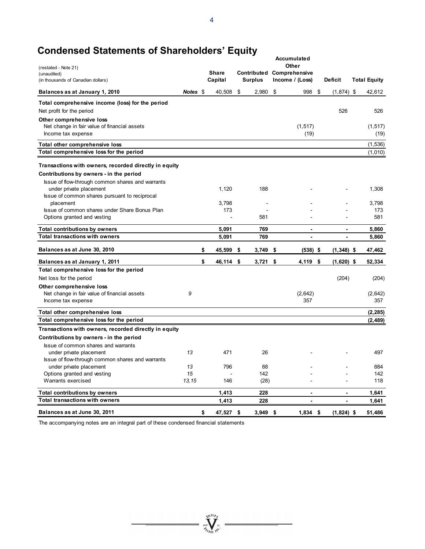# **Condensed Statements of Shareholders' Equity**

| (restated - Note 21)                                                     |          |                   |                               | Accumulated<br>Other             |                               |                               |
|--------------------------------------------------------------------------|----------|-------------------|-------------------------------|----------------------------------|-------------------------------|-------------------------------|
| (unaudited)                                                              |          | <b>Share</b>      |                               | <b>Contributed Comprehensive</b> |                               |                               |
| (in thousands of Canadian dollars)<br>Balances as at January 1, 2010     | Notes \$ | Capital<br>40,508 | \$<br><b>Surplus</b><br>2,980 | \$<br>Income / (Loss)<br>998     | \$<br>Deficit<br>$(1,874)$ \$ | <b>Total Equity</b><br>42,612 |
|                                                                          |          |                   |                               |                                  |                               |                               |
| Total comprehensive income (loss) for the period                         |          |                   |                               |                                  | 526                           | 526                           |
| Net profit for the period                                                |          |                   |                               |                                  |                               |                               |
| Other comprehensive loss<br>Net change in fair value of financial assets |          |                   |                               | (1, 517)                         |                               | (1, 517)                      |
| Income tax expense                                                       |          |                   |                               | (19)                             |                               | (19)                          |
| Total other comprehensive loss                                           |          |                   |                               |                                  |                               | (1,536)                       |
| Total comprehensive loss for the period                                  |          |                   |                               |                                  |                               | (1,010)                       |
| Transactions with owners, recorded directly in equity                    |          |                   |                               |                                  |                               |                               |
| Contributions by owners - in the period                                  |          |                   |                               |                                  |                               |                               |
| Issue of flow-through common shares and warrants                         |          |                   |                               |                                  |                               |                               |
| under private placement                                                  |          | 1,120             | 188                           |                                  |                               | 1,308                         |
| Issue of common shares pursuant to reciprocal                            |          |                   |                               |                                  |                               |                               |
| placement                                                                |          | 3,798             | $\overline{\phantom{a}}$      |                                  |                               | 3.798                         |
| Issue of common shares under Share Bonus Plan                            |          | 173               |                               |                                  |                               | 173                           |
| Options granted and vesting                                              |          |                   | 581                           |                                  |                               | 581                           |
| <b>Total contributions by owners</b>                                     |          | 5,091             | 769                           |                                  | $\overline{a}$                | 5,860                         |
| <b>Total transactions with owners</b>                                    |          | 5,091             | 769                           | $\overline{a}$                   | L.                            | 5,860                         |
| Balances as at June 30, 2010                                             |          | \$<br>45,599      | \$<br>3,749                   | \$<br>$(538)$ \$                 | $(1,348)$ \$                  | 47,462                        |
| Balances as at January 1, 2011                                           |          | \$<br>46,114      | \$<br>3,721                   | \$<br>4,119                      | \$<br>$(1,620)$ \$            | 52,334                        |
| Total comprehensive loss for the period                                  |          |                   |                               |                                  |                               |                               |
| Net loss for the period                                                  |          |                   |                               |                                  | (204)                         | (204)                         |
| Other comprehensive loss                                                 |          |                   |                               |                                  |                               |                               |
| Net change in fair value of financial assets                             | 9        |                   |                               | (2,642)                          |                               | (2,642)                       |
| Income tax expense                                                       |          |                   |                               | 357                              |                               | 357                           |
| Total other comprehensive loss                                           |          |                   |                               |                                  |                               | (2, 285)                      |
| Total comprehensive loss for the period                                  |          |                   |                               |                                  |                               | (2, 489)                      |
| Transactions with owners, recorded directly in equity                    |          |                   |                               |                                  |                               |                               |
| Contributions by owners - in the period                                  |          |                   |                               |                                  |                               |                               |
| Issue of common shares and warrants                                      |          |                   |                               |                                  |                               |                               |
| under private placement                                                  | 13       | 471               | 26                            |                                  |                               | 497                           |
| Issue of flow-through common shares and warrants                         |          |                   |                               |                                  |                               |                               |
| under private placement                                                  | 13       | 796               | 88                            |                                  |                               | 884                           |
| Options granted and vesting                                              | 15       |                   | 142                           |                                  |                               | 142                           |
| Warrants exercised                                                       | 13,15    | 146               | (28)                          |                                  |                               | 118                           |
| <b>Total contributions by owners</b>                                     |          | 1,413             | 228                           | $\overline{a}$                   |                               | 1,641                         |
| <b>Total transactions with owners</b>                                    |          | 1,413             | 228                           | $\blacksquare$                   | $\blacksquare$                | 1,641                         |
| Balances as at June 30, 2011                                             |          | \$<br>47,527 \$   | 3.949                         | \$<br>$1,834$ \$                 | $(1,824)$ \$                  | 51,486                        |

The accompanying notes are an integral part of these condensed financial statements

 $\sum_{\text{sum}\atop{\text{sum}}\text{val}}^{N_{\text{ULO}}}\sum_{\text{sum}\atop{\text{sum}}\text{val}}^{N_{\text{ULO}}}\text{tr}\sum_{\text{sum}\atop{\text{sum}}\text{val}}^{N_{\text{ULO}}}\sum_{\text{sum}\atop{\text{sum}}\text{val}}^{N_{\text{ULO}}}$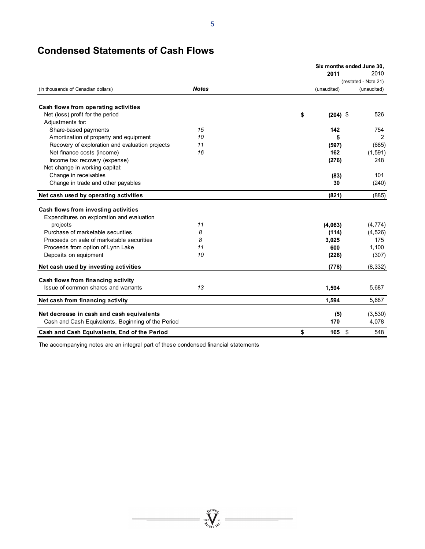# **Condensed Statements of Cash Flows**

|                                                    | Six months ended June 30, |             |            |             |  |  |  |
|----------------------------------------------------|---------------------------|-------------|------------|-------------|--|--|--|
|                                                    |                           | 2011        |            | 2010        |  |  |  |
|                                                    |                           |             |            |             |  |  |  |
| (in thousands of Canadian dollars)                 | <b>Notes</b>              | (unaudited) |            | (unaudited) |  |  |  |
| Cash flows from operating activities               |                           |             |            |             |  |  |  |
| Net (loss) profit for the period                   |                           | \$          | $(204)$ \$ | 526         |  |  |  |
| Adjustments for:                                   |                           |             |            |             |  |  |  |
| Share-based payments                               | 15                        | 142         |            | 754         |  |  |  |
| Amortization of property and equipment             | 10                        |             | 5          | 2           |  |  |  |
| Recovery of exploration and evaluation projects    | 11                        | (597)       |            | (685)       |  |  |  |
| Net finance costs (income)                         | 16                        | 162         |            | (1, 591)    |  |  |  |
| Income tax recovery (expense)                      |                           | (276)       |            | 248         |  |  |  |
| Net change in working capital:                     |                           |             |            |             |  |  |  |
| Change in receivables                              |                           |             | (83)       | 101         |  |  |  |
| Change in trade and other payables                 |                           |             | 30         | (240)       |  |  |  |
| Net cash used by operating activities              |                           | (821)       |            | (885)       |  |  |  |
| Cash flows from investing activities               |                           |             |            |             |  |  |  |
| Expenditures on exploration and evaluation         |                           |             |            |             |  |  |  |
| projects                                           | 11                        | (4,063)     |            | (4, 774)    |  |  |  |
| Purchase of marketable securities                  | 8                         | (114)       |            | (4, 526)    |  |  |  |
| Proceeds on sale of marketable securities          | 8                         | 3,025       |            | 175         |  |  |  |
| Proceeds from option of Lynn Lake                  | 11                        | 600         |            | 1,100       |  |  |  |
| Deposits on equipment                              | 10                        | (226)       |            | (307)       |  |  |  |
| Net cash used by investing activities              |                           | (778)       |            | (8, 332)    |  |  |  |
| Cash flows from financing activity                 |                           |             |            |             |  |  |  |
| Issue of common shares and warrants                | 13                        | 1,594       |            | 5,687       |  |  |  |
| Net cash from financing activity                   |                           | 1,594       |            | 5,687       |  |  |  |
| Net decrease in cash and cash equivalents          |                           |             | (5)        | (3, 530)    |  |  |  |
| Cash and Cash Equivalents, Beginning of the Period |                           | 170         |            | 4,078       |  |  |  |
| Cash and Cash Equivalents, End of the Period       |                           | \$          | $165$ \$   | 548         |  |  |  |

 $\sum_{\substack{\mathbf{2007}\\ \mathbf{207}}} \prod_{\mathbf{N} \in \mathcal{N}^{\mathcal{N}}} \mathbf{N}^{\mathcal{N}}$ 

 $\overline{\phantom{a}}$ 

The accompanying notes are an integral part of these condensed financial statements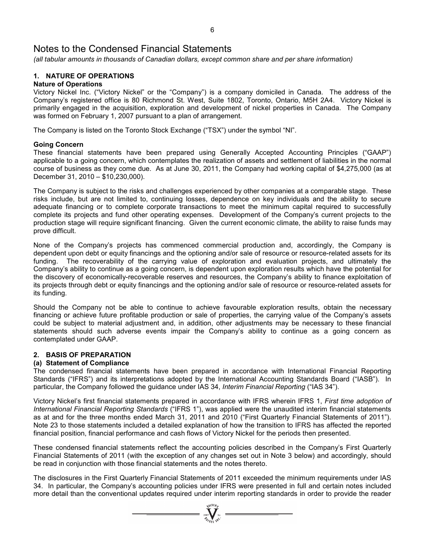*(all tabular amounts in thousands of Canadian dollars, except common share and per share information)* 

### **1. NATURE OF OPERATIONS**

### **Nature of Operations**

Victory Nickel Inc. ("Victory Nickel" or the "Company") is a company domiciled in Canada. The address of the Company's registered office is 80 Richmond St. West, Suite 1802, Toronto, Ontario, M5H 2A4. Victory Nickel is primarily engaged in the acquisition, exploration and development of nickel properties in Canada. The Company was formed on February 1, 2007 pursuant to a plan of arrangement.

The Company is listed on the Toronto Stock Exchange ("TSX") under the symbol "NI".

### **Going Concern**

These financial statements have been prepared using Generally Accepted Accounting Principles ("GAAP") applicable to a going concern, which contemplates the realization of assets and settlement of liabilities in the normal course of business as they come due. As at June 30, 2011, the Company had working capital of \$4,275,000 (as at December 31, 2010 – \$10,230,000).

The Company is subject to the risks and challenges experienced by other companies at a comparable stage. These risks include, but are not limited to, continuing losses, dependence on key individuals and the ability to secure adequate financing or to complete corporate transactions to meet the minimum capital required to successfully complete its projects and fund other operating expenses. Development of the Company's current projects to the production stage will require significant financing. Given the current economic climate, the ability to raise funds may prove difficult.

None of the Company's projects has commenced commercial production and, accordingly, the Company is dependent upon debt or equity financings and the optioning and/or sale of resource or resource-related assets for its funding. The recoverability of the carrying value of exploration and evaluation projects, and ultimately the Company's ability to continue as a going concern, is dependent upon exploration results which have the potential for the discovery of economically-recoverable reserves and resources, the Company's ability to finance exploitation of its projects through debt or equity financings and the optioning and/or sale of resource or resource-related assets for its funding.

Should the Company not be able to continue to achieve favourable exploration results, obtain the necessary financing or achieve future profitable production or sale of properties, the carrying value of the Company's assets could be subject to material adjustment and, in addition, other adjustments may be necessary to these financial statements should such adverse events impair the Company's ability to continue as a going concern as contemplated under GAAP.

### **2. BASIS OF PREPARATION**

### **(a) Statement of Compliance**

The condensed financial statements have been prepared in accordance with International Financial Reporting Standards ("IFRS") and its interpretations adopted by the International Accounting Standards Board ("IASB"). In particular, the Company followed the guidance under IAS 34, *Interim Financial Reporting* ("IAS 34").

Victory Nickel's first financial statements prepared in accordance with IFRS wherein IFRS 1, *First time adoption of International Financial Reporting Standards* ("IFRS 1"), was applied were the unaudited interim financial statements as at and for the three months ended March 31, 2011 and 2010 ("First Quarterly Financial Statements of 2011"). Note 23 to those statements included a detailed explanation of how the transition to IFRS has affected the reported financial position, financial performance and cash flows of Victory Nickel for the periods then presented.

These condensed financial statements reflect the accounting policies described in the Company's First Quarterly Financial Statements of 2011 (with the exception of any changes set out in Note 3 below) and accordingly, should be read in conjunction with those financial statements and the notes thereto.

The disclosures in the First Quarterly Financial Statements of 2011 exceeded the minimum requirements under IAS 34. In particular, the Company's accounting policies under IFRS were presented in full and certain notes included more detail than the conventional updates required under interim reporting standards in order to provide the reader

 $\sum_{2007}$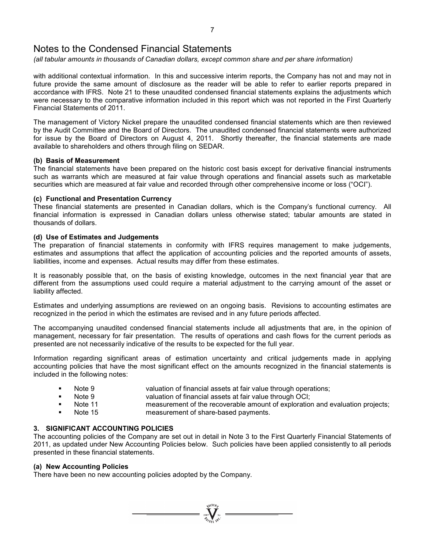*(all tabular amounts in thousands of Canadian dollars, except common share and per share information)* 

with additional contextual information. In this and successive interim reports, the Company has not and may not in future provide the same amount of disclosure as the reader will be able to refer to earlier reports prepared in accordance with IFRS. Note 21 to these unaudited condensed financial statements explains the adjustments which were necessary to the comparative information included in this report which was not reported in the First Quarterly Financial Statements of 2011.

The management of Victory Nickel prepare the unaudited condensed financial statements which are then reviewed by the Audit Committee and the Board of Directors. The unaudited condensed financial statements were authorized for issue by the Board of Directors on August 4, 2011. Shortly thereafter, the financial statements are made available to shareholders and others through filing on SEDAR.

### **(b) Basis of Measurement**

The financial statements have been prepared on the historic cost basis except for derivative financial instruments such as warrants which are measured at fair value through operations and financial assets such as marketable securities which are measured at fair value and recorded through other comprehensive income or loss ("OCI").

### **(c) Functional and Presentation Currency**

These financial statements are presented in Canadian dollars, which is the Company's functional currency. All financial information is expressed in Canadian dollars unless otherwise stated; tabular amounts are stated in thousands of dollars.

### **(d) Use of Estimates and Judgements**

The preparation of financial statements in conformity with IFRS requires management to make judgements, estimates and assumptions that affect the application of accounting policies and the reported amounts of assets, liabilities, income and expenses. Actual results may differ from these estimates.

It is reasonably possible that, on the basis of existing knowledge, outcomes in the next financial year that are different from the assumptions used could require a material adjustment to the carrying amount of the asset or liability affected.

Estimates and underlying assumptions are reviewed on an ongoing basis. Revisions to accounting estimates are recognized in the period in which the estimates are revised and in any future periods affected.

The accompanying unaudited condensed financial statements include all adjustments that are, in the opinion of management, necessary for fair presentation. The results of operations and cash flows for the current periods as presented are not necessarily indicative of the results to be expected for the full year.

Information regarding significant areas of estimation uncertainty and critical judgements made in applying accounting policies that have the most significant effect on the amounts recognized in the financial statements is included in the following notes:

- Note 9 valuation of financial assets at fair value through operations;
	- Note 9 valuation of financial assets at fair value through OCI;
- - Note 11 measurement of the recoverable amount of exploration and evaluation projects;
- Note 15 measurement of share-based payments.

### **3. SIGNIFICANT ACCOUNTING POLICIES**

The accounting policies of the Company are set out in detail in Note 3 to the First Quarterly Financial Statements of 2011, as updated under New Accounting Policies below. Such policies have been applied consistently to all periods presented in these financial statements.

 $\sum_{2007}^{3000} \sum_{\kappa}^{N}$ 

### **(a) New Accounting Policies**

There have been no new accounting policies adopted by the Company.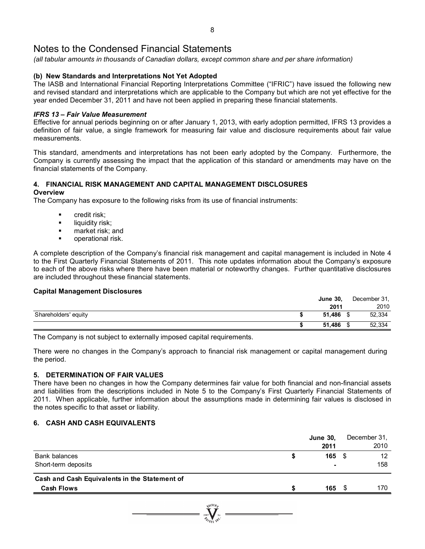*(all tabular amounts in thousands of Canadian dollars, except common share and per share information)* 

### **(b) New Standards and Interpretations Not Yet Adopted**

The IASB and International Financial Reporting Interpretations Committee ("IFRIC") have issued the following new and revised standard and interpretations which are applicable to the Company but which are not yet effective for the year ended December 31, 2011 and have not been applied in preparing these financial statements.

### *IFRS 13 – Fair Value Measurement*

Effective for annual periods beginning on or after January 1, 2013, with early adoption permitted, IFRS 13 provides a definition of fair value, a single framework for measuring fair value and disclosure requirements about fair value measurements.

This standard, amendments and interpretations has not been early adopted by the Company. Furthermore, the Company is currently assessing the impact that the application of this standard or amendments may have on the financial statements of the Company.

### **4. FINANCIAL RISK MANAGEMENT AND CAPITAL MANAGEMENT DISCLOSURES**

### **Overview**

The Company has exposure to the following risks from its use of financial instruments:

- credit risk;
- $\blacksquare$  liquidity risk:
- **n** market risk; and
- **•** operational risk.

A complete description of the Company's financial risk management and capital management is included in Note 4 to the First Quarterly Financial Statements of 2011. This note updates information about the Company's exposure to each of the above risks where there have been material or noteworthy changes. Further quantitative disclosures are included throughout these financial statements.

### **Capital Management Disclosures**

|                      | <b>June 30,</b> | December 31, |
|----------------------|-----------------|--------------|
|                      | 2011            | 2010         |
| Shareholders' equity | 51.486          | 52,334       |
|                      | 51.486          | 52,334       |

The Company is not subject to externally imposed capital requirements.

There were no changes in the Company's approach to financial risk management or capital management during the period.

### **5. DETERMINATION OF FAIR VALUES**

There have been no changes in how the Company determines fair value for both financial and non-financial assets and liabilities from the descriptions included in Note 5 to the Company's First Quarterly Financial Statements of 2011. When applicable, further information about the assumptions made in determining fair values is disclosed in the notes specific to that asset or liability.

### **6. CASH AND CASH EQUIVALENTS**

|                                                                    |   | <b>June 30,</b><br>2011 |      | December 31.<br>2010 |
|--------------------------------------------------------------------|---|-------------------------|------|----------------------|
| Bank balances<br>Short-term deposits                               | S | 165<br>۰                | - \$ | 12<br>158            |
| Cash and Cash Equivalents in the Statement of<br><b>Cash Flows</b> |   | 165                     |      | 170                  |
|                                                                    |   |                         |      |                      |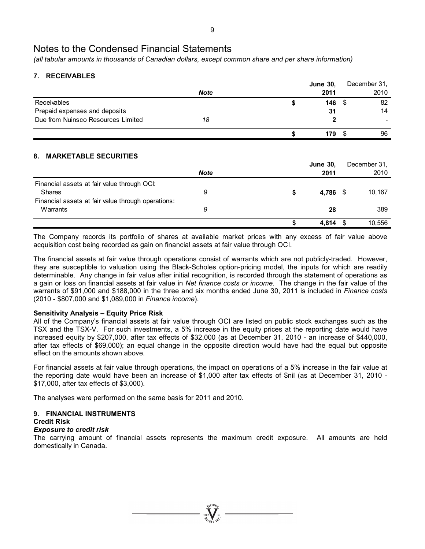*(all tabular amounts in thousands of Canadian dollars, except common share and per share information)* 

### **7. RECEIVABLES**

|                                    |             | <b>June 30,</b> | December 31, |
|------------------------------------|-------------|-----------------|--------------|
|                                    | <b>Note</b> | 2011            | 2010         |
| Receivables                        |             | 146             | 82           |
| Prepaid expenses and deposits      |             | 31              | 14           |
| Due from Nuinsco Resources Limited | 18          |                 |              |
|                                    |             | 179             | 96           |

### **8. MARKETABLE SECURITIES**

|                                                    |             |   | <b>June 30,</b> | December 31. |
|----------------------------------------------------|-------------|---|-----------------|--------------|
|                                                    | <b>Note</b> |   | 2011            | 2010         |
| Financial assets at fair value through OCI:        |             |   |                 |              |
| <b>Shares</b>                                      | 9           | S | 4,786 \$        | 10,167       |
| Financial assets at fair value through operations: |             |   |                 |              |
| Warrants                                           | 9           |   | 28              | 389          |
|                                                    |             |   |                 |              |
|                                                    |             |   | 4.814           | 10,556       |

The Company records its portfolio of shares at available market prices with any excess of fair value above acquisition cost being recorded as gain on financial assets at fair value through OCI.

The financial assets at fair value through operations consist of warrants which are not publicly-traded. However, they are susceptible to valuation using the Black-Scholes option-pricing model, the inputs for which are readily determinable. Any change in fair value after initial recognition, is recorded through the statement of operations as a gain or loss on financial assets at fair value in *Net finance costs or income*. The change in the fair value of the warrants of \$91,000 and \$188,000 in the three and six months ended June 30, 2011 is included in *Finance costs*  (2010 - \$807,000 and \$1,089,000 in *Finance income*).

### **Sensitivity Analysis – Equity Price Risk**

All of the Company's financial assets at fair value through OCI are listed on public stock exchanges such as the TSX and the TSX-V. For such investments, a 5% increase in the equity prices at the reporting date would have increased equity by \$207,000, after tax effects of \$32,000 (as at December 31, 2010 - an increase of \$440,000, after tax effects of \$69,000); an equal change in the opposite direction would have had the equal but opposite effect on the amounts shown above.

For financial assets at fair value through operations, the impact on operations of a 5% increase in the fair value at the reporting date would have been an increase of \$1,000 after tax effects of \$nil (as at December 31, 2010 - \$17,000, after tax effects of \$3,000).

The analyses were performed on the same basis for 2011 and 2010.

### **9. FINANCIAL INSTRUMENTS**

### **Credit Risk**

### *Exposure to credit risk*

The carrying amount of financial assets represents the maximum credit exposure. All amounts are held domestically in Canada.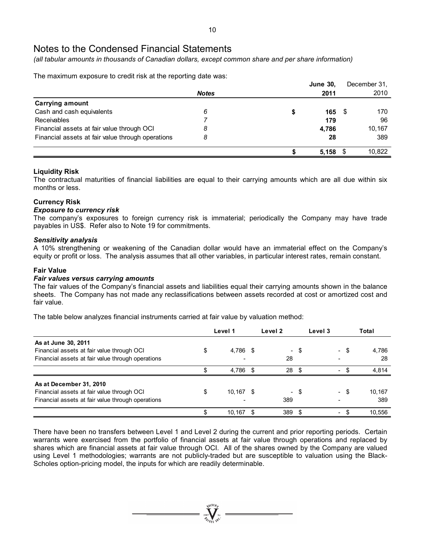*(all tabular amounts in thousands of Canadian dollars, except common share and per share information)* 

The maximum exposure to credit risk at the reporting date was:

|                                                   |              |   | <b>June 30,</b> |      | December 31, |
|---------------------------------------------------|--------------|---|-----------------|------|--------------|
|                                                   | <b>Notes</b> |   | 2011            |      | 2010         |
| Carrying amount                                   |              |   |                 |      |              |
| Cash and cash equivalents                         | 6            | æ | 165             | - \$ | 170          |
| <b>Receivables</b>                                |              |   | 179             |      | 96           |
| Financial assets at fair value through OCI        | 8            |   | 4,786           |      | 10,167       |
| Financial assets at fair value through operations | 8            |   | 28              |      | 389          |
|                                                   |              |   | 5,158           |      | 10,822       |

### **Liquidity Risk**

The contractual maturities of financial liabilities are equal to their carrying amounts which are all due within six months or less.

### **Currency Risk**

### *Exposure to currency risk*

The company's exposures to foreign currency risk is immaterial; periodically the Company may have trade payables in US\$. Refer also to Note 19 for commitments.

### *Sensitivity analysis*

A 10% strengthening or weakening of the Canadian dollar would have an immaterial effect on the Company's equity or profit or loss. The analysis assumes that all other variables, in particular interest rates, remain constant.

### **Fair Value**

### *Fair values versus carrying amounts*

The fair values of the Company's financial assets and liabilities equal their carrying amounts shown in the balance sheets. The Company has not made any reclassifications between assets recorded at cost or amortized cost and fair value.

The table below analyzes financial instruments carried at fair value by valuation method:

|                                                                                                                            |    | Level 1   |      | Level <sub>2</sub> |      | Level 3 |                          |  | Total         |
|----------------------------------------------------------------------------------------------------------------------------|----|-----------|------|--------------------|------|---------|--------------------------|--|---------------|
| As at June 30, 2011<br>Financial assets at fair value through OCI<br>Financial assets at fair value through operations     |    | 4,786 \$  |      | 28                 | - \$ |         | - \$                     |  | 4,786<br>28   |
|                                                                                                                            |    | 4,786 \$  |      | 28                 | . Գ  |         | $\overline{\phantom{0}}$ |  | 4.814         |
| As at December 31, 2010<br>Financial assets at fair value through OCI<br>Financial assets at fair value through operations | \$ | 10,167 \$ |      | 389                | - \$ |         | - \$                     |  | 10,167<br>389 |
|                                                                                                                            |    | 10,167    | - \$ | 389                | - \$ |         | $\sim$                   |  | 10,556        |

There have been no transfers between Level 1 and Level 2 during the current and prior reporting periods. Certain warrants were exercised from the portfolio of financial assets at fair value through operations and replaced by shares which are financial assets at fair value through OCI. All of the shares owned by the Company are valued using Level 1 methodologies; warrants are not publicly-traded but are susceptible to valuation using the Black-Scholes option-pricing model, the inputs for which are readily determinable.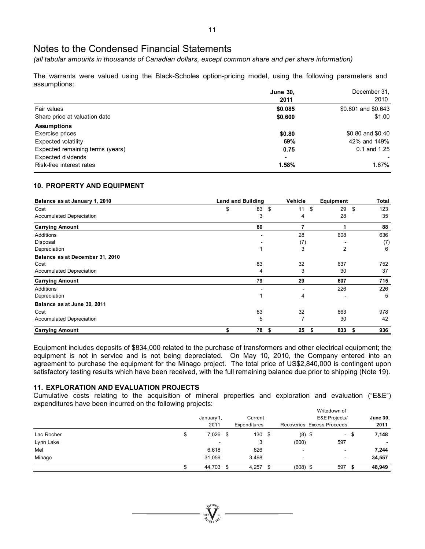*(all tabular amounts in thousands of Canadian dollars, except common share and per share information)* 

The warrants were valued using the Black-Scholes option-pricing model, using the following parameters and assumptions:

|                                  | <b>June 30,</b> | December 31.        |
|----------------------------------|-----------------|---------------------|
|                                  | 2011            | 2010                |
| Fair values                      | \$0.085         | \$0.601 and \$0.643 |
| Share price at valuation date    | \$0.600         | \$1.00              |
| <b>Assumptions</b>               |                 |                     |
| Exercise prices                  | \$0.80          | \$0.80 and \$0.40   |
| Expected volatility              | 69%             | 42% and 149%        |
| Expected remaining terms (years) | 0.75            | $0.1$ and $1.25$    |
| Expected dividends               | $\blacksquare$  |                     |
| Risk-free interest rates         | 1.58%           | 1.67%               |

### **10. PROPERTY AND EQUIPMENT**

| Balance as at January 1, 2010   | <b>Land and Building</b> |    | Vehicle        | Equipment      | Total      |
|---------------------------------|--------------------------|----|----------------|----------------|------------|
| Cost                            | \$                       | 83 | \$<br>11       | 29<br>\$       | \$<br>123  |
| <b>Accumulated Depreciation</b> |                          | 3  | 4              | 28             | 35         |
| <b>Carrying Amount</b>          |                          | 80 | $\overline{7}$ |                | 88         |
| Additions                       |                          |    | 28             | 608            | 636        |
| Disposal                        |                          |    | (7)            |                | (7)        |
| Depreciation                    |                          |    | 3              | $\overline{2}$ | 6          |
| Balance as at December 31, 2010 |                          |    |                |                |            |
| Cost                            |                          | 83 | 32             | 637            | 752        |
| <b>Accumulated Depreciation</b> |                          | 4  | 3              | 30             | 37         |
| <b>Carrying Amount</b>          |                          | 79 | 29             | 607            | 715        |
| Additions                       |                          |    |                | 226            | 226        |
| Depreciation                    |                          |    | 4              |                | 5          |
| Balance as at June 30, 2011     |                          |    |                |                |            |
| Cost                            |                          | 83 | 32             | 863            | 978        |
| <b>Accumulated Depreciation</b> |                          | 5  | 7              | 30             | 42         |
| <b>Carrying Amount</b>          | \$                       | 78 | 25<br>\$       | 833<br>-55     | 936<br>- 5 |

Equipment includes deposits of \$834,000 related to the purchase of transformers and other electrical equipment; the equipment is not in service and is not being depreciated. On May 10, 2010, the Company entered into an agreement to purchase the equipment for the Minago project. The total price of US\$2,840,000 is contingent upon satisfactory testing results which have been received, with the full remaining balance due prior to shipping (Note 19).

### **11. EXPLORATION AND EVALUATION PROJECTS**

Cumulative costs relating to the acquisition of mineral properties and exploration and evaluation ("E&E") expenditures have been incurred on the following projects:  $M$ 

|            |                          |      |              |      |                          |               | vvritegown of              |      |                 |
|------------|--------------------------|------|--------------|------|--------------------------|---------------|----------------------------|------|-----------------|
|            | January 1,               |      | Current      |      |                          | E&E Projects/ |                            |      | <b>June 30,</b> |
|            | 2011                     |      | Expenditures |      |                          |               | Recoveries Excess Proceeds |      | 2011            |
| Lac Rocher | 7,026                    | - \$ | 130          | - 35 | $(8)$ \$                 |               | $\sim$                     | - 10 | 7,148           |
| Lynn Lake  | $\overline{\phantom{a}}$ |      | 3            |      | (600)                    |               | 597                        |      |                 |
| Mel        | 6,618                    |      | 626          |      | $\overline{\phantom{a}}$ |               | $\overline{\phantom{0}}$   |      | 7,244           |
| Minago     | 31,059                   |      | 3,498        |      | ۰                        |               | -                          |      | 34,557          |
|            | 44,703                   | \$   | 4,257        |      | $(608)$ \$               |               | 597                        |      | 48,949          |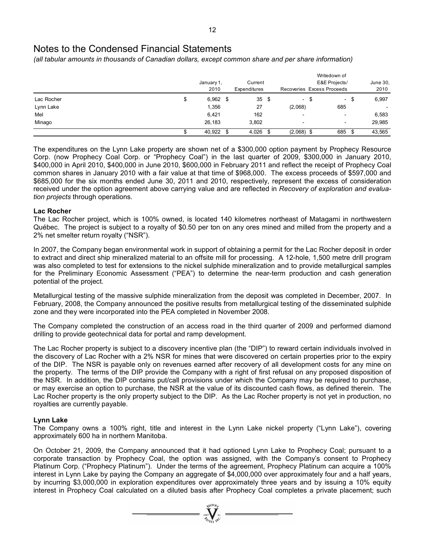*(all tabular amounts in thousands of Canadian dollars, except common share and per share information)* 

|            |    |            |         |              |    |                          | Writedown of               |                |          |
|------------|----|------------|---------|--------------|----|--------------------------|----------------------------|----------------|----------|
|            |    | January 1, | Current |              |    |                          | E&E Projects/              |                | June 30, |
|            |    | 2010       |         | Expenditures |    |                          | Recoveries Excess Proceeds |                | 2010     |
| Lac Rocher | \$ | $6,962$ \$ |         | 35           | \$ | $\sim$                   | - \$                       | - \$<br>$\sim$ | 6,997    |
| Lynn Lake  |    | 1,356      |         | 27           |    | (2,068)                  | 685                        |                |          |
| Mel        |    | 6,421      |         | 162          |    | $\overline{\phantom{a}}$ | $\overline{\phantom{0}}$   |                | 6,583    |
| Minago     |    | 26,183     |         | 3,802        |    | $\overline{\phantom{a}}$ | $\overline{\phantom{0}}$   |                | 29,985   |
|            | ۰D | 40,922 \$  |         | 4,026        | S  | $(2,068)$ \$             | 685                        | - 35           | 43,565   |

The expenditures on the Lynn Lake property are shown net of a \$300,000 option payment by Prophecy Resource Corp. (now Prophecy Coal Corp. or "Prophecy Coal") in the last quarter of 2009, \$300,000 in January 2010, \$400,000 in April 2010, \$400,000 in June 2010, \$600,000 in February 2011 and reflect the receipt of Prophecy Coal common shares in January 2010 with a fair value at that time of \$968,000. The excess proceeds of \$597,000 and \$685,000 for the six months ended June 30, 2011 and 2010, respectively, represent the excess of consideration received under the option agreement above carrying value and are reflected in *Recovery of exploration and evaluation projects* through operations.

### **Lac Rocher**

The Lac Rocher project, which is 100% owned, is located 140 kilometres northeast of Matagami in northwestern Québec. The project is subject to a royalty of \$0.50 per ton on any ores mined and milled from the property and a 2% net smelter return royalty ("NSR").

In 2007, the Company began environmental work in support of obtaining a permit for the Lac Rocher deposit in order to extract and direct ship mineralized material to an offsite mill for processing. A 12-hole, 1,500 metre drill program was also completed to test for extensions to the nickel sulphide mineralization and to provide metallurgical samples for the Preliminary Economic Assessment ("PEA") to determine the near-term production and cash generation potential of the project.

Metallurgical testing of the massive sulphide mineralization from the deposit was completed in December, 2007. In February, 2008, the Company announced the positive results from metallurgical testing of the disseminated sulphide zone and they were incorporated into the PEA completed in November 2008.

The Company completed the construction of an access road in the third quarter of 2009 and performed diamond drilling to provide geotechnical data for portal and ramp development.

The Lac Rocher property is subject to a discovery incentive plan (the "DIP") to reward certain individuals involved in the discovery of Lac Rocher with a 2% NSR for mines that were discovered on certain properties prior to the expiry of the DIP. The NSR is payable only on revenues earned after recovery of all development costs for any mine on the property. The terms of the DIP provide the Company with a right of first refusal on any proposed disposition of the NSR. In addition, the DIP contains put/call provisions under which the Company may be required to purchase, or may exercise an option to purchase, the NSR at the value of its discounted cash flows, as defined therein. The Lac Rocher property is the only property subject to the DIP. As the Lac Rocher property is not yet in production, no royalties are currently payable.

### **Lynn Lake**

The Company owns a 100% right, title and interest in the Lynn Lake nickel property ("Lynn Lake"), covering approximately 600 ha in northern Manitoba.

On October 21, 2009, the Company announced that it had optioned Lynn Lake to Prophecy Coal; pursuant to a corporate transaction by Prophecy Coal, the option was assigned, with the Company's consent to Prophecy Platinum Corp. ("Prophecy Platinum"). Under the terms of the agreement, Prophecy Platinum can acquire a 100% interest in Lynn Lake by paying the Company an aggregate of \$4,000,000 over approximately four and a half years, by incurring \$3,000,000 in exploration expenditures over approximately three years and by issuing a 10% equity interest in Prophecy Coal calculated on a diluted basis after Prophecy Coal completes a private placement; such

 $\sum_{2007}$   $\sum_{n=1007}$   $\sum_{n=100}$   $\sum_{n=100}$   $\sum_{n=100}$   $\sum_{n=100}$   $\sum_{n=100}$   $\sum_{n=100}$   $\sum_{n=100}$   $\sum_{n=100}$   $\sum_{n=100}$   $\sum_{n=100}$   $\sum_{n=100}$   $\sum_{n=100}$   $\sum_{n=100}$   $\sum_{n=1000}$   $\sum_{n=1000}$   $\sum_{n=1000}$   $\$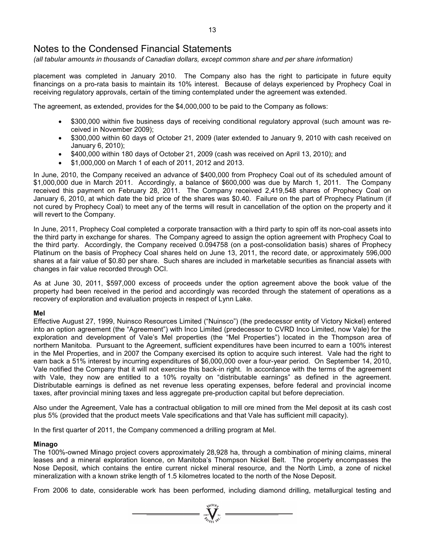*(all tabular amounts in thousands of Canadian dollars, except common share and per share information)* 

placement was completed in January 2010. The Company also has the right to participate in future equity financings on a pro-rata basis to maintain its 10% interest. Because of delays experienced by Prophecy Coal in receiving regulatory approvals, certain of the timing contemplated under the agreement was extended.

The agreement, as extended, provides for the \$4,000,000 to be paid to the Company as follows:

- \$300,000 within five business days of receiving conditional regulatory approval (such amount was received in November 2009);
- \$300,000 within 60 days of October 21, 2009 (later extended to January 9, 2010 with cash received on January 6, 2010);
- \$400,000 within 180 days of October 21, 2009 (cash was received on April 13, 2010); and
- \$1,000,000 on March 1 of each of 2011, 2012 and 2013.

In June, 2010, the Company received an advance of \$400,000 from Prophecy Coal out of its scheduled amount of \$1,000,000 due in March 2011. Accordingly, a balance of \$600,000 was due by March 1, 2011. The Company received this payment on February 28, 2011. The Company received 2,419,548 shares of Prophecy Coal on January 6, 2010, at which date the bid price of the shares was \$0.40. Failure on the part of Prophecy Platinum (if not cured by Prophecy Coal) to meet any of the terms will result in cancellation of the option on the property and it will revert to the Company.

In June, 2011, Prophecy Coal completed a corporate transaction with a third party to spin off its non-coal assets into the third party in exchange for shares. The Company agreed to assign the option agreement with Prophecy Coal to the third party. Accordingly, the Company received 0.094758 (on a post-consolidation basis) shares of Prophecy Platinum on the basis of Prophecy Coal shares held on June 13, 2011, the record date, or approximately 596,000 shares at a fair value of \$0.80 per share. Such shares are included in marketable securities as financial assets with changes in fair value recorded through OCI.

As at June 30, 2011, \$597,000 excess of proceeds under the option agreement above the book value of the property had been received in the period and accordingly was recorded through the statement of operations as a recovery of exploration and evaluation projects in respect of Lynn Lake.

### **Mel**

Effective August 27, 1999, Nuinsco Resources Limited ("Nuinsco") (the predecessor entity of Victory Nickel) entered into an option agreement (the "Agreement") with Inco Limited (predecessor to CVRD Inco Limited, now Vale) for the exploration and development of Vale's Mel properties (the "Mel Properties") located in the Thompson area of northern Manitoba. Pursuant to the Agreement, sufficient expenditures have been incurred to earn a 100% interest in the Mel Properties, and in 2007 the Company exercised its option to acquire such interest. Vale had the right to earn back a 51% interest by incurring expenditures of \$6,000,000 over a four-year period. On September 14, 2010, Vale notified the Company that it will not exercise this back-in right. In accordance with the terms of the agreement with Vale, they now are entitled to a 10% royalty on "distributable earnings" as defined in the agreement. Distributable earnings is defined as net revenue less operating expenses, before federal and provincial income taxes, after provincial mining taxes and less aggregate pre-production capital but before depreciation.

Also under the Agreement, Vale has a contractual obligation to mill ore mined from the Mel deposit at its cash cost plus 5% (provided that the product meets Vale specifications and that Vale has sufficient mill capacity).

In the first quarter of 2011, the Company commenced a drilling program at Mel.

### **Minago**

The 100%-owned Minago project covers approximately 28,928 ha, through a combination of mining claims, mineral leases and a mineral exploration licence, on Manitoba's Thompson Nickel Belt. The property encompasses the Nose Deposit, which contains the entire current nickel mineral resource, and the North Limb, a zone of nickel mineralization with a known strike length of 1.5 kilometres located to the north of the Nose Deposit.

From 2006 to date, considerable work has been performed, including diamond drilling, metallurgical testing and

 $= \sum_{i=0}^{\sqrt{100}h}$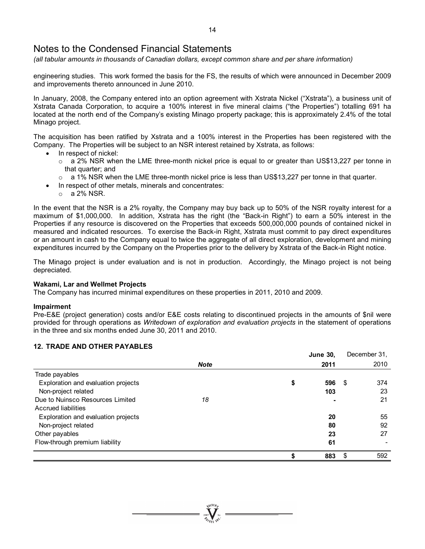*(all tabular amounts in thousands of Canadian dollars, except common share and per share information)* 

engineering studies. This work formed the basis for the FS, the results of which were announced in December 2009 and improvements thereto announced in June 2010.

In January, 2008, the Company entered into an option agreement with Xstrata Nickel ("Xstrata"), a business unit of Xstrata Canada Corporation, to acquire a 100% interest in five mineral claims ("the Properties") totalling 691 ha located at the north end of the Company's existing Minago property package; this is approximately 2.4% of the total Minago project.

The acquisition has been ratified by Xstrata and a 100% interest in the Properties has been registered with the Company. The Properties will be subject to an NSR interest retained by Xstrata, as follows:

- In respect of nickel:
	- $\circ$  a 2% NSR when the LME three-month nickel price is equal to or greater than US\$13,227 per tonne in that quarter; and
	- $\circ$  a 1% NSR when the LME three-month nickel price is less than US\$13,227 per tonne in that quarter.
	- In respect of other metals, minerals and concentrates:
		- $\circ$  a 2% NSR.

In the event that the NSR is a 2% royalty, the Company may buy back up to 50% of the NSR royalty interest for a maximum of \$1,000,000. In addition, Xstrata has the right (the "Back-in Right") to earn a 50% interest in the Properties if any resource is discovered on the Properties that exceeds 500,000,000 pounds of contained nickel in measured and indicated resources. To exercise the Back-in Right, Xstrata must commit to pay direct expenditures or an amount in cash to the Company equal to twice the aggregate of all direct exploration, development and mining expenditures incurred by the Company on the Properties prior to the delivery by Xstrata of the Back-in Right notice.

The Minago project is under evaluation and is not in production. Accordingly, the Minago project is not being depreciated.

### **Wakami, Lar and Wellmet Projects**

The Company has incurred minimal expenditures on these properties in 2011, 2010 and 2009.

#### **Impairment**

Pre-E&E (project generation) costs and/or E&E costs relating to discontinued projects in the amounts of \$nil were provided for through operations as *Writedown of exploration and evaluation projects* in the statement of operations in the three and six months ended June 30, 2011 and 2010.

### **12. TRADE AND OTHER PAYABLES**

|                                     |             | <b>June 30,</b> |      | December 31, |
|-------------------------------------|-------------|-----------------|------|--------------|
|                                     | <b>Note</b> | 2011            |      | 2010         |
| Trade payables                      |             |                 |      |              |
| Exploration and evaluation projects |             | \$<br>596       | - \$ | 374          |
| Non-project related                 |             | 103             |      | 23           |
| Due to Nuinsco Resources Limited    | 18          |                 |      | 21           |
| Accrued liabilities                 |             |                 |      |              |
| Exploration and evaluation projects |             | 20              |      | 55           |
| Non-project related                 |             | 80              |      | 92           |
| Other payables                      |             | 23              |      | 27           |
| Flow-through premium liability      |             | 61              |      |              |
|                                     |             | \$<br>883       | \$   | 592          |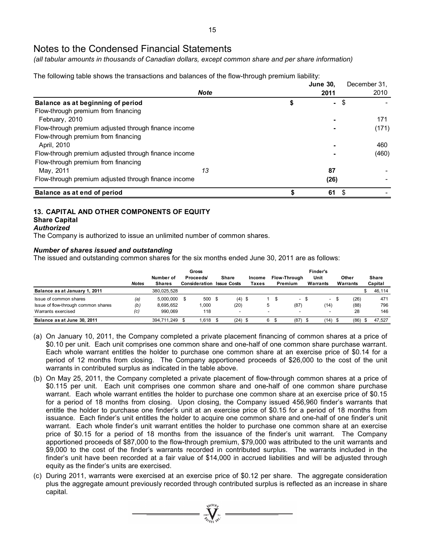*(all tabular amounts in thousands of Canadian dollars, except common share and per share information)* 

The following table shows the transactions and balances of the flow-through premium liability:

|                                                      |             | <b>June 30,</b> | December 31. |
|------------------------------------------------------|-------------|-----------------|--------------|
|                                                      | <b>Note</b> | 2011            | 2010         |
| Balance as at beginning of period                    |             | \$<br>$\sim$    | \$           |
| Flow-through premium from financing                  |             |                 |              |
| February, 2010                                       |             |                 | 171          |
| Flow-through premium adjusted through finance income |             |                 | (171)        |
| Flow-through premium from financing                  |             |                 |              |
| April, 2010                                          |             |                 | 460          |
| Flow-through premium adjusted through finance income |             |                 | (460)        |
| Flow-through premium from financing                  |             |                 |              |
| May, 2011                                            | 13          | 87              |              |
| Flow-through premium adjusted through finance income |             | (26)            |              |
| Balance as at end of period                          |             | 61              | \$           |

### **13. CAPITAL AND OTHER COMPONENTS OF EQUITY**

### **Share Capital**

*Authorized* 

The Company is authorized to issue an unlimited number of common shares.

### *Number of shares issued and outstanding*

The issued and outstanding common shares for the six months ended June 30, 2011 are as follows:

|                                     | <b>Notes</b> | Number of<br><b>Shares</b> | Gross<br>Proceeds/<br><b>Consideration Issue Costs</b> |      | <b>Share</b> | Income<br>Taxes | Flow-Through<br>Premium | Finder's<br>Unit<br>Warrants | Other<br>Warrants |     | Share<br>Capital |
|-------------------------------------|--------------|----------------------------|--------------------------------------------------------|------|--------------|-----------------|-------------------------|------------------------------|-------------------|-----|------------------|
| Balance as at January 1, 2011       |              | 380.025.528                |                                                        |      |              |                 |                         |                              |                   |     | 46,114           |
| Issue of common shares              | (a)          | 5.000.000                  | 500                                                    | - \$ | $(4)$ \$     |                 | $\sim$                  | $\overline{\phantom{a}}$     | (26)              |     | 471              |
| Issue of flow-through common shares | (b)          | 8.695.652                  | 1.000                                                  |      | (20)         |                 | (87)                    | (14)                         | (88)              |     | 796              |
| Warrants exercised                  | (c)          | 990.069                    | 118                                                    |      |              |                 |                         |                              | 28                |     | 146              |
| Balance as at June 30, 2011         |              | 394.711.249                | 1.618                                                  |      | $(24)$ \$    | 6               | (87)                    | $(14)$ \$                    | (86)              | -96 | 47.527           |

- (a) On January 10, 2011, the Company completed a private placement financing of common shares at a price of \$0.10 per unit. Each unit comprises one common share and one-half of one common share purchase warrant. Each whole warrant entitles the holder to purchase one common share at an exercise price of \$0.14 for a period of 12 months from closing. The Company apportioned proceeds of \$26,000 to the cost of the unit warrants in contributed surplus as indicated in the table above.
- (b) On May 25, 2011, the Company completed a private placement of flow-through common shares at a price of \$0.115 per unit. Each unit comprises one common share and one-half of one common share purchase warrant. Each whole warrant entitles the holder to purchase one common share at an exercise price of \$0.15 for a period of 18 months from closing. Upon closing, the Company issued 456,960 finder's warrants that entitle the holder to purchase one finder's unit at an exercise price of \$0.15 for a period of 18 months from issuance. Each finder's unit entitles the holder to acquire one common share and one-half of one finder's unit warrant. Each whole finder's unit warrant entitles the holder to purchase one common share at an exercise price of \$0.15 for a period of 18 months from the issuance of the finder's unit warrant. The Company apportioned proceeds of \$87,000 to the flow-through premium, \$79,000 was attributed to the unit warrants and \$9,000 to the cost of the finder's warrants recorded in contributed surplus. The warrants included in the finder's unit have been recorded at a fair value of \$14,000 in accrued liabilities and will be adjusted through equity as the finder's units are exercised.
- (c) During 2011, warrants were exercised at an exercise price of \$0.12 per share. The aggregate consideration plus the aggregate amount previously recorded through contributed surplus is reflected as an increase in share capital.

 $\sum_{2007}^{8100}$  N<sub>Ni</sub> =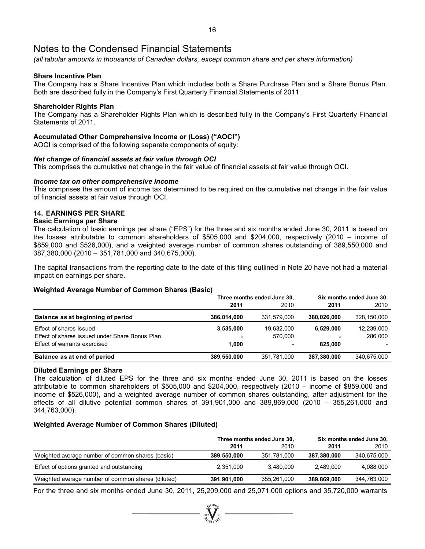*(all tabular amounts in thousands of Canadian dollars, except common share and per share information)* 

### **Share Incentive Plan**

The Company has a Share Incentive Plan which includes both a Share Purchase Plan and a Share Bonus Plan. Both are described fully in the Company's First Quarterly Financial Statements of 2011.

### **Shareholder Rights Plan**

The Company has a Shareholder Rights Plan which is described fully in the Company's First Quarterly Financial Statements of 2011.

### **Accumulated Other Comprehensive Income or (Loss) ("AOCI")**

AOCI is comprised of the following separate components of equity:

### *Net change of financial assets at fair value through OCI*

This comprises the cumulative net change in the fair value of financial assets at fair value through OCI.

### *Income tax on other comprehensive income*

This comprises the amount of income tax determined to be required on the cumulative net change in the fair value of financial assets at fair value through OCI.

### **14. EARNINGS PER SHARE**

### **Basic Earnings per Share**

The calculation of basic earnings per share ("EPS") for the three and six months ended June 30, 2011 is based on the losses attributable to common shareholders of \$505,000 and \$204,000, respectively (2010 – income of \$859,000 and \$526,000), and a weighted average number of common shares outstanding of 389,550,000 and 387,380,000 (2010 – 351,781,000 and 340,675,000).

The capital transactions from the reporting date to the date of this filing outlined in Note 20 have not had a material impact on earnings per share.

### **Weighted Average Number of Common Shares (Basic)**

|                                                                                                           |                    | Three months ended June 30,                       | Six months ended June 30, |                       |  |  |
|-----------------------------------------------------------------------------------------------------------|--------------------|---------------------------------------------------|---------------------------|-----------------------|--|--|
|                                                                                                           | 2011               | 2010                                              | 2011                      | 2010                  |  |  |
| Balance as at beginning of period                                                                         | 386,014,000        | 331.579.000                                       | 380.026.000               | 328,150,000           |  |  |
| Effect of shares issued<br>Effect of shares issued under Share Bonus Plan<br>Effect of warrants exercised | 3,535,000<br>1.000 | 19,632,000<br>570.000<br>$\overline{\phantom{a}}$ | 6.529.000<br>825.000      | 12,239,000<br>286,000 |  |  |
| Balance as at end of period                                                                               | 389,550,000        | 351,781,000                                       | 387,380,000               | 340,675,000           |  |  |

### **Diluted Earnings per Share**

The calculation of diluted EPS for the three and six months ended June 30, 2011 is based on the losses attributable to common shareholders of \$505,000 and \$204,000, respectively (2010 – income of \$859,000 and income of \$526,000), and a weighted average number of common shares outstanding, after adjustment for the effects of all dilutive potential common shares of 391,901,000 and 389,869,000 (2010 – 355,261,000 and 344,763,000).

### **Weighted Average Number of Common Shares (Diluted)**

|                                                    |             | Three months ended June 30, |             | Six months ended June 30, |
|----------------------------------------------------|-------------|-----------------------------|-------------|---------------------------|
|                                                    | 2011        | 2010                        | 2011        | 2010                      |
| Weighted average number of common shares (basic)   | 389,550,000 | 351.781.000                 | 387.380.000 | 340,675,000               |
| Effect of options granted and outstanding          | 2,351,000   | 3.480.000                   | 2.489.000   | 4.088.000                 |
| Weighted average number of common shares (diluted) | 391,901,000 | 355.261.000                 | 389,869,000 | 344,763,000               |

For the three and six months ended June 30, 2011, 25,209,000 and 25,071,000 options and 35,720,000 warrants

 $\sum_{2007}$   $\sum_{n=1}^{N(10)}$   $\sum_{n=1}^{N(10)}$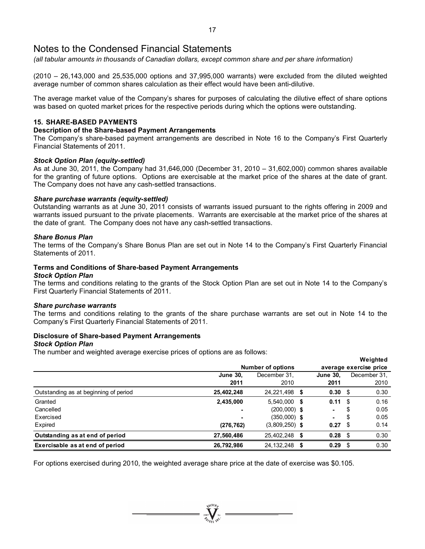*(all tabular amounts in thousands of Canadian dollars, except common share and per share information)* 

(2010 – 26,143,000 and 25,535,000 options and 37,995,000 warrants) were excluded from the diluted weighted average number of common shares calculation as their effect would have been anti-dilutive.

The average market value of the Company's shares for purposes of calculating the dilutive effect of share options was based on quoted market prices for the respective periods during which the options were outstanding.

### **15. SHARE-BASED PAYMENTS**

### **Description of the Share-based Payment Arrangements**

The Company's share-based payment arrangements are described in Note 16 to the Company's First Quarterly Financial Statements of 2011.

### *Stock Option Plan (equity-settled)*

As at June 30, 2011, the Company had 31,646,000 (December 31, 2010 – 31,602,000) common shares available for the granting of future options. Options are exercisable at the market price of the shares at the date of grant. The Company does not have any cash-settled transactions.

### *Share purchase warrants (equity-settled)*

Outstanding warrants as at June 30, 2011 consists of warrants issued pursuant to the rights offering in 2009 and warrants issued pursuant to the private placements. Warrants are exercisable at the market price of the shares at the date of grant. The Company does not have any cash-settled transactions.

### *Share Bonus Plan*

The terms of the Company's Share Bonus Plan are set out in Note 14 to the Company's First Quarterly Financial Statements of 2011.

### **Terms and Conditions of Share-based Payment Arrangements**

#### *Stock Option Plan*

The terms and conditions relating to the grants of the Stock Option Plan are set out in Note 14 to the Company's First Quarterly Financial Statements of 2011.

### *Share purchase warrants*

The terms and conditions relating to the grants of the share purchase warrants are set out in Note 14 to the Company's First Quarterly Financial Statements of 2011.

#### **Disclosure of Share-based Payment Arrangements**  *Stock Option Plan*

### The number and weighted average exercise prices of options are as follows:

|                                       |                 |                          |    |                        |      | Weighted     |  |  |
|---------------------------------------|-----------------|--------------------------|----|------------------------|------|--------------|--|--|
|                                       |                 | <b>Number of options</b> |    | average exercise price |      |              |  |  |
|                                       | <b>June 30,</b> | December 31.             |    | <b>June 30,</b>        |      | December 31. |  |  |
|                                       | 2011            | 2010                     |    | 2011                   |      | 2010         |  |  |
| Outstanding as at beginning of period | 25,402,248      | 24,221,498 \$            |    | $0.30 \, \hat{s}$      |      | 0.30         |  |  |
| Granted                               | 2,435,000       | 5.540.000 \$             |    | 0.11                   | - \$ | 0.16         |  |  |
| Cancelled                             |                 | $(200,000)$ \$           |    | ۰.                     | \$   | 0.05         |  |  |
| Exercised                             |                 | $(350,000)$ \$           |    | ۰.                     | \$   | 0.05         |  |  |
| Expired                               | (276, 762)      | $(3,809,250)$ \$         |    | 0.27                   | - \$ | 0.14         |  |  |
| Outstanding as at end of period       | 27,560,486      | 25,402,248               | S  | $0.28$ \$              |      | 0.30         |  |  |
| Exercisable as at end of period       | 26,792,986      | 24.132.248               | \$ | 0.29                   | - \$ | 0.30         |  |  |

For options exercised during 2010, the weighted average share price at the date of exercise was \$0.105.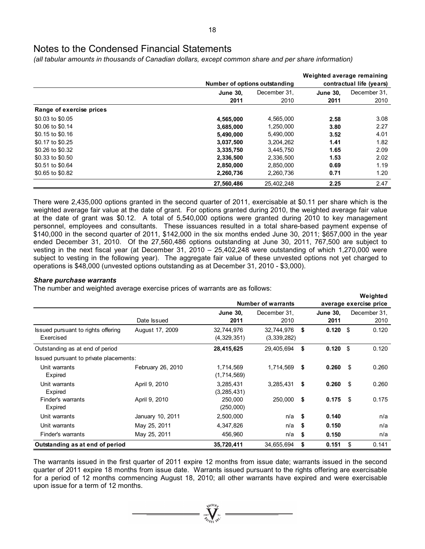*(all tabular amounts in thousands of Canadian dollars, except common share and per share information)* 

|                          |                 |                               | Weighted average remaining |                          |  |  |
|--------------------------|-----------------|-------------------------------|----------------------------|--------------------------|--|--|
|                          |                 | Number of options outstanding |                            | contractual life (years) |  |  |
|                          | <b>June 30.</b> | December 31.                  | <b>June 30.</b>            | December 31.             |  |  |
|                          | 2011            | 2010                          | 2011                       | 2010                     |  |  |
| Range of exercise prices |                 |                               |                            |                          |  |  |
| \$0.03 to \$0.05         | 4,565,000       | 4,565,000                     | 2.58                       | 3.08                     |  |  |
| \$0.06 to \$0.14         | 3,685,000       | 1,250,000                     | 3.80                       | 2.27                     |  |  |
| \$0.15 to \$0.16         | 5,490,000       | 5,490,000                     | 3.52                       | 4.01                     |  |  |
| \$0.17 to \$0.25         | 3,037,500       | 3,204,262                     | 1.41                       | 1.82                     |  |  |
| \$0.26 to \$0.32         | 3,335,750       | 3.445.750                     | 1.65                       | 2.09                     |  |  |
| \$0.33 to \$0.50         | 2,336,500       | 2,336,500                     | 1.53                       | 2.02                     |  |  |
| \$0.51 to \$0.64         | 2,850,000       | 2,850,000                     | 0.69                       | 1.19                     |  |  |
| \$0.65 to \$0.82         | 2,260,736       | 2,260,736                     | 0.71                       | 1.20                     |  |  |
|                          | 27,560,486      | 25,402,248                    | 2.25                       | 2.47                     |  |  |

There were 2,435,000 options granted in the second quarter of 2011, exercisable at \$0.11 per share which is the weighted average fair value at the date of grant. For options granted during 2010, the weighted average fair value at the date of grant was \$0.12. A total of 5,540,000 options were granted during 2010 to key management personnel, employees and consultants. These issuances resulted in a total share-based payment expense of \$140,000 in the second quarter of 2011, \$142,000 in the six months ended June 30, 2011; \$657,000 in the year ended December 31, 2010. Of the 27,560,486 options outstanding at June 30, 2011, 767,500 are subject to vesting in the next fiscal year (at December 31, 2010 – 25,402,248 were outstanding of which 1,270,000 were subject to vesting in the following year). The aggregate fair value of these unvested options not yet charged to operations is \$48,000 (unvested options outstanding as at December 31, 2010 - \$3,000).

### *Share purchase warrants*

The number and weighted average exercise prices of warrants are as follows:

|                                        |                   |                 |                           |      |                        |     | Weighted     |
|----------------------------------------|-------------------|-----------------|---------------------------|------|------------------------|-----|--------------|
|                                        |                   |                 | <b>Number of warrants</b> |      | average exercise price |     |              |
|                                        |                   | <b>June 30.</b> | December 31,              |      | <b>June 30.</b>        |     | December 31. |
|                                        | Date Issued       | 2011            | 2010                      |      | 2011                   |     | 2010         |
| Issued pursuant to rights offering     | August 17, 2009   | 32,744,976      | 32,744,976                | \$   | $0.120$ \$             |     | 0.120        |
| Exercised                              |                   | (4,329,351)     | (3, 339, 282)             |      |                        |     |              |
| Outstanding as at end of period        |                   | 28,415,625      | 29,405,694                | \$   | 0.120                  | \$  | 0.120        |
| Issued pursuant to private placements: |                   |                 |                           |      |                        |     |              |
| Unit warrants                          | February 26, 2010 | 1,714,569       | 1,714,569                 | \$   | 0.260                  | -\$ | 0.260        |
| Expired                                |                   | (1,714,569)     |                           |      |                        |     |              |
| Unit warrants                          | April 9, 2010     | 3,285,431       | 3,285,431                 | \$   | 0.260                  | -\$ | 0.260        |
| Expired                                |                   | (3, 285, 431)   |                           |      |                        |     |              |
| Finder's warrants                      | April 9, 2010     | 250,000         | 250,000                   | \$   | $0.175$ \$             |     | 0.175        |
| Expired                                |                   | (250,000)       |                           |      |                        |     |              |
| Unit warrants                          | January 10, 2011  | 2,500,000       | $n/a$ \$                  |      | 0.140                  |     | n/a          |
| Unit warrants                          | May 25, 2011      | 4,347,826       | n/a                       | - \$ | 0.150                  |     | n/a          |
| Finder's warrants                      | May 25, 2011      | 456,960         | n/a                       | \$   | 0.150                  |     | n/a          |
| Outstanding as at end of period        |                   | 35,720,411      | 34,655,694                | \$   | 0.151                  | S.  | 0.141        |

The warrants issued in the first quarter of 2011 expire 12 months from issue date; warrants issued in the second quarter of 2011 expire 18 months from issue date. Warrants issued pursuant to the rights offering are exercisable for a period of 12 months commencing August 18, 2010; all other warrants have expired and were exercisable upon issue for a term of 12 months.

 $\sum_{2007}^{3000}$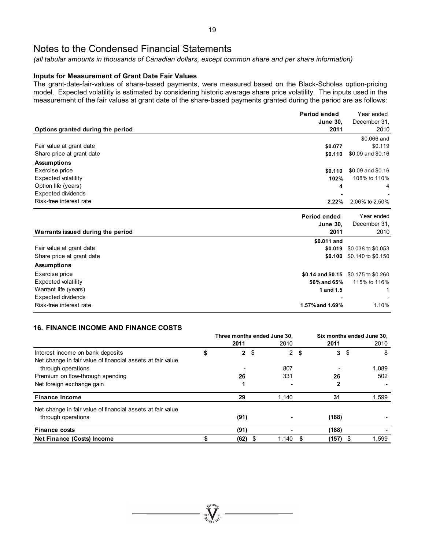*(all tabular amounts in thousands of Canadian dollars, except common share and per share information)* 

### **Inputs for Measurement of Grant Date Fair Values**

The grant-date-fair-values of share-based payments, were measured based on the Black-Scholes option-pricing model. Expected volatility is estimated by considering historic average share price volatility. The inputs used in the measurement of the fair values at grant date of the share-based payments granted during the period are as follows:

|                                   | Period ended      | Year ended         |
|-----------------------------------|-------------------|--------------------|
|                                   | <b>June 30,</b>   | December 31,       |
| Options granted during the period | 2011              | 2010               |
|                                   |                   | \$0.066 and        |
| Fair value at grant date          | \$0.077           | \$0.119            |
| Share price at grant date         | \$0.110           | \$0.09 and \$0.16  |
| <b>Assumptions</b>                |                   |                    |
| Exercise price                    | \$0.110           | \$0.09 and \$0.16  |
| Expected volatility               | 102%              | 108% to 110%       |
| Option life (years)               | 4                 | 4                  |
| <b>Expected dividends</b>         |                   |                    |
| Risk-free interest rate           | 2.22%             | 2.06% to 2.50%     |
|                                   | Period ended      | Year ended         |
|                                   | <b>June 30,</b>   | December 31,       |
| Warrants issued during the period | 2011              | 2010               |
|                                   | \$0.011 and       |                    |
| Fair value at grant date          | \$0.019           | \$0.038 to \$0.053 |
| Share price at grant date         | \$0.100           | \$0.140 to \$0.150 |
| <b>Assumptions</b>                |                   |                    |
| Exercise price                    | \$0.14 and \$0.15 | \$0.175 to \$0.260 |
| Expected volatility               | 56% and 65%       | 115% to 116%       |
| Warrant life (years)              | 1 and 1.5         | 1                  |
| <b>Expected dividends</b>         |                   |                    |
| Risk-free interest rate           | 1.57% and 1.69%   | 1.10%              |

### **16. FINANCE INCOME AND FINANCE COSTS**

|                                                            | Three months ended June 30, |      |                |             |  | Six months ended June 30, |      |       |  |
|------------------------------------------------------------|-----------------------------|------|----------------|-------------|--|---------------------------|------|-------|--|
|                                                            |                             | 2011 |                | 2010        |  | 2011                      |      | 2010  |  |
| Interest income on bank deposits                           | \$                          |      | 2 <sup>5</sup> | $2 \bullet$ |  | $\mathbf{3}$              | - \$ | 8     |  |
| Net change in fair value of financial assets at fair value |                             |      |                |             |  |                           |      |       |  |
| through operations                                         |                             |      |                | 807         |  |                           |      | 1,089 |  |
| Premium on flow-through spending                           |                             | 26   |                | 331         |  | 26                        |      | 502   |  |
| Net foreign exchange gain                                  |                             |      |                |             |  | 2                         |      |       |  |
| <b>Finance income</b>                                      |                             | 29   |                | 1.140       |  | 31                        |      | 1,599 |  |
| Net change in fair value of financial assets at fair value |                             |      |                |             |  |                           |      |       |  |
| through operations                                         |                             | (91) |                |             |  | (188)                     |      |       |  |
| <b>Finance costs</b>                                       |                             | (91) |                |             |  | (188)                     |      |       |  |
| Net Finance (Costs) Income                                 |                             | (62) |                | 1,140       |  | $(157)$ \$                |      | 1,599 |  |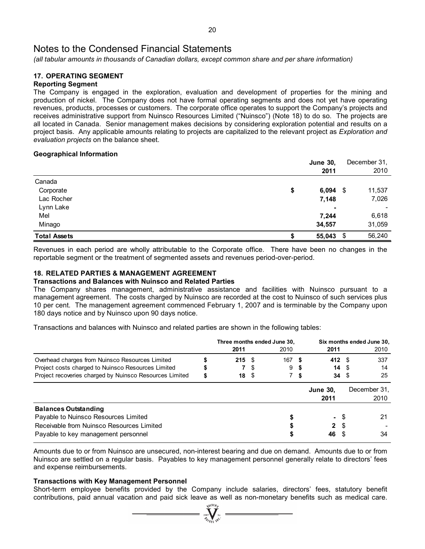*(all tabular amounts in thousands of Canadian dollars, except common share and per share information)* 

#### **17. OPERATING SEGMENT Reporting Segment**

The Company is engaged in the exploration, evaluation and development of properties for the mining and production of nickel. The Company does not have formal operating segments and does not yet have operating revenues, products, processes or customers. The corporate office operates to support the Company's projects and receives administrative support from Nuinsco Resources Limited ("Nuinsco") (Note 18) to do so. The projects are all located in Canada. Senior management makes decisions by considering exploration potential and results on a project basis. Any applicable amounts relating to projects are capitalized to the relevant project as *Exploration and evaluation projects* on the balance sheet.

### **Geographical Information**

|                     | <b>June 30,</b>  | December 31, |
|---------------------|------------------|--------------|
|                     | 2011             | 2010         |
| Canada              |                  |              |
| Corporate           | \$<br>$6,094$ \$ | 11,537       |
| Lac Rocher          | 7,148            | 7,026        |
| Lynn Lake           |                  |              |
| Mel                 | 7,244            | 6,618        |
| Minago              | 34,557           | 31,059       |
| <b>Total Assets</b> | \$<br>55,043     | \$<br>56,240 |

Revenues in each period are wholly attributable to the Corporate office. There have been no changes in the reportable segment or the treatment of segmented assets and revenues period-over-period.

### **18. RELATED PARTIES & MANAGEMENT AGREEMENT**

### **Transactions and Balances with Nuinsco and Related Parties**

The Company shares management, administrative assistance and facilities with Nuinsco pursuant to a management agreement. The costs charged by Nuinsco are recorded at the cost to Nuinsco of such services plus 10 per cent. The management agreement commenced February 1, 2007 and is terminable by the Company upon 180 days notice and by Nuinsco upon 90 days notice.

Transactions and balances with Nuinsco and related parties are shown in the following tables:

|                                                                                                                                                         | Three months ended June 30, |      |          |     | Six months ended June 30,    |      |                      |
|---------------------------------------------------------------------------------------------------------------------------------------------------------|-----------------------------|------|----------|-----|------------------------------|------|----------------------|
|                                                                                                                                                         | 2011                        |      | 2010     |     | 2011                         |      | 2010                 |
| Overhead charges from Nuinsco Resources Limited                                                                                                         | $215 \tS$                   |      | $167$ \$ |     | 412 $\sqrt{3}$               |      | 337                  |
| Project costs charged to Nuinsco Resources Limited                                                                                                      |                             | - \$ | 9        |     | 14S                          |      | 14                   |
| Project recoveries charged by Nuinsco Resources Limited                                                                                                 | \$<br>18 <sup>°</sup>       |      |          | 7 S | $34 \quad$                   |      | 25                   |
|                                                                                                                                                         |                             |      |          |     | <b>June 30.</b><br>2011      |      | December 31.<br>2010 |
| <b>Balances Outstanding</b><br>Payable to Nuinsco Resources Limited<br>Receivable from Nuinsco Resources Limited<br>Payable to key management personnel |                             |      |          |     | - \$<br>2 <sup>5</sup><br>46 | - \$ | 21<br>34             |

Amounts due to or from Nuinsco are unsecured, non-interest bearing and due on demand. Amounts due to or from Nuinsco are settled on a regular basis. Payables to key management personnel generally relate to directors' fees and expense reimbursements.

### **Transactions with Key Management Personnel**

Short-term employee benefits provided by the Company include salaries, directors' fees, statutory benefit contributions, paid annual vacation and paid sick leave as well as non-monetary benefits such as medical care.

 $\sum_{2007}$  WCTORE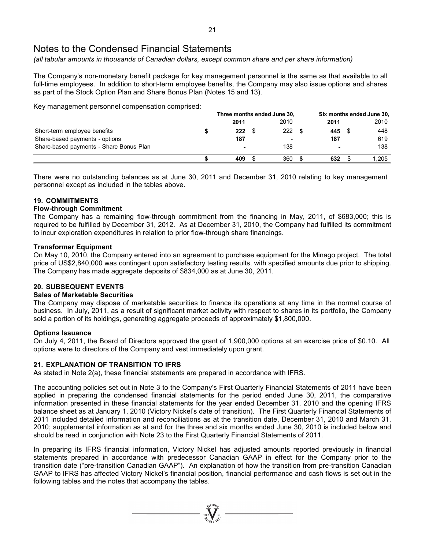*(all tabular amounts in thousands of Canadian dollars, except common share and per share information)* 

The Company's non-monetary benefit package for key management personnel is the same as that available to all full-time employees. In addition to short-term employee benefits, the Company may also issue options and shares as part of the Stock Option Plan and Share Bonus Plan (Notes 15 and 13).

Key management personnel compensation comprised:

|                                         | Three months ended June 30, |  |      | Six months ended June 30, |        |  |       |
|-----------------------------------------|-----------------------------|--|------|---------------------------|--------|--|-------|
|                                         | 2011                        |  | 2010 |                           | 2011   |  | 2010  |
| Short-term employee benefits            | 222                         |  | 222  |                           | 445 \$ |  | 448   |
| Share-based payments - options          | 187                         |  | -    |                           | 187    |  | 619   |
| Share-based payments - Share Bonus Plan | $\blacksquare$              |  | 138  |                           |        |  | 138   |
|                                         | 409                         |  | 360  |                           | 632.   |  | 1.205 |

There were no outstanding balances as at June 30, 2011 and December 31, 2010 relating to key management personnel except as included in the tables above.

### **19. COMMITMENTS**

### **Flow-through Commitment**

The Company has a remaining flow-through commitment from the financing in May, 2011, of \$683,000; this is required to be fulfilled by December 31, 2012. As at December 31, 2010, the Company had fulfilled its commitment to incur exploration expenditures in relation to prior flow-through share financings.

### **Transformer Equipment**

On May 10, 2010, the Company entered into an agreement to purchase equipment for the Minago project. The total price of US\$2,840,000 was contingent upon satisfactory testing results, with specified amounts due prior to shipping. The Company has made aggregate deposits of \$834,000 as at June 30, 2011.

### **20. SUBSEQUENT EVENTS**

### **Sales of Marketable Securities**

The Company may dispose of marketable securities to finance its operations at any time in the normal course of business. In July, 2011, as a result of significant market activity with respect to shares in its portfolio, the Company sold a portion of its holdings, generating aggregate proceeds of approximately \$1,800,000.

### **Options Issuance**

On July 4, 2011, the Board of Directors approved the grant of 1,900,000 options at an exercise price of \$0.10. All options were to directors of the Company and vest immediately upon grant.

### **21. EXPLANATION OF TRANSITION TO IFRS**

As stated in Note 2(a), these financial statements are prepared in accordance with IFRS.

The accounting policies set out in Note 3 to the Company's First Quarterly Financial Statements of 2011 have been applied in preparing the condensed financial statements for the period ended June 30, 2011, the comparative information presented in these financial statements for the year ended December 31, 2010 and the opening IFRS balance sheet as at January 1, 2010 (Victory Nickel's date of transition). The First Quarterly Financial Statements of 2011 included detailed information and reconciliations as at the transition date, December 31, 2010 and March 31, 2010; supplemental information as at and for the three and six months ended June 30, 2010 is included below and should be read in conjunction with Note 23 to the First Quarterly Financial Statements of 2011.

In preparing its IFRS financial information, Victory Nickel has adjusted amounts reported previously in financial statements prepared in accordance with predecessor Canadian GAAP in effect for the Company prior to the transition date ("pre-transition Canadian GAAP"). An explanation of how the transition from pre-transition Canadian GAAP to IFRS has affected Victory Nickel's financial position, financial performance and cash flows is set out in the following tables and the notes that accompany the tables.

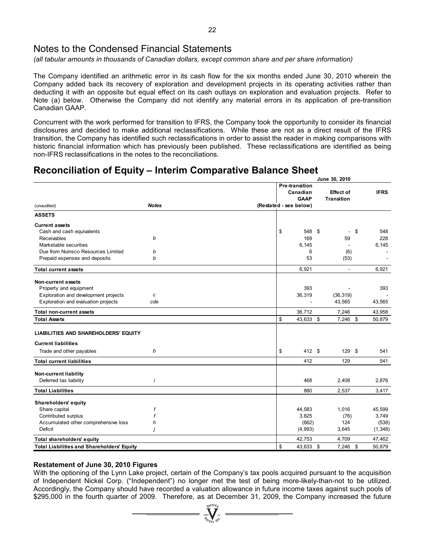*(all tabular amounts in thousands of Canadian dollars, except common share and per share information)* 

The Company identified an arithmetic error in its cash flow for the six months ended June 30, 2010 wherein the Company added back its recovery of exploration and development projects in its operating activities rather than deducting it with an opposite but equal effect on its cash outlays on exploration and evaluation projects. Refer to Note (a) below. Otherwise the Company did not identify any material errors in its application of pre-transition Canadian GAAP.

Concurrent with the work performed for transition to IFRS, the Company took the opportunity to consider its financial disclosures and decided to make additional reclassifications. While these are not as a direct result of the IFRS transition, the Company has identified such reclassifications in order to assist the reader in making comparisons with historic financial information which has previously been published. These reclassifications are identified as being non-IFRS reclassifications in the notes to the reconciliations.

### **Reconciliation of Equity – Interim Comparative Balance Sheet**

| Pre-transition<br>Canadian<br><b>IFRS</b><br>Effect of<br><b>GAAP</b><br><b>Transition</b><br><b>Notes</b><br>(Restated - see below)<br>(unaudited)<br><b>Current assets</b><br>\$<br>\$<br>548 \$<br>548<br>Cash and cash equivalents<br>ä,<br>Receivables<br>169<br>59<br>228<br>b<br>Marketable securities<br>6,145<br>6,145<br>Due from Nuinsco Resources Limited<br>b<br>6<br>(6)<br>b<br>53<br>Prepaid expenses and deposits<br>(53)<br>6,921<br>6,921<br><b>Total current assets</b><br>٠<br>Non-current assets<br>393<br>Property and equipment<br>393<br>Exploration and development projects<br>36,319<br>(36, 319)<br>c<br>Exploration and evaluation projects<br>cde<br>43,565<br>43,565<br>36,712<br><b>Total non-current assets</b><br>7,246<br>43,958<br>\$<br>43,633 \$<br>7,246 \$<br>50,879<br><b>Total Assets</b><br>LIABILITIES AND SHAREHOLDERS' EQUITY<br><b>Current liabilities</b><br>Trade and other payables<br>\$<br>412 \$<br>129 \$<br>b<br>541<br>412<br>129<br>541<br><b>Total current liabilities</b><br><b>Non-current liability</b><br>$\mathbf{i}$<br>Deferred tax liability<br>468<br>2,408<br>2,876<br>880<br>2,537<br>3,417<br><b>Total Liabilities</b><br>Shareholders' equity<br>Share capital<br>f<br>44,583<br>1,016<br>45,599<br>Contributed surplus<br>3,825<br>(76)<br>3,749<br>Accumulated other comprehensive loss<br>(662)<br>124<br>h<br>Deficit<br>(4,993)<br>3,645<br>İ<br>42,753<br>4,709<br>47,462<br>Total shareholders' equity<br>\$<br><b>Total Liabilities and Shareholders' Equity</b><br>43,633 \$<br>$7,246$ \$<br>50.879 |               |  | June 30, 2010 |  |          |
|---------------------------------------------------------------------------------------------------------------------------------------------------------------------------------------------------------------------------------------------------------------------------------------------------------------------------------------------------------------------------------------------------------------------------------------------------------------------------------------------------------------------------------------------------------------------------------------------------------------------------------------------------------------------------------------------------------------------------------------------------------------------------------------------------------------------------------------------------------------------------------------------------------------------------------------------------------------------------------------------------------------------------------------------------------------------------------------------------------------------------------------------------------------------------------------------------------------------------------------------------------------------------------------------------------------------------------------------------------------------------------------------------------------------------------------------------------------------------------------------------------------------------------------------------------------------------------------|---------------|--|---------------|--|----------|
|                                                                                                                                                                                                                                                                                                                                                                                                                                                                                                                                                                                                                                                                                                                                                                                                                                                                                                                                                                                                                                                                                                                                                                                                                                                                                                                                                                                                                                                                                                                                                                                       |               |  |               |  |          |
|                                                                                                                                                                                                                                                                                                                                                                                                                                                                                                                                                                                                                                                                                                                                                                                                                                                                                                                                                                                                                                                                                                                                                                                                                                                                                                                                                                                                                                                                                                                                                                                       |               |  |               |  |          |
|                                                                                                                                                                                                                                                                                                                                                                                                                                                                                                                                                                                                                                                                                                                                                                                                                                                                                                                                                                                                                                                                                                                                                                                                                                                                                                                                                                                                                                                                                                                                                                                       |               |  |               |  |          |
|                                                                                                                                                                                                                                                                                                                                                                                                                                                                                                                                                                                                                                                                                                                                                                                                                                                                                                                                                                                                                                                                                                                                                                                                                                                                                                                                                                                                                                                                                                                                                                                       |               |  |               |  |          |
|                                                                                                                                                                                                                                                                                                                                                                                                                                                                                                                                                                                                                                                                                                                                                                                                                                                                                                                                                                                                                                                                                                                                                                                                                                                                                                                                                                                                                                                                                                                                                                                       | <b>ASSETS</b> |  |               |  |          |
|                                                                                                                                                                                                                                                                                                                                                                                                                                                                                                                                                                                                                                                                                                                                                                                                                                                                                                                                                                                                                                                                                                                                                                                                                                                                                                                                                                                                                                                                                                                                                                                       |               |  |               |  |          |
|                                                                                                                                                                                                                                                                                                                                                                                                                                                                                                                                                                                                                                                                                                                                                                                                                                                                                                                                                                                                                                                                                                                                                                                                                                                                                                                                                                                                                                                                                                                                                                                       |               |  |               |  |          |
|                                                                                                                                                                                                                                                                                                                                                                                                                                                                                                                                                                                                                                                                                                                                                                                                                                                                                                                                                                                                                                                                                                                                                                                                                                                                                                                                                                                                                                                                                                                                                                                       |               |  |               |  |          |
|                                                                                                                                                                                                                                                                                                                                                                                                                                                                                                                                                                                                                                                                                                                                                                                                                                                                                                                                                                                                                                                                                                                                                                                                                                                                                                                                                                                                                                                                                                                                                                                       |               |  |               |  |          |
|                                                                                                                                                                                                                                                                                                                                                                                                                                                                                                                                                                                                                                                                                                                                                                                                                                                                                                                                                                                                                                                                                                                                                                                                                                                                                                                                                                                                                                                                                                                                                                                       |               |  |               |  |          |
|                                                                                                                                                                                                                                                                                                                                                                                                                                                                                                                                                                                                                                                                                                                                                                                                                                                                                                                                                                                                                                                                                                                                                                                                                                                                                                                                                                                                                                                                                                                                                                                       |               |  |               |  |          |
|                                                                                                                                                                                                                                                                                                                                                                                                                                                                                                                                                                                                                                                                                                                                                                                                                                                                                                                                                                                                                                                                                                                                                                                                                                                                                                                                                                                                                                                                                                                                                                                       |               |  |               |  |          |
|                                                                                                                                                                                                                                                                                                                                                                                                                                                                                                                                                                                                                                                                                                                                                                                                                                                                                                                                                                                                                                                                                                                                                                                                                                                                                                                                                                                                                                                                                                                                                                                       |               |  |               |  |          |
|                                                                                                                                                                                                                                                                                                                                                                                                                                                                                                                                                                                                                                                                                                                                                                                                                                                                                                                                                                                                                                                                                                                                                                                                                                                                                                                                                                                                                                                                                                                                                                                       |               |  |               |  |          |
|                                                                                                                                                                                                                                                                                                                                                                                                                                                                                                                                                                                                                                                                                                                                                                                                                                                                                                                                                                                                                                                                                                                                                                                                                                                                                                                                                                                                                                                                                                                                                                                       |               |  |               |  |          |
|                                                                                                                                                                                                                                                                                                                                                                                                                                                                                                                                                                                                                                                                                                                                                                                                                                                                                                                                                                                                                                                                                                                                                                                                                                                                                                                                                                                                                                                                                                                                                                                       |               |  |               |  |          |
|                                                                                                                                                                                                                                                                                                                                                                                                                                                                                                                                                                                                                                                                                                                                                                                                                                                                                                                                                                                                                                                                                                                                                                                                                                                                                                                                                                                                                                                                                                                                                                                       |               |  |               |  |          |
|                                                                                                                                                                                                                                                                                                                                                                                                                                                                                                                                                                                                                                                                                                                                                                                                                                                                                                                                                                                                                                                                                                                                                                                                                                                                                                                                                                                                                                                                                                                                                                                       |               |  |               |  |          |
|                                                                                                                                                                                                                                                                                                                                                                                                                                                                                                                                                                                                                                                                                                                                                                                                                                                                                                                                                                                                                                                                                                                                                                                                                                                                                                                                                                                                                                                                                                                                                                                       |               |  |               |  |          |
|                                                                                                                                                                                                                                                                                                                                                                                                                                                                                                                                                                                                                                                                                                                                                                                                                                                                                                                                                                                                                                                                                                                                                                                                                                                                                                                                                                                                                                                                                                                                                                                       |               |  |               |  |          |
|                                                                                                                                                                                                                                                                                                                                                                                                                                                                                                                                                                                                                                                                                                                                                                                                                                                                                                                                                                                                                                                                                                                                                                                                                                                                                                                                                                                                                                                                                                                                                                                       |               |  |               |  |          |
|                                                                                                                                                                                                                                                                                                                                                                                                                                                                                                                                                                                                                                                                                                                                                                                                                                                                                                                                                                                                                                                                                                                                                                                                                                                                                                                                                                                                                                                                                                                                                                                       |               |  |               |  |          |
|                                                                                                                                                                                                                                                                                                                                                                                                                                                                                                                                                                                                                                                                                                                                                                                                                                                                                                                                                                                                                                                                                                                                                                                                                                                                                                                                                                                                                                                                                                                                                                                       |               |  |               |  |          |
|                                                                                                                                                                                                                                                                                                                                                                                                                                                                                                                                                                                                                                                                                                                                                                                                                                                                                                                                                                                                                                                                                                                                                                                                                                                                                                                                                                                                                                                                                                                                                                                       |               |  |               |  |          |
|                                                                                                                                                                                                                                                                                                                                                                                                                                                                                                                                                                                                                                                                                                                                                                                                                                                                                                                                                                                                                                                                                                                                                                                                                                                                                                                                                                                                                                                                                                                                                                                       |               |  |               |  |          |
|                                                                                                                                                                                                                                                                                                                                                                                                                                                                                                                                                                                                                                                                                                                                                                                                                                                                                                                                                                                                                                                                                                                                                                                                                                                                                                                                                                                                                                                                                                                                                                                       |               |  |               |  |          |
|                                                                                                                                                                                                                                                                                                                                                                                                                                                                                                                                                                                                                                                                                                                                                                                                                                                                                                                                                                                                                                                                                                                                                                                                                                                                                                                                                                                                                                                                                                                                                                                       |               |  |               |  |          |
|                                                                                                                                                                                                                                                                                                                                                                                                                                                                                                                                                                                                                                                                                                                                                                                                                                                                                                                                                                                                                                                                                                                                                                                                                                                                                                                                                                                                                                                                                                                                                                                       |               |  |               |  |          |
|                                                                                                                                                                                                                                                                                                                                                                                                                                                                                                                                                                                                                                                                                                                                                                                                                                                                                                                                                                                                                                                                                                                                                                                                                                                                                                                                                                                                                                                                                                                                                                                       |               |  |               |  | (538)    |
|                                                                                                                                                                                                                                                                                                                                                                                                                                                                                                                                                                                                                                                                                                                                                                                                                                                                                                                                                                                                                                                                                                                                                                                                                                                                                                                                                                                                                                                                                                                                                                                       |               |  |               |  | (1, 348) |
|                                                                                                                                                                                                                                                                                                                                                                                                                                                                                                                                                                                                                                                                                                                                                                                                                                                                                                                                                                                                                                                                                                                                                                                                                                                                                                                                                                                                                                                                                                                                                                                       |               |  |               |  |          |
|                                                                                                                                                                                                                                                                                                                                                                                                                                                                                                                                                                                                                                                                                                                                                                                                                                                                                                                                                                                                                                                                                                                                                                                                                                                                                                                                                                                                                                                                                                                                                                                       |               |  |               |  |          |

### **Restatement of June 30, 2010 Figures**

With the optioning of the Lynn Lake project, certain of the Company's tax pools acquired pursuant to the acquisition of Independent Nickel Corp. ("Independent") no longer met the test of being more-likely-than-not to be utilized. Accordingly, the Company should have recorded a valuation allowance in future income taxes against such pools of \$295,000 in the fourth quarter of 2009. Therefore, as at December 31, 2009, the Company increased the future

 $\sum_{2007}$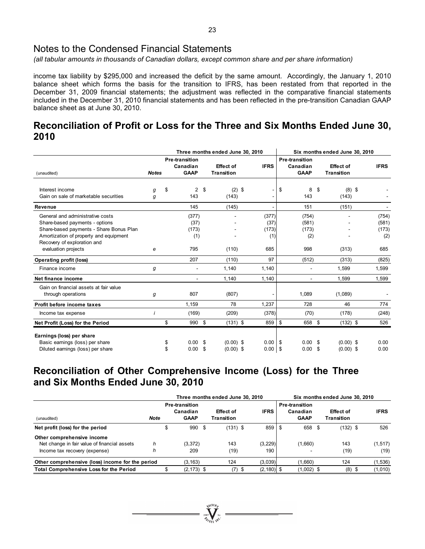*(all tabular amounts in thousands of Canadian dollars, except common share and per share information)* 

income tax liability by \$295,000 and increased the deficit by the same amount. Accordingly, the January 1, 2010 balance sheet which forms the basis for the transition to IFRS, has been restated from that reported in the December 31, 2009 financial statements; the adjustment was reflected in the comparative financial statements included in the December 31, 2010 financial statements and has been reflected in the pre-transition Canadian GAAP balance sheet as at June 30, 2010.

## **Reconciliation of Profit or Loss for the Three and Six Months Ended June 30, 2010**

|                                         |              |                                           |     | Three months ended June 30, 2010      |             | Six months ended June 30, 2010 |                                                  |     |                                       |             |
|-----------------------------------------|--------------|-------------------------------------------|-----|---------------------------------------|-------------|--------------------------------|--------------------------------------------------|-----|---------------------------------------|-------------|
| (unaudited)                             | <b>Notes</b> | Pre-transition<br>Canadian<br><b>GAAP</b> |     | <b>Effect of</b><br><b>Transition</b> | <b>IFRS</b> |                                | <b>Pre-transition</b><br>Canadian<br><b>GAAP</b> |     | <b>Effect of</b><br><b>Transition</b> | <b>IFRS</b> |
| Interest income                         |              | \$<br>2 <sup>5</sup>                      |     |                                       |             | \$                             | 8                                                | \$  | $(8)$ \$                              |             |
| Gain on sale of marketable securities   | g<br>g       | 143                                       |     | $(2)$ \$<br>(143)                     |             |                                | 143                                              |     | (143)                                 |             |
| Revenue                                 |              | 145                                       |     | (145)                                 |             |                                | 151                                              |     | (151)                                 |             |
| General and administrative costs        |              | (377)                                     |     |                                       | (377)       |                                | (754)                                            |     |                                       | (754)       |
| Share-based payments - options          |              | (37)                                      |     |                                       | (37)        |                                | (581)                                            |     |                                       | (581)       |
| Share-based payments - Share Bonus Plan |              | (173)                                     |     |                                       | (173)       |                                | (173)                                            |     |                                       | (173)       |
| Amortization of property and equipment  |              | (1)                                       |     |                                       | (1)         |                                | (2)                                              |     |                                       | (2)         |
| Recovery of exploration and             |              |                                           |     |                                       |             |                                |                                                  |     |                                       |             |
| evaluation projects                     | e            | 795                                       |     | (110)                                 | 685         |                                | 998                                              |     | (313)                                 | 685         |
| <b>Operating profit (loss)</b>          |              | 207                                       |     | (110)                                 | 97          |                                | (512)                                            |     | (313)                                 | (825)       |
| Finance income                          | g            |                                           |     | 1,140                                 | 1,140       |                                |                                                  |     | 1,599                                 | 1,599       |
| Net finance income                      |              | $\sim$                                    |     | 1,140                                 | 1,140       |                                | $\overline{\phantom{a}}$                         |     | 1.599                                 | 1,599       |
| Gain on financial assets at fair value  |              |                                           |     |                                       |             |                                |                                                  |     |                                       |             |
| through operations                      | g            | 807                                       |     | (807)                                 |             |                                | 1,089                                            |     | (1,089)                               |             |
| Profit before income taxes              |              | 1.159                                     |     | 78                                    | 1,237       |                                | 728                                              |     | 46                                    | 774         |
| Income tax expense                      | $\mathbf{i}$ | (169)                                     |     | (209)                                 | (378)       |                                | (70)                                             |     | (178)                                 | (248)       |
| Net Profit (Loss) for the Period        |              | \$<br>990 \$                              |     | $(131)$ \$                            | $859$ \$    |                                | 658 \$                                           |     | $(132)$ \$                            | 526         |
| Earnings (loss) per share               |              |                                           |     |                                       |             |                                |                                                  |     |                                       |             |
| Basic earnings (loss) per share         |              | \$<br>0.00                                | \$  | $(0.00)$ \$                           | $0.00$   \$ |                                | 0.00 <sup>5</sup>                                |     | $(0.00)$ \$                           | 0.00        |
| Diluted earnings (loss) per share       |              | \$<br>0.00                                | -\$ | $(0.00)$ \$                           | $0.00$ \$   |                                | 0.00                                             | -\$ | $(0.00)$ \$                           | 0.00        |

## **Reconciliation of Other Comprehensive Income (Loss) for the Three and Six Months Ended June 30, 2010**

|                                                                                                             |             |                                           | Three months ended June 30, 2010 |                | Six months ended June 30, 2010                   |                         |  |                  |
|-------------------------------------------------------------------------------------------------------------|-------------|-------------------------------------------|----------------------------------|----------------|--------------------------------------------------|-------------------------|--|------------------|
| (unaudited)                                                                                                 | <b>Note</b> | Pre-transition<br>Canadian<br><b>GAAP</b> | <b>Effect of</b><br>Transition   | <b>IFRS</b>    | <b>Pre-transition</b><br>Canadian<br><b>GAAP</b> | Effect of<br>Transition |  | <b>IFRS</b>      |
| Net profit (loss) for the period                                                                            |             | \$<br>990 \$                              | $(131)$ \$                       | $859$   \$     | 658 \$                                           | (132) \$                |  | 526              |
| Other comprehensive income<br>Net change in fair value of financial assets<br>Income tax recovery (expense) | h           | (3,372)<br>209                            | 143<br>(19)                      | (3,229)<br>190 | (1,660)                                          | 143<br>(19)             |  | (1, 517)<br>(19) |
| Other comprehensive (loss) income for the period                                                            |             | (3, 163)                                  | 124                              | (3,039)        | (1,660)                                          | 124                     |  | (1, 536)         |
| <b>Total Comprehensive Loss for the Period</b>                                                              |             | $(2, 173)$ \$                             | (7)                              | $(2, 180)$ \$  | $(1,002)$ \$                                     | $(8)$ \$                |  | (1,010)          |

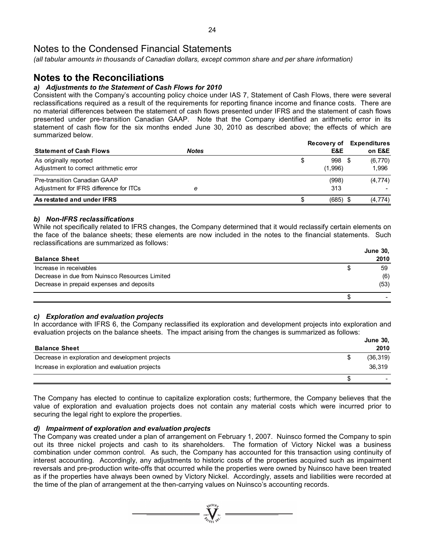*(all tabular amounts in thousands of Canadian dollars, except common share and per share information)* 

## **Notes to the Reconciliations**

### *a) Adjustments to the Statement of Cash Flows for 2010*

Consistent with the Company's accounting policy choice under IAS 7, Statement of Cash Flows, there were several reclassifications required as a result of the requirements for reporting finance income and finance costs. There are no material differences between the statement of cash flows presented under IFRS and the statement of cash flows presented under pre-transition Canadian GAAP. Note that the Company identified an arithmetic error in its statement of cash flow for the six months ended June 30, 2010 as described above; the effects of which are summarized below.

|                                         |              | Recovery of  | <b>Expenditures</b> |
|-----------------------------------------|--------------|--------------|---------------------|
| <b>Statement of Cash Flows</b>          | <b>Notes</b> | E&E          | on E&E              |
| As originally reported                  |              | 998 \$<br>\$ | (6,770)             |
| Adjustment to correct arithmetic error  |              | (1,996)      | 1.996               |
| Pre-transition Canadian GAAP            |              | (998)        | (4, 774)            |
| Adjustment for IFRS difference for ITCs | е            | 313          |                     |
| As restated and under IFRS              |              | $(685)$ \$   | (4, 774)            |

### *b) Non-IFRS reclassifications*

While not specifically related to IFRS changes, the Company determined that it would reclassify certain elements on the face of the balance sheets; these elements are now included in the notes to the financial statements. Such reclassifications are summarized as follows:

|                                                |   | <b>June 30,</b> |
|------------------------------------------------|---|-----------------|
| <b>Balance Sheet</b>                           |   | 2010            |
| Increase in receivables                        | S | 59              |
| Decrease in due from Nuinsco Resources Limited |   | (6)             |
| Decrease in prepaid expenses and deposits      |   | (53)            |
|                                                |   |                 |

### *c) Exploration and evaluation projects*

In accordance with IFRS 6, the Company reclassified its exploration and development projects into exploration and evaluation projects on the balance sheets. The impact arising from the changes is summarized as follows:

|                                                  | <b>June 30,</b> |
|--------------------------------------------------|-----------------|
| <b>Balance Sheet</b>                             | 2010            |
| Decrease in exploration and development projects | (36, 319)       |
| Increase in exploration and evaluation projects  | 36.319          |
|                                                  |                 |

The Company has elected to continue to capitalize exploration costs; furthermore, the Company believes that the value of exploration and evaluation projects does not contain any material costs which were incurred prior to securing the legal right to explore the properties.

### *d) Impairment of exploration and evaluation projects*

The Company was created under a plan of arrangement on February 1, 2007. Nuinsco formed the Company to spin out its three nickel projects and cash to its shareholders. The formation of Victory Nickel was a business combination under common control. As such, the Company has accounted for this transaction using continuity of interest accounting. Accordingly, any adjustments to historic costs of the properties acquired such as impairment reversals and pre-production write-offs that occurred while the properties were owned by Nuinsco have been treated as if the properties have always been owned by Victory Nickel. Accordingly, assets and liabilities were recorded at the time of the plan of arrangement at the then-carrying values on Nuinsco's accounting records.

 $\sum_{2007}$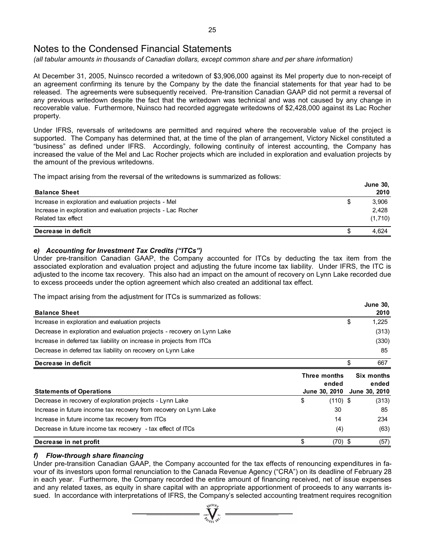*(all tabular amounts in thousands of Canadian dollars, except common share and per share information)* 

At December 31, 2005, Nuinsco recorded a writedown of \$3,906,000 against its Mel property due to non-receipt of an agreement confirming its tenure by the Company by the date the financial statements for that year had to be released. The agreements were subsequently received. Pre-transition Canadian GAAP did not permit a reversal of any previous writedown despite the fact that the writedown was technical and was not caused by any change in recoverable value. Furthermore, Nuinsco had recorded aggregate writedowns of \$2,428,000 against its Lac Rocher property.

Under IFRS, reversals of writedowns are permitted and required where the recoverable value of the project is supported. The Company has determined that, at the time of the plan of arrangement, Victory Nickel constituted a "business" as defined under IFRS. Accordingly, following continuity of interest accounting, the Company has increased the value of the Mel and Lac Rocher projects which are included in exploration and evaluation projects by the amount of the previous writedowns.

The impact arising from the reversal of the writedowns is summarized as follows:

|                                                              |   | <b>June 30,</b> |
|--------------------------------------------------------------|---|-----------------|
| <b>Balance Sheet</b>                                         |   | 2010            |
| Increase in exploration and evaluation projects - Mel        | S | 3.906           |
| Increase in exploration and evaluation projects - Lac Rocher |   | 2.428           |
| Related tax effect                                           |   | (1,710)         |
| Decrease in deficit                                          |   | 4.624           |

### *e) Accounting for Investment Tax Credits ("ITCs")*

Under pre-transition Canadian GAAP, the Company accounted for ITCs by deducting the tax item from the associated exploration and evaluation project and adjusting the future income tax liability. Under IFRS, the ITC is adjusted to the income tax recovery. This also had an impact on the amount of recovery on Lynn Lake recorded due to excess proceeds under the option agreement which also created an additional tax effect.

**June 30,**

The impact arising from the adjustment for ITCs is summarized as follows:

|                                                                         |               | June 30.             |
|-------------------------------------------------------------------------|---------------|----------------------|
| <b>Balance Sheet</b>                                                    |               | 2010                 |
| Increase in exploration and evaluation projects                         |               | \$<br>1,225          |
| Decrease in exploration and evaluation projects - recovery on Lynn Lake |               | (313)                |
| Increase in deferred tax liability on increase in projects from ITCs    |               | (330)                |
| Decrease in deferred tax liability on recovery on Lynn Lake             |               | 85                   |
| Decrease in deficit                                                     |               | \$<br>667            |
|                                                                         | Three months  | Six months           |
|                                                                         | ended         | ended                |
| <b>Statements of Operations</b>                                         | June 30, 2010 | <b>June 30, 2010</b> |
| \$<br>Decrease in recovery of exploration projects - Lynn Lake          | $(110)$ \$    | (313)                |
| Increase in future income tax recovery from recovery on Lynn Lake       | 30            | 85                   |
| Increase in future income tax recovery from ITCs                        | 14            | 234                  |
| Decrease in future income tax recovery - tax effect of ITCs             | (4)           | (63)                 |
| Decrease in net profit                                                  | $(70)$ \$     | (57)                 |

### *f) Flow-through share financing*

Under pre-transition Canadian GAAP, the Company accounted for the tax effects of renouncing expenditures in favour of its investors upon formal renunciation to the Canada Revenue Agency ("CRA") on its deadline of February 28 in each year. Furthermore, the Company recorded the entire amount of financing received, net of issue expenses and any related taxes, as equity in share capital with an appropriate apportionment of proceeds to any warrants issued. In accordance with interpretations of IFRS, the Company's selected accounting treatment requires recognition

 $\sum_{\substack{2007 \ \text{N}}}}$  Ni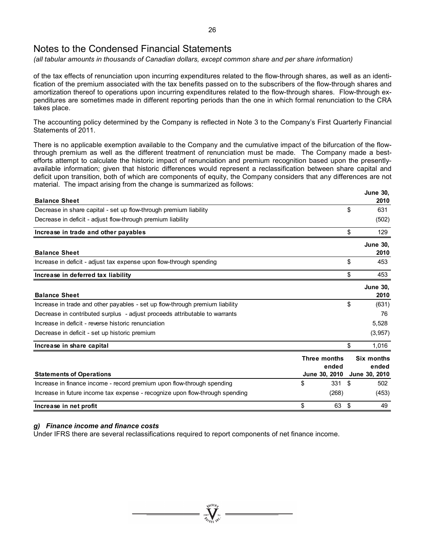*(all tabular amounts in thousands of Canadian dollars, except common share and per share information)* 

of the tax effects of renunciation upon incurring expenditures related to the flow-through shares, as well as an identification of the premium associated with the tax benefits passed on to the subscribers of the flow-through shares and amortization thereof to operations upon incurring expenditures related to the flow-through shares. Flow-through expenditures are sometimes made in different reporting periods than the one in which formal renunciation to the CRA takes place.

The accounting policy determined by the Company is reflected in Note 3 to the Company's First Quarterly Financial Statements of 2011.

There is no applicable exemption available to the Company and the cumulative impact of the bifurcation of the flowthrough premium as well as the different treatment of renunciation must be made. The Company made a bestefforts attempt to calculate the historic impact of renunciation and premium recognition based upon the presentlyavailable information; given that historic differences would represent a reclassification between share capital and deficit upon transition, both of which are components of equity, the Company considers that any differences are not material. The impact arising from the change is summarized as follows:

| <b>Balance Sheet</b>                                                         |                                        |     | <b>June 30,</b><br>2010              |
|------------------------------------------------------------------------------|----------------------------------------|-----|--------------------------------------|
| Decrease in share capital - set up flow-through premium liability            |                                        | \$  | 631                                  |
| Decrease in deficit - adjust flow-through premium liability                  |                                        |     | (502)                                |
| Increase in trade and other payables                                         |                                        | \$  | 129                                  |
| <b>Balance Sheet</b>                                                         |                                        |     | <b>June 30,</b><br>2010              |
| Increase in deficit - adjust tax expense upon flow-through spending          |                                        | \$  | 453                                  |
| Increase in deferred tax liability                                           |                                        | \$  | 453                                  |
| <b>Balance Sheet</b>                                                         |                                        |     | <b>June 30,</b><br>2010              |
| Increase in trade and other payables - set up flow-through premium liability |                                        | \$  | (631)                                |
| Decrease in contributed surplus - adjust proceeds attributable to warrants   |                                        |     | 76                                   |
| Increase in deficit - reverse historic renunciation                          |                                        |     | 5,528                                |
| Decrease in deficit - set up historic premium                                |                                        |     | (3,957)                              |
| Increase in share capital                                                    |                                        | \$  | 1,016                                |
| <b>Statements of Operations</b>                                              | Three months<br>ended<br>June 30, 2010 |     | Six months<br>ended<br>June 30, 2010 |
| Increase in finance income - record premium upon flow-through spending       | \$<br>331                              | \$  | 502                                  |
| Increase in future income tax expense - recognize upon flow-through spending | (268)                                  |     | (453)                                |
| Increase in net profit                                                       | \$<br>63                               | -\$ | 49                                   |

### *g) Finance income and finance costs*

Under IFRS there are several reclassifications required to report components of net finance income.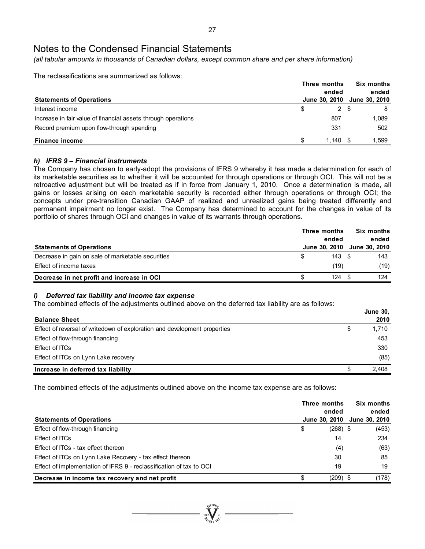*(all tabular amounts in thousands of Canadian dollars, except common share and per share information)* 

The reclassifications are summarized as follows:

| <b>Statements of Operations</b>                               | Three months<br>ended<br>June 30, 2010 | <b>Six months</b><br>June 30, 2010 | ended |
|---------------------------------------------------------------|----------------------------------------|------------------------------------|-------|
| Interest income                                               | \$<br>$\mathbf{2}$                     | -S                                 | 8     |
| Increase in fair value of financial assets through operations | 807                                    |                                    | 1.089 |
| Record premium upon flow-through spending                     | 331                                    |                                    | 502   |
| <b>Finance income</b>                                         | ∣.140                                  |                                    | 1.599 |

### *h) IFRS 9 – Financial instruments*

The Company has chosen to early-adopt the provisions of IFRS 9 whereby it has made a determination for each of its marketable securities as to whether it will be accounted for through operations or through OCI. This will not be a retroactive adjustment but will be treated as if in force from January 1, 2010. Once a determination is made, all gains or losses arising on each marketable security is recorded either through operations or through OCI; the concepts under pre-transition Canadian GAAP of realized and unrealized gains being treated differently and permanent impairment no longer exist. The Company has determined to account for the changes in value of its portfolio of shares through OCI and changes in value of its warrants through operations.

|                                                   | Three months<br>ended |      |  |                             |
|---------------------------------------------------|-----------------------|------|--|-----------------------------|
| <b>Statements of Operations</b>                   |                       |      |  | June 30, 2010 June 30, 2010 |
| Decrease in gain on sale of marketable securities |                       | 143S |  | 143                         |
| Effect of income taxes                            |                       | (19) |  | (19)                        |
| Decrease in net profit and increase in OCI        |                       | 124  |  | 124                         |

### *i) Deferred tax liability and income tax expense*

The combined effects of the adjustments outlined above on the deferred tax liability are as follows:

| <b>Balance Sheet</b>                                                      |   | <b>June 30,</b><br>2010 |
|---------------------------------------------------------------------------|---|-------------------------|
| Effect of reversal of writedown of exploration and development properties | S | 1,710                   |
| Effect of flow-through financing                                          |   | 453                     |
| Effect of ITCs                                                            |   | 330                     |
| Effect of ITCs on Lynn Lake recovery                                      |   | (85)                    |
| Increase in deferred tax liability                                        | S | 2,408                   |

The combined effects of the adjustments outlined above on the income tax expense are as follows:

|                                                                     | Three months | Six months<br>ended<br>ended |               |  |
|---------------------------------------------------------------------|--------------|------------------------------|---------------|--|
| <b>Statements of Operations</b>                                     |              | June 30, 2010                | June 30, 2010 |  |
| Effect of flow-through financing                                    | \$           | $(268)$ \$                   | (453)         |  |
| Effect of ITCs                                                      |              | 14                           | 234           |  |
| Effect of ITCs - tax effect thereon                                 |              | (4)                          | (63)          |  |
| Effect of ITCs on Lynn Lake Recovery - tax effect thereon           |              | 30                           | 85            |  |
| Effect of implementation of IFRS 9 - reclassification of tax to OCI |              | 19                           | 19            |  |
| Decrease in income tax recovery and net profit                      | \$           | (209) \$                     | (178)         |  |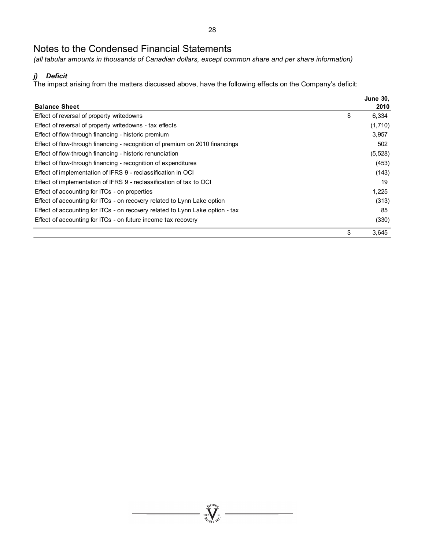*(all tabular amounts in thousands of Canadian dollars, except common share and per share information)* 

### *j) Deficit*

The impact arising from the matters discussed above, have the following effects on the Company's deficit:

|                                                                               | <b>June 30,</b> |
|-------------------------------------------------------------------------------|-----------------|
| <b>Balance Sheet</b>                                                          | 2010            |
| Effect of reversal of property writedowns                                     | \$<br>6,334     |
| Effect of reversal of property writedowns - tax effects                       | (1,710)         |
| Effect of flow-through financing - historic premium                           | 3,957           |
| Effect of flow-through financing - recognition of premium on 2010 financings  | 502             |
| Effect of flow-through financing - historic renunciation                      | (5, 528)        |
| Effect of flow-through financing - recognition of expenditures                | (453)           |
| Effect of implementation of IFRS 9 - reclassification in OCI                  | (143)           |
| Effect of implementation of IFRS 9 - reclassification of tax to OCI           | 19              |
| Effect of accounting for ITCs - on properties                                 | 1,225           |
| Effect of accounting for ITCs - on recovery related to Lynn Lake option       | (313)           |
| Effect of accounting for ITCs - on recovery related to Lynn Lake option - tax | 85              |
| Effect of accounting for ITCs - on future income tax recovery                 | (330)           |
|                                                                               | \$<br>3,645     |

 $\sum_{\substack{\mathbf{2007}}\\ \mathbf{Z}_{\ell}} \sum_{\mathbf{N} \in \mathbb{N}} \sum_{\mathbf{N}^{\mathbf{N}}} \mathbf{N}^{\mathbf{N}}$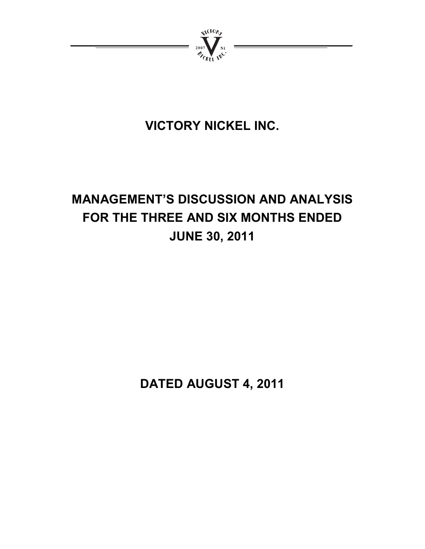

# **VICTORY NICKEL INC.**

# **MANAGEMENT'S DISCUSSION AND ANALYSIS FOR THE THREE AND SIX MONTHS ENDED JUNE 30, 2011**

**DATED AUGUST 4, 2011**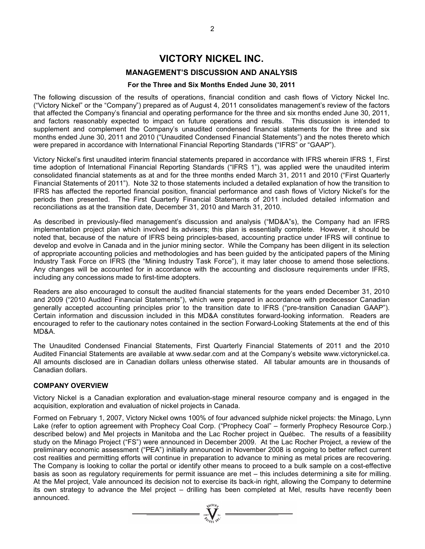### **VICTORY NICKEL INC.**

### **MANAGEMENT'S DISCUSSION AND ANALYSIS**

### **For the Three and Six Months Ended June 30, 2011**

The following discussion of the results of operations, financial condition and cash flows of Victory Nickel Inc. ("Victory Nickel" or the "Company") prepared as of August 4, 2011 consolidates management's review of the factors that affected the Company's financial and operating performance for the three and six months ended June 30, 2011, and factors reasonably expected to impact on future operations and results. This discussion is intended to supplement and complement the Company's unaudited condensed financial statements for the three and six months ended June 30, 2011 and 2010 ("Unaudited Condensed Financial Statements") and the notes thereto which were prepared in accordance with International Financial Reporting Standards ("IFRS" or "GAAP").

Victory Nickel's first unaudited interim financial statements prepared in accordance with IFRS wherein IFRS 1, First time adoption of International Financial Reporting Standards ("IFRS 1"), was applied were the unaudited interim consolidated financial statements as at and for the three months ended March 31, 2011 and 2010 ("First Quarterly Financial Statements of 2011"). Note 32 to those statements included a detailed explanation of how the transition to IFRS has affected the reported financial position, financial performance and cash flows of Victory Nickel's for the periods then presented. The First Quarterly Financial Statements of 2011 included detailed information and reconciliations as at the transition date, December 31, 2010 and March 31, 2010.

As described in previously-filed management's discussion and analysis ("MD&A"s), the Company had an IFRS implementation project plan which involved its advisers; this plan is essentially complete. However, it should be noted that, because of the nature of IFRS being principles-based, accounting practice under IFRS will continue to develop and evolve in Canada and in the junior mining sector. While the Company has been diligent in its selection of appropriate accounting policies and methodologies and has been guided by the anticipated papers of the Mining Industry Task Force on IFRS (the "Mining Industry Task Force"), it may later choose to amend those selections. Any changes will be accounted for in accordance with the accounting and disclosure requirements under IFRS, including any concessions made to first-time adopters.

Readers are also encouraged to consult the audited financial statements for the years ended December 31, 2010 and 2009 ("2010 Audited Financial Statements"), which were prepared in accordance with predecessor Canadian generally accepted accounting principles prior to the transition date to IFRS ("pre-transition Canadian GAAP"). Certain information and discussion included in this MD&A constitutes forward-looking information. Readers are encouraged to refer to the cautionary notes contained in the section Forward-Looking Statements at the end of this MD&A.

The Unaudited Condensed Financial Statements, First Quarterly Financial Statements of 2011 and the 2010 Audited Financial Statements are available at www.sedar.com and at the Company's website www.victorynickel.ca. All amounts disclosed are in Canadian dollars unless otherwise stated. All tabular amounts are in thousands of Canadian dollars.

### **COMPANY OVERVIEW**

Victory Nickel is a Canadian exploration and evaluation-stage mineral resource company and is engaged in the acquisition, exploration and evaluation of nickel projects in Canada.

Formed on February 1, 2007, Victory Nickel owns 100% of four advanced sulphide nickel projects: the Minago, Lynn Lake (refer to option agreement with Prophecy Coal Corp. ("Prophecy Coal" – formerly Prophecy Resource Corp.) described below) and Mel projects in Manitoba and the Lac Rocher project in Québec. The results of a feasibility study on the Minago Project ("FS") were announced in December 2009. At the Lac Rocher Project, a review of the preliminary economic assessment ("PEA") initially announced in November 2008 is ongoing to better reflect current cost realities and permitting efforts will continue in preparation to advance to mining as metal prices are recovering. The Company is looking to collar the portal or identify other means to proceed to a bulk sample on a cost-effective basis as soon as regulatory requirements for permit issuance are met – this includes determining a site for milling. At the Mel project, Vale announced its decision not to exercise its back-in right, allowing the Company to determine its own strategy to advance the Mel project – drilling has been completed at Mel, results have recently been announced.

=  $\sum_{i=1}^{\sqrt{M}}$  =  $\sum_{i=1}^{\sqrt{M}}$  =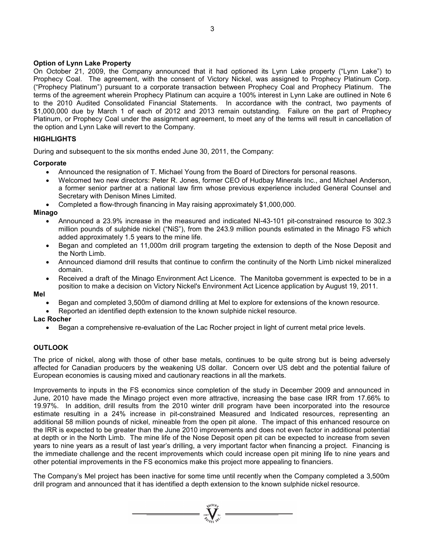### **Option of Lynn Lake Property**

On October 21, 2009, the Company announced that it had optioned its Lynn Lake property ("Lynn Lake") to Prophecy Coal. The agreement, with the consent of Victory Nickel, was assigned to Prophecy Platinum Corp. ("Prophecy Platinum") pursuant to a corporate transaction between Prophecy Coal and Prophecy Platinum. The terms of the agreement wherein Prophecy Platinum can acquire a 100% interest in Lynn Lake are outlined in Note 6 to the 2010 Audited Consolidated Financial Statements. In accordance with the contract, two payments of \$1,000,000 due by March 1 of each of 2012 and 2013 remain outstanding. Failure on the part of Prophecy Platinum, or Prophecy Coal under the assignment agreement, to meet any of the terms will result in cancellation of the option and Lynn Lake will revert to the Company.

### **HIGHLIGHTS**

During and subsequent to the six months ended June 30, 2011, the Company:

### **Corporate**

- Announced the resignation of T. Michael Young from the Board of Directors for personal reasons.
- Welcomed two new directors: Peter R. Jones, former CEO of Hudbay Minerals Inc., and Michael Anderson, a former senior partner at a national law firm whose previous experience included General Counsel and Secretary with Denison Mines Limited.
- Completed a flow-through financing in May raising approximately \$1,000,000.

### **Minago**

- Announced a 23.9% increase in the measured and indicated NI-43-101 pit-constrained resource to 302.3 million pounds of sulphide nickel ("NiS"), from the 243.9 million pounds estimated in the Minago FS which added approximately 1.5 years to the mine life.
- Began and completed an 11,000m drill program targeting the extension to depth of the Nose Deposit and the North Limb.
- Announced diamond drill results that continue to confirm the continuity of the North Limb nickel mineralized domain.
- Received a draft of the Minago Environment Act Licence. The Manitoba government is expected to be in a position to make a decision on Victory Nickel's Environment Act Licence application by August 19, 2011.

### **Mel**

- Began and completed 3,500m of diamond drilling at Mel to explore for extensions of the known resource.
- Reported an identified depth extension to the known sulphide nickel resource.

### **Lac Rocher**

• Began a comprehensive re-evaluation of the Lac Rocher project in light of current metal price levels.

### **OUTLOOK**

The price of nickel, along with those of other base metals, continues to be quite strong but is being adversely affected for Canadian producers by the weakening US dollar. Concern over US debt and the potential failure of European economies is causing mixed and cautionary reactions in all the markets.

Improvements to inputs in the FS economics since completion of the study in December 2009 and announced in June, 2010 have made the Minago project even more attractive, increasing the base case IRR from 17.66% to 19.97%. In addition, drill results from the 2010 winter drill program have been incorporated into the resource estimate resulting in a 24% increase in pit-constrained Measured and Indicated resources, representing an additional 58 million pounds of nickel, mineable from the open pit alone. The impact of this enhanced resource on the IRR is expected to be greater than the June 2010 improvements and does not even factor in additional potential at depth or in the North Limb. The mine life of the Nose Deposit open pit can be expected to increase from seven years to nine years as a result of last year's drilling, a very important factor when financing a project. Financing is the immediate challenge and the recent improvements which could increase open pit mining life to nine years and other potential improvements in the FS economics make this project more appealing to financiers.

The Company's Mel project has been inactive for some time until recently when the Company completed a 3,500m drill program and announced that it has identified a depth extension to the known sulphide nickel resource.

=  $\sum_{2007}$   $\sum_{N}$   $\sum_{N}$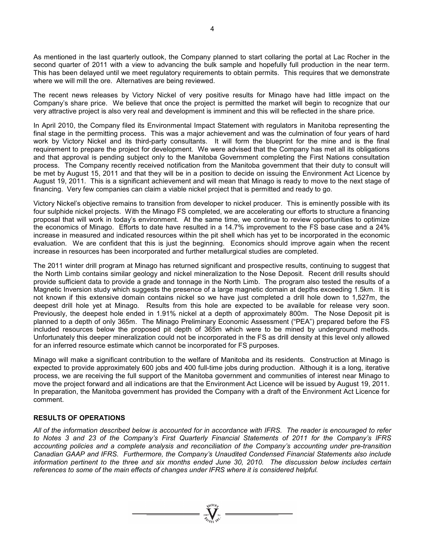As mentioned in the last quarterly outlook, the Company planned to start collaring the portal at Lac Rocher in the second quarter of 2011 with a view to advancing the bulk sample and hopefully full production in the near term. This has been delayed until we meet regulatory requirements to obtain permits. This requires that we demonstrate where we will mill the ore. Alternatives are being reviewed.

The recent news releases by Victory Nickel of very positive results for Minago have had little impact on the Company's share price. We believe that once the project is permitted the market will begin to recognize that our very attractive project is also very real and development is imminent and this will be reflected in the share price.

In April 2010, the Company filed its Environmental Impact Statement with regulators in Manitoba representing the final stage in the permitting process. This was a major achievement and was the culmination of four years of hard work by Victory Nickel and its third-party consultants. It will form the blueprint for the mine and is the final requirement to prepare the project for development. We were advised that the Company has met all its obligations and that approval is pending subject only to the Manitoba Government completing the First Nations consultation process. The Company recently received notification from the Manitoba government that their duty to consult will be met by August 15, 2011 and that they will be in a position to decide on issuing the Environment Act Licence by August 19, 2011. This is a significant achievement and will mean that Minago is ready to move to the next stage of financing. Very few companies can claim a viable nickel project that is permitted and ready to go.

Victory Nickel's objective remains to transition from developer to nickel producer. This is eminently possible with its four sulphide nickel projects. With the Minago FS completed, we are accelerating our efforts to structure a financing proposal that will work in today's environment. At the same time, we continue to review opportunities to optimize the economics of Minago. Efforts to date have resulted in a 14.7% improvement to the FS base case and a 24% increase in measured and indicated resources within the pit shell which has yet to be incorporated in the economic evaluation. We are confident that this is just the beginning. Economics should improve again when the recent increase in resources has been incorporated and further metallurgical studies are completed.

The 2011 winter drill program at Minago has returned significant and prospective results, continuing to suggest that the North Limb contains similar geology and nickel mineralization to the Nose Deposit. Recent drill results should provide sufficient data to provide a grade and tonnage in the North Limb. The program also tested the results of a Magnetic Inversion study which suggests the presence of a large magnetic domain at depths exceeding 1.5km. It is not known if this extensive domain contains nickel so we have just completed a drill hole down to 1,527m, the deepest drill hole yet at Minago. Results from this hole are expected to be available for release very soon. Previously, the deepest hole ended in 1.91% nickel at a depth of approximately 800m. The Nose Deposit pit is planned to a depth of only 365m. The Minago Preliminary Economic Assessment ("PEA") prepared before the FS included resources below the proposed pit depth of 365m which were to be mined by underground methods. Unfortunately this deeper mineralization could not be incorporated in the FS as drill density at this level only allowed for an inferred resource estimate which cannot be incorporated for FS purposes.

Minago will make a significant contribution to the welfare of Manitoba and its residents. Construction at Minago is expected to provide approximately 600 jobs and 400 full-time jobs during production. Although it is a long, iterative process, we are receiving the full support of the Manitoba government and communities of interest near Minago to move the project forward and all indications are that the Environment Act Licence will be issued by August 19, 2011. In preparation, the Manitoba government has provided the Company with a draft of the Environment Act Licence for comment.

### **RESULTS OF OPERATIONS**

*All of the information described below is accounted for in accordance with IFRS. The reader is encouraged to refer to Notes 3 and 23 of the Company's First Quarterly Financial Statements of 2011 for the Company's IFRS accounting policies and a complete analysis and reconciliation of the Company's accounting under pre-transition Canadian GAAP and IFRS. Furthermore, the Company's Unaudited Condensed Financial Statements also include information pertinent to the three and six months ended June 30, 2010. The discussion below includes certain references to some of the main effects of changes under IFRS where it is considered helpful.* 

 $\sum_{n=1}^{\sqrt{100}n}$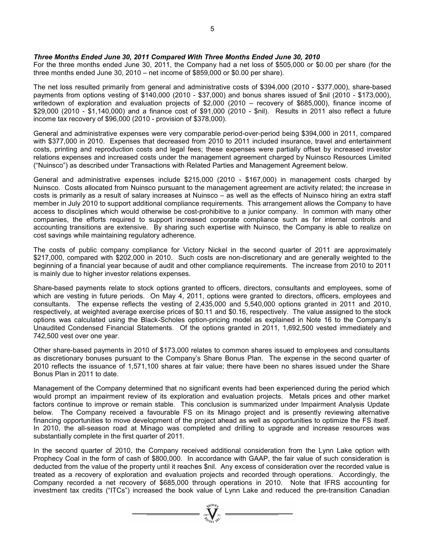*Three Months Ended June 30, 2011 Compared With Three Months Ended June 30, 2010* 

For the three months ended June 30, 2011, the Company had a net loss of \$505,000 or \$0.00 per share (for the three months ended June 30, 2010 – net income of \$859,000 or \$0.00 per share).

The net loss resulted primarily from general and administrative costs of \$394,000 (2010 - \$377,000), share-based payments from options vesting of \$140,000 (2010 - \$37,000) and bonus shares issued of \$nil (2010 - \$173,000), writedown of exploration and evaluation projects of \$2,000 (2010 – recovery of \$685,000), finance income of \$29,000 (2010 - \$1,140,000) and a finance cost of \$91,000 (2010 - \$nil). Results in 2011 also reflect a future income tax recovery of \$96,000 (2010 - provision of \$378,000).

General and administrative expenses were very comparable period-over-period being \$394,000 in 2011, compared with \$377,000 in 2010. Expenses that decreased from 2010 to 2011 included insurance, travel and entertainment costs, printing and reproduction costs and legal fees; these expenses were partially offset by increased investor relations expenses and increased costs under the management agreement charged by Nuinsco Resources Limited ("Nuinsco") as described under Transactions with Related Parties and Management Agreement below.

General and administrative expenses include \$215,000 (2010 - \$167,000) in management costs charged by Nuinsco. Costs allocated from Nuinsco pursuant to the management agreement are activity related; the increase in costs is primarily as a result of salary increases at Nuinsco – as well as the effects of Nuinsco hiring an extra staff member in July 2010 to support additional compliance requirements. This arrangement allows the Company to have access to disciplines which would otherwise be cost-prohibitive to a junior company. In common with many other companies, the efforts required to support increased corporate compliance such as for internal controls and accounting transitions are extensive. By sharing such expertise with Nuinsco, the Company is able to realize on cost savings while maintaining regulatory adherence.

The costs of public company compliance for Victory Nickel in the second quarter of 2011 are approximately \$217,000, compared with \$202,000 in 2010. Such costs are non-discretionary and are generally weighted to the beginning of a financial year because of audit and other compliance requirements. The increase from 2010 to 2011 is mainly due to higher investor relations expenses.

Share-based payments relate to stock options granted to officers, directors, consultants and employees, some of which are vesting in future periods. On May 4, 2011, options were granted to directors, officers, employees and consultants. The expense reflects the vesting of 2,435,000 and 5,540,000 options granted in 2011 and 2010, respectively, at weighted average exercise prices of \$0.11 and \$0.16, respectively. The value assigned to the stock options was calculated using the Black-Scholes option-pricing model as explained in Note 16 to the Company's Unaudited Condensed Financial Statements. Of the options granted in 2011, 1,692,500 vested immediately and 742,500 vest over one year.

Other share-based payments in 2010 of \$173,000 relates to common shares issued to employees and consultants as discretionary bonuses pursuant to the Company's Share Bonus Plan. The expense in the second quarter of 2010 reflects the issuance of 1,571,100 shares at fair value; there have been no shares issued under the Share Bonus Plan in 2011 to date.

Management of the Company determined that no significant events had been experienced during the period which would prompt an impairment review of its exploration and evaluation projects. Metals prices and other market factors continue to improve or remain stable. This conclusion is summarized under Impairment Analysis Update below. The Company received a favourable FS on its Minago project and is presently reviewing alternative financing opportunities to move development of the project ahead as well as opportunities to optimize the FS itself. In 2010, the all-season road at Minago was completed and drilling to upgrade and increase resources was substantially complete in the first quarter of 2011.

In the second quarter of 2010, the Company received additional consideration from the Lynn Lake option with Prophecy Coal in the form of cash of \$800,000. In accordance with GAAP, the fair value of such consideration is deducted from the value of the property until it reaches \$nil. Any excess of consideration over the recorded value is treated as a recovery of exploration and evaluation projects and recorded through operations. Accordingly, the Company recorded a net recovery of \$685,000 through operations in 2010. Note that IFRS accounting for investment tax credits ("ITCs") increased the book value of Lynn Lake and reduced the pre-transition Canadian

 $\sum_{2007}$   $\sum_{n=1}^{N(10)}$   $\sum_{n=1}^{N(10)}$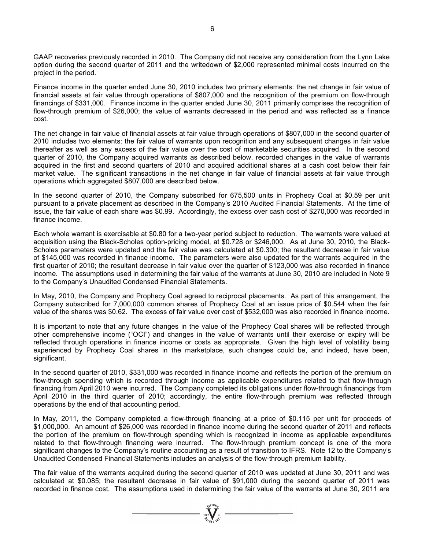GAAP recoveries previously recorded in 2010. The Company did not receive any consideration from the Lynn Lake option during the second quarter of 2011 and the writedown of \$2,000 represented minimal costs incurred on the project in the period.

Finance income in the quarter ended June 30, 2010 includes two primary elements: the net change in fair value of financial assets at fair value through operations of \$807,000 and the recognition of the premium on flow-through financings of \$331,000. Finance income in the quarter ended June 30, 2011 primarily comprises the recognition of flow-through premium of \$26,000; the value of warrants decreased in the period and was reflected as a finance cost.

The net change in fair value of financial assets at fair value through operations of \$807,000 in the second quarter of 2010 includes two elements: the fair value of warrants upon recognition and any subsequent changes in fair value thereafter as well as any excess of the fair value over the cost of marketable securities acquired. In the second quarter of 2010, the Company acquired warrants as described below, recorded changes in the value of warrants acquired in the first and second quarters of 2010 and acquired additional shares at a cash cost below their fair market value. The significant transactions in the net change in fair value of financial assets at fair value through operations which aggregated \$807,000 are described below.

In the second quarter of 2010, the Company subscribed for 675,500 units in Prophecy Coal at \$0.59 per unit pursuant to a private placement as described in the Company's 2010 Audited Financial Statements. At the time of issue, the fair value of each share was \$0.99. Accordingly, the excess over cash cost of \$270,000 was recorded in finance income.

Each whole warrant is exercisable at \$0.80 for a two-year period subject to reduction. The warrants were valued at acquisition using the Black-Scholes option-pricing model, at \$0.728 or \$246,000. As at June 30, 2010, the Black-Scholes parameters were updated and the fair value was calculated at \$0.300; the resultant decrease in fair value of \$145,000 was recorded in finance income. The parameters were also updated for the warrants acquired in the first quarter of 2010; the resultant decrease in fair value over the quarter of \$123,000 was also recorded in finance income. The assumptions used in determining the fair value of the warrants at June 30, 2010 are included in Note 9 to the Company's Unaudited Condensed Financial Statements.

In May, 2010, the Company and Prophecy Coal agreed to reciprocal placements. As part of this arrangement, the Company subscribed for 7,000,000 common shares of Prophecy Coal at an issue price of \$0.544 when the fair value of the shares was \$0.62. The excess of fair value over cost of \$532,000 was also recorded in finance income.

It is important to note that any future changes in the value of the Prophecy Coal shares will be reflected through other comprehensive income ("OCI") and changes in the value of warrants until their exercise or expiry will be reflected through operations in finance income or costs as appropriate. Given the high level of volatility being experienced by Prophecy Coal shares in the marketplace, such changes could be, and indeed, have been, significant.

In the second quarter of 2010, \$331,000 was recorded in finance income and reflects the portion of the premium on flow-through spending which is recorded through income as applicable expenditures related to that flow-through financing from April 2010 were incurred. The Company completed its obligations under flow-through financings from April 2010 in the third quarter of 2010; accordingly, the entire flow-through premium was reflected through operations by the end of that accounting period.

In May, 2011, the Company completed a flow-through financing at a price of \$0.115 per unit for proceeds of \$1,000,000. An amount of \$26,000 was recorded in finance income during the second quarter of 2011 and reflects the portion of the premium on flow-through spending which is recognized in income as applicable expenditures related to that flow-through financing were incurred. The flow-through premium concept is one of the more significant changes to the Company's routine accounting as a result of transition to IFRS. Note 12 to the Company's Unaudited Condensed Financial Statements includes an analysis of the flow-through premium liability.

The fair value of the warrants acquired during the second quarter of 2010 was updated at June 30, 2011 and was calculated at \$0.085; the resultant decrease in fair value of \$91,000 during the second quarter of 2011 was recorded in finance cost. The assumptions used in determining the fair value of the warrants at June 30, 2011 are

 $\sum_{2007}$   $\sum_{\gamma_{f} \in \mathcal{N}}$   $\sum_{\gamma_{i}}^{N^{(10)}h}$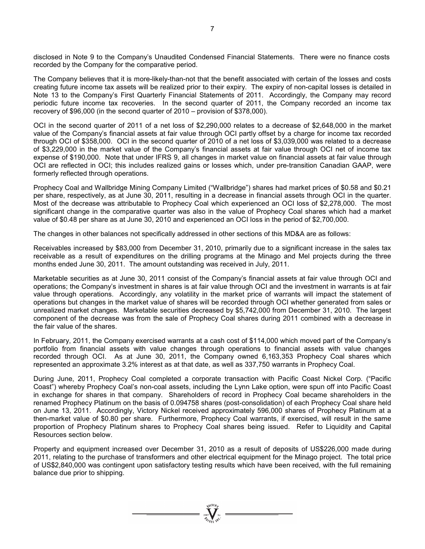disclosed in Note 9 to the Company's Unaudited Condensed Financial Statements. There were no finance costs recorded by the Company for the comparative period.

The Company believes that it is more-likely-than-not that the benefit associated with certain of the losses and costs creating future income tax assets will be realized prior to their expiry. The expiry of non-capital losses is detailed in Note 13 to the Company's First Quarterly Financial Statements of 2011. Accordingly, the Company may record periodic future income tax recoveries. In the second quarter of 2011, the Company recorded an income tax recovery of \$96,000 (in the second quarter of 2010 – provision of \$378,000).

OCI in the second quarter of 2011 of a net loss of \$2,290,000 relates to a decrease of \$2,648,000 in the market value of the Company's financial assets at fair value through OCI partly offset by a charge for income tax recorded through OCI of \$358,000. OCI in the second quarter of 2010 of a net loss of \$3,039,000 was related to a decrease of \$3,229,000 in the market value of the Company's financial assets at fair value through OCI net of income tax expense of \$190,000. Note that under IFRS 9, all changes in market value on financial assets at fair value through OCI are reflected in OCI; this includes realized gains or losses which, under pre-transition Canadian GAAP, were formerly reflected through operations.

Prophecy Coal and Wallbridge Mining Company Limited ("Wallbridge") shares had market prices of \$0.58 and \$0.21 per share, respectively, as at June 30, 2011, resulting in a decrease in financial assets through OCI in the quarter. Most of the decrease was attributable to Prophecy Coal which experienced an OCI loss of \$2,278,000. The most significant change in the comparative quarter was also in the value of Prophecy Coal shares which had a market value of \$0.48 per share as at June 30, 2010 and experienced an OCI loss in the period of \$2,700,000.

The changes in other balances not specifically addressed in other sections of this MD&A are as follows:

Receivables increased by \$83,000 from December 31, 2010, primarily due to a significant increase in the sales tax receivable as a result of expenditures on the drilling programs at the Minago and Mel projects during the three months ended June 30, 2011. The amount outstanding was received in July, 2011.

Marketable securities as at June 30, 2011 consist of the Company's financial assets at fair value through OCI and operations; the Company's investment in shares is at fair value through OCI and the investment in warrants is at fair value through operations. Accordingly, any volatility in the market price of warrants will impact the statement of operations but changes in the market value of shares will be recorded through OCI whether generated from sales or unrealized market changes. Marketable securities decreased by \$5,742,000 from December 31, 2010. The largest component of the decrease was from the sale of Prophecy Coal shares during 2011 combined with a decrease in the fair value of the shares.

In February, 2011, the Company exercised warrants at a cash cost of \$114,000 which moved part of the Company's portfolio from financial assets with value changes through operations to financial assets with value changes recorded through OCI. As at June 30, 2011, the Company owned 6,163,353 Prophecy Coal shares which represented an approximate 3.2% interest as at that date, as well as 337,750 warrants in Prophecy Coal.

During June, 2011, Prophecy Coal completed a corporate transaction with Pacific Coast Nickel Corp. ("Pacific Coast") whereby Prophecy Coal's non-coal assets, including the Lynn Lake option, were spun off into Pacific Coast in exchange for shares in that company. Shareholders of record in Prophecy Coal became shareholders in the renamed Prophecy Platinum on the basis of 0.094758 shares (post-consolidation) of each Prophecy Coal share held on June 13, 2011. Accordingly, Victory Nickel received approximately 596,000 shares of Prophecy Platinum at a then-market value of \$0.80 per share. Furthermore, Prophecy Coal warrants, if exercised, will result in the same proportion of Prophecy Platinum shares to Prophecy Coal shares being issued. Refer to Liquidity and Capital Resources section below.

Property and equipment increased over December 31, 2010 as a result of deposits of US\$226,000 made during 2011, relating to the purchase of transformers and other electrical equipment for the Minago project. The total price of US\$2,840,000 was contingent upon satisfactory testing results which have been received, with the full remaining balance due prior to shipping.

 $\sum_{n=1}^{\text{NIGI}(\mathcal{O}_F)}$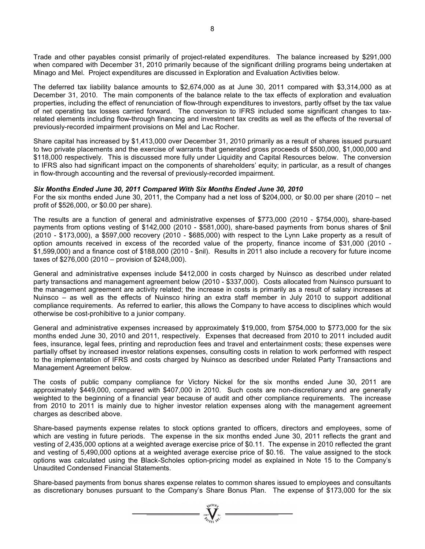Trade and other payables consist primarily of project-related expenditures. The balance increased by \$291,000 when compared with December 31, 2010 primarily because of the significant drilling programs being undertaken at Minago and Mel. Project expenditures are discussed in Exploration and Evaluation Activities below.

The deferred tax liability balance amounts to \$2,674,000 as at June 30, 2011 compared with \$3,314,000 as at December 31, 2010. The main components of the balance relate to the tax effects of exploration and evaluation properties, including the effect of renunciation of flow-through expenditures to investors, partly offset by the tax value of net operating tax losses carried forward. The conversion to IFRS included some significant changes to taxrelated elements including flow-through financing and investment tax credits as well as the effects of the reversal of previously-recorded impairment provisions on Mel and Lac Rocher.

Share capital has increased by \$1,413,000 over December 31, 2010 primarily as a result of shares issued pursuant to two private placements and the exercise of warrants that generated gross proceeds of \$500,000, \$1,000,000 and \$118,000 respectively. This is discussed more fully under Liquidity and Capital Resources below. The conversion to IFRS also had significant impact on the components of shareholders' equity; in particular, as a result of changes in flow-through accounting and the reversal of previously-recorded impairment.

#### *Six Months Ended June 30, 2011 Compared With Six Months Ended June 30, 2010*

For the six months ended June 30, 2011, the Company had a net loss of \$204,000, or \$0.00 per share (2010 – net profit of \$526,000, or \$0.00 per share).

The results are a function of general and administrative expenses of \$773,000 (2010 - \$754,000), share-based payments from options vesting of \$142,000 (2010 - \$581,000), share-based payments from bonus shares of \$nil (2010 - \$173,000), a \$597,000 recovery (2010 - \$685,000) with respect to the Lynn Lake property as a result of option amounts received in excess of the recorded value of the property, finance income of \$31,000 (2010 - \$1,599,000) and a finance cost of \$188,000 (2010 - \$nil). Results in 2011 also include a recovery for future income taxes of \$276,000 (2010 – provision of \$248,000).

General and administrative expenses include \$412,000 in costs charged by Nuinsco as described under related party transactions and management agreement below (2010 - \$337,000). Costs allocated from Nuinsco pursuant to the management agreement are activity related; the increase in costs is primarily as a result of salary increases at Nuinsco – as well as the effects of Nuinsco hiring an extra staff member in July 2010 to support additional compliance requirements. As referred to earlier, this allows the Company to have access to disciplines which would otherwise be cost-prohibitive to a junior company.

General and administrative expenses increased by approximately \$19,000, from \$754,000 to \$773,000 for the six months ended June 30, 2010 and 2011, respectively. Expenses that decreased from 2010 to 2011 included audit fees, insurance, legal fees, printing and reproduction fees and travel and entertainment costs; these expenses were partially offset by increased investor relations expenses, consulting costs in relation to work performed with respect to the implementation of IFRS and costs charged by Nuinsco as described under Related Party Transactions and Management Agreement below.

The costs of public company compliance for Victory Nickel for the six months ended June 30, 2011 are approximately \$449,000, compared with \$407,000 in 2010. Such costs are non-discretionary and are generally weighted to the beginning of a financial year because of audit and other compliance requirements. The increase from 2010 to 2011 is mainly due to higher investor relation expenses along with the management agreement charges as described above.

Share-based payments expense relates to stock options granted to officers, directors and employees, some of which are vesting in future periods. The expense in the six months ended June 30, 2011 reflects the grant and vesting of 2,435,000 options at a weighted average exercise price of \$0.11. The expense in 2010 reflected the grant and vesting of 5,490,000 options at a weighted average exercise price of \$0.16. The value assigned to the stock options was calculated using the Black-Scholes option-pricing model as explained in Note 15 to the Company's Unaudited Condensed Financial Statements.

Share-based payments from bonus shares expense relates to common shares issued to employees and consultants as discretionary bonuses pursuant to the Company's Share Bonus Plan. The expense of \$173,000 for the six

 $\sum_{2007}$   $\sum_{\gamma_i=0}^{N^{(10)}h_i}$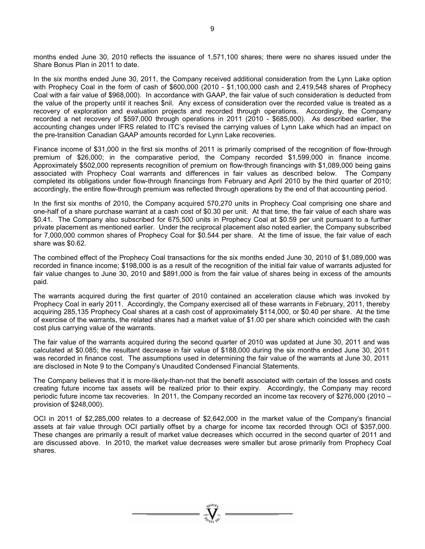months ended June 30, 2010 reflects the issuance of 1,571,100 shares; there were no shares issued under the Share Bonus Plan in 2011 to date.

In the six months ended June 30, 2011, the Company received additional consideration from the Lynn Lake option with Prophecy Coal in the form of cash of \$600,000 (2010 - \$1,100,000 cash and 2,419,548 shares of Prophecy Coal with a fair value of \$968,000). In accordance with GAAP, the fair value of such consideration is deducted from the value of the property until it reaches \$nil. Any excess of consideration over the recorded value is treated as a recovery of exploration and evaluation projects and recorded through operations. Accordingly, the Company recorded a net recovery of \$597,000 through operations in 2011 (2010 - \$685,000). As described earlier, the accounting changes under IFRS related to ITC's revised the carrying values of Lynn Lake which had an impact on the pre-transition Canadian GAAP amounts recorded for Lynn Lake recoveries.

Finance income of \$31,000 in the first six months of 2011 is primarily comprised of the recognition of flow-through premium of \$26,000; in the comparative period, the Company recorded \$1,599,000 in finance income. Approximately \$502,000 represents recognition of premium on flow-through financings with \$1,089,000 being gains associated with Prophecy Coal warrants and differences in fair values as described below. The Company completed its obligations under flow-through financings from February and April 2010 by the third quarter of 2010; accordingly, the entire flow-through premium was reflected through operations by the end of that accounting period.

In the first six months of 2010, the Company acquired 570,270 units in Prophecy Coal comprising one share and one-half of a share purchase warrant at a cash cost of \$0.30 per unit. At that time, the fair value of each share was \$0.41. The Company also subscribed for 675,500 units in Prophecy Coal at \$0.59 per unit pursuant to a further private placement as mentioned earlier. Under the reciprocal placement also noted earlier, the Company subscribed for 7,000,000 common shares of Prophecy Coal for \$0.544 per share. At the time of issue, the fair value of each share was \$0.62.

The combined effect of the Prophecy Coal transactions for the six months ended June 30, 2010 of \$1,089,000 was recorded in finance income; \$198,000 is as a result of the recognition of the initial fair value of warrants adjusted for fair value changes to June 30, 2010 and \$891,000 is from the fair value of shares being in excess of the amounts paid.

The warrants acquired during the first quarter of 2010 contained an acceleration clause which was invoked by Prophecy Coal in early 2011. Accordingly, the Company exercised all of these warrants in February, 2011, thereby acquiring 285,135 Prophecy Coal shares at a cash cost of approximately \$114,000, or \$0.40 per share. At the time of exercise of the warrants, the related shares had a market value of \$1.00 per share which coincided with the cash cost plus carrying value of the warrants.

The fair value of the warrants acquired during the second quarter of 2010 was updated at June 30, 2011 and was calculated at \$0.085; the resultant decrease in fair value of \$188,000 during the six months ended June 30, 2011 was recorded in finance cost. The assumptions used in determining the fair value of the warrants at June 30, 2011 are disclosed in Note 9 to the Company's Unaudited Condensed Financial Statements.

The Company believes that it is more-likely-than-not that the benefit associated with certain of the losses and costs creating future income tax assets will be realized prior to their expiry. Accordingly, the Company may record periodic future income tax recoveries. In 2011, the Company recorded an income tax recovery of \$276,000 (2010 – provision of \$248,000).

OCI in 2011 of \$2,285,000 relates to a decrease of \$2,642,000 in the market value of the Company's financial assets at fair value through OCI partially offset by a charge for income tax recorded through OCI of \$357,000. These changes are primarily a result of market value decreases which occurred in the second quarter of 2011 and are discussed above. In 2010, the market value decreases were smaller but arose primarily from Prophecy Coal shares.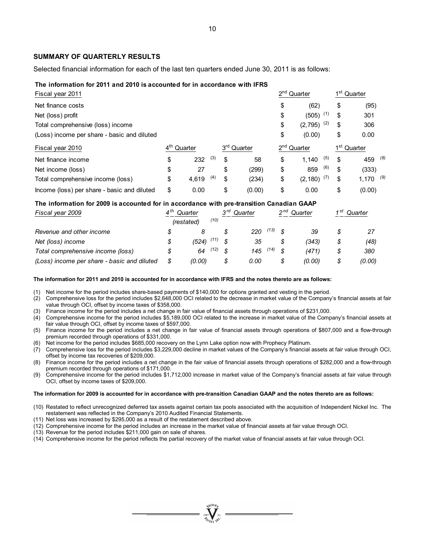#### **SUMMARY OF QUARTERLY RESULTS**

Selected financial information for each of the last ten quarters ended June 30, 2011 is as follows:

#### **The information for 2011 and 2010 is accounted for in accordance with IFRS**

| Fiscal year 2011                            |                 |         |     |                         | 2 <sup>nd</sup> Quarter | 1 <sup>st</sup> Quarter |
|---------------------------------------------|-----------------|---------|-----|-------------------------|-------------------------|-------------------------|
| Net finance costs                           |                 |         |     |                         | \$<br>(62)              | \$<br>(95)              |
| Net (loss) profit                           |                 |         |     |                         | \$<br>(505)<br>(1)      | \$<br>301               |
| Total comprehensive (loss) income           |                 |         |     |                         | \$<br>(2)<br>(2,795)    | \$<br>306               |
| (Loss) income per share - basic and diluted |                 |         |     |                         | \$<br>(0.00)            | \$<br>0.00              |
| Fiscal year 2010                            | $4^{\text{th}}$ | Quarter |     | 3 <sup>rd</sup> Quarter | 2 <sup>nd</sup> Quarter | 1 <sup>st</sup> Quarter |
| Net finance income                          | \$              | 232     | (3) | \$<br>58                | \$<br>(5)<br>1.140      | \$<br>459 (8)           |
| Net income (loss)                           | \$              | 27      |     | \$<br>(299)             | \$<br>(6)<br>859        | \$<br>(333)             |
| Total comprehensive income (loss)           | \$              | 4.619   | (4) | \$<br>(234)             | \$<br>(7)<br>(2,180)    | \$<br>$1,170$ (9)       |
| Income (loss) per share - basic and diluted | \$              | 0.00    |     | \$<br>(0.00)            | \$<br>0.00              | \$<br>(0.00)            |

#### **The information for 2009 is accounted for in accordance with pre-transition Canadian GAAP**

| Fiscal year 2009                            | 4 th<br>Quarter<br>(restated) |        |      |  |      |      | ეrd<br>(10) |        | Quarter |        | n nd<br>Quarter |  | 4 St | Quarter |  |
|---------------------------------------------|-------------------------------|--------|------|--|------|------|-------------|--------|---------|--------|-----------------|--|------|---------|--|
| Revenue and other income                    |                               |        |      |  | 220  | (13) |             | 39     | S       |        |                 |  |      |         |  |
| Net (loss) income                           | \$                            | (524)  | (11) |  | 35   |      |             | (343)  | \$      | (48)   |                 |  |      |         |  |
| Total comprehensive income (loss)           | \$                            | 64     | (12) |  | 145  | (14) | - \$        | (471)  | \$      | 380    |                 |  |      |         |  |
| (Loss) income per share - basic and diluted | \$                            | (0.00) |      |  | 0.00 |      |             | (0.00) | \$      | (0.00) |                 |  |      |         |  |

#### **The information for 2011 and 2010 is accounted for in accordance with IFRS and the notes thereto are as follows:**

(1) Net income for the period includes share-based payments of \$140,000 for options granted and vesting in the period.

(2) Comprehensive loss for the period includes \$2,648,000 OCI related to the decrease in market value of the Company's financial assets at fair value through OCI, offset by income taxes of \$358,000.

(3) Finance income for the period includes a net change in fair value of financial assets through operations of \$231,000.

(4) Comprehensive income for the period includes \$5,189,000 OCI related to the increase in market value of the Company's financial assets at fair value through OCI, offset by income taxes of \$597,000.

(5) Finance income for the period includes a net change in fair value of financial assets through operations of \$807,000 and a flow-through premium recorded through operations of \$331,000.

(6) Net income for the period includes \$685,000 recovery on the Lynn Lake option now with Prophecy Platinum.

(7) Comprehensive loss for the period includes \$3,229,000 decline in market values of the Company's financial assets at fair value through OCI, offset by income tax recoveries of \$209,000.

(8) Finance income for the period includes a net change in the fair value of financial assets through operations of \$282,000 and a flow-through premium recorded through operations of \$171,000.

(9) Comprehensive income for the period includes \$1,712,000 increase in market value of the Company's financial assets at fair value through OCI, offset by income taxes of \$209,000.

#### **The information for 2009 is accounted for in accordance with pre-transition Canadian GAAP and the notes thereto are as follows:**

- (10) Restated to reflect unrecognized deferred tax assets against certain tax pools associated with the acquisition of Independent Nickel Inc. The restatement was reflected in the Company's 2010 Audited Financial Statements.
- (11) Net loss was increased by \$295,000 as a result of the restatement described above.
- (12) Comprehensive income for the period includes an increase in the market value of financial assets at fair value through OCI.
- (13) Revenue for the period includes \$211,000 gain on sale of shares.
- (14) Comprehensive income for the period reflects the partial recovery of the market value of financial assets at fair value through OCI.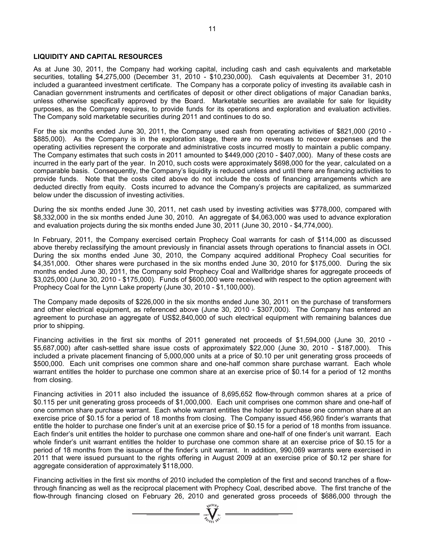### **LIQUIDITY AND CAPITAL RESOURCES**

As at June 30, 2011, the Company had working capital, including cash and cash equivalents and marketable securities, totalling \$4,275,000 (December 31, 2010 - \$10,230,000). Cash equivalents at December 31, 2010 included a guaranteed investment certificate. The Company has a corporate policy of investing its available cash in Canadian government instruments and certificates of deposit or other direct obligations of major Canadian banks, unless otherwise specifically approved by the Board. Marketable securities are available for sale for liquidity purposes, as the Company requires, to provide funds for its operations and exploration and evaluation activities. The Company sold marketable securities during 2011 and continues to do so.

For the six months ended June 30, 2011, the Company used cash from operating activities of \$821,000 (2010 - \$885,000). As the Company is in the exploration stage, there are no revenues to recover expenses and the operating activities represent the corporate and administrative costs incurred mostly to maintain a public company. The Company estimates that such costs in 2011 amounted to \$449,000 (2010 - \$407,000). Many of these costs are incurred in the early part of the year. In 2010, such costs were approximately \$698,000 for the year, calculated on a comparable basis. Consequently, the Company's liquidity is reduced unless and until there are financing activities to provide funds. Note that the costs cited above do not include the costs of financing arrangements which are deducted directly from equity. Costs incurred to advance the Company's projects are capitalized, as summarized below under the discussion of investing activities.

During the six months ended June 30, 2011, net cash used by investing activities was \$778,000, compared with \$8,332,000 in the six months ended June 30, 2010. An aggregate of \$4,063,000 was used to advance exploration and evaluation projects during the six months ended June 30, 2011 (June 30, 2010 - \$4,774,000).

In February, 2011, the Company exercised certain Prophecy Coal warrants for cash of \$114,000 as discussed above thereby reclassifying the amount previously in financial assets through operations to financial assets in OCI. During the six months ended June 30, 2010, the Company acquired additional Prophecy Coal securities for \$4,351,000. Other shares were purchased in the six months ended June 30, 2010 for \$175,000. During the six months ended June 30, 2011, the Company sold Prophecy Coal and Wallbridge shares for aggregate proceeds of \$3,025,000 (June 30, 2010 - \$175,000). Funds of \$600,000 were received with respect to the option agreement with Prophecy Coal for the Lynn Lake property (June 30, 2010 - \$1,100,000).

The Company made deposits of \$226,000 in the six months ended June 30, 2011 on the purchase of transformers and other electrical equipment, as referenced above (June 30, 2010 - \$307,000). The Company has entered an agreement to purchase an aggregate of US\$2,840,000 of such electrical equipment with remaining balances due prior to shipping.

Financing activities in the first six months of 2011 generated net proceeds of \$1,594,000 (June 30, 2010 - \$5,687,000) after cash-settled share issue costs of approximately \$22,000 (June 30, 2010 - \$187,000). This included a private placement financing of 5,000,000 units at a price of \$0.10 per unit generating gross proceeds of \$500,000. Each unit comprises one common share and one-half common share purchase warrant. Each whole warrant entitles the holder to purchase one common share at an exercise price of \$0.14 for a period of 12 months from closing.

Financing activities in 2011 also included the issuance of 8,695,652 flow-through common shares at a price of \$0.115 per unit generating gross proceeds of \$1,000,000. Each unit comprises one common share and one-half of one common share purchase warrant. Each whole warrant entitles the holder to purchase one common share at an exercise price of \$0.15 for a period of 18 months from closing. The Company issued 456,960 finder's warrants that entitle the holder to purchase one finder's unit at an exercise price of \$0.15 for a period of 18 months from issuance. Each finder's unit entitles the holder to purchase one common share and one-half of one finder's unit warrant. Each whole finder's unit warrant entitles the holder to purchase one common share at an exercise price of \$0.15 for a period of 18 months from the issuance of the finder's unit warrant. In addition, 990,069 warrants were exercised in 2011 that were issued pursuant to the rights offering in August 2009 at an exercise price of \$0.12 per share for aggregate consideration of approximately \$118,000.

Financing activities in the first six months of 2010 included the completion of the first and second tranches of a flowthrough financing as well as the reciprocal placement with Prophecy Coal, described above. The first tranche of the flow-through financing closed on February 26, 2010 and generated gross proceeds of \$686,000 through the

 $\sum_{2007}$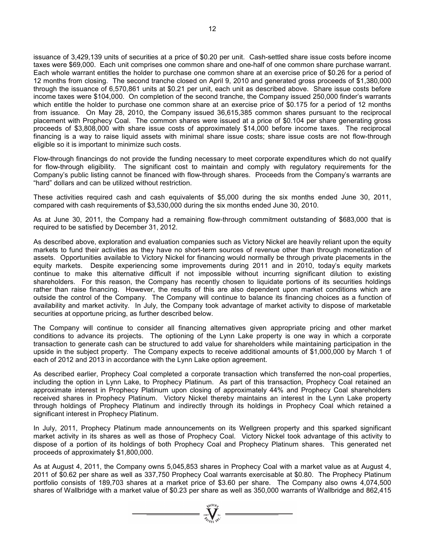issuance of 3,429,139 units of securities at a price of \$0.20 per unit. Cash-settled share issue costs before income taxes were \$69,000. Each unit comprises one common share and one-half of one common share purchase warrant. Each whole warrant entitles the holder to purchase one common share at an exercise price of \$0.26 for a period of 12 months from closing. The second tranche closed on April 9, 2010 and generated gross proceeds of \$1,380,000 through the issuance of 6,570,861 units at \$0.21 per unit, each unit as described above. Share issue costs before income taxes were \$104,000. On completion of the second tranche, the Company issued 250,000 finder's warrants which entitle the holder to purchase one common share at an exercise price of \$0.175 for a period of 12 months from issuance. On May 28, 2010, the Company issued 36,615,385 common shares pursuant to the reciprocal placement with Prophecy Coal. The common shares were issued at a price of \$0.104 per share generating gross proceeds of \$3,808,000 with share issue costs of approximately \$14,000 before income taxes. The reciprocal financing is a way to raise liquid assets with minimal share issue costs; share issue costs are not flow-through eligible so it is important to minimize such costs.

Flow-through financings do not provide the funding necessary to meet corporate expenditures which do not qualify for flow-through eligibility. The significant cost to maintain and comply with regulatory requirements for the Company's public listing cannot be financed with flow-through shares. Proceeds from the Company's warrants are "hard" dollars and can be utilized without restriction.

These activities required cash and cash equivalents of \$5,000 during the six months ended June 30, 2011, compared with cash requirements of \$3,530,000 during the six months ended June 30, 2010.

As at June 30, 2011, the Company had a remaining flow-through commitment outstanding of \$683,000 that is required to be satisfied by December 31, 2012.

As described above, exploration and evaluation companies such as Victory Nickel are heavily reliant upon the equity markets to fund their activities as they have no short-term sources of revenue other than through monetization of assets. Opportunities available to Victory Nickel for financing would normally be through private placements in the equity markets. Despite experiencing some improvements during 2011 and in 2010, today's equity markets continue to make this alternative difficult if not impossible without incurring significant dilution to existing shareholders. For this reason, the Company has recently chosen to liquidate portions of its securities holdings rather than raise financing. However, the results of this are also dependent upon market conditions which are outside the control of the Company. The Company will continue to balance its financing choices as a function of availability and market activity. In July, the Company took advantage of market activity to dispose of marketable securities at opportune pricing, as further described below.

The Company will continue to consider all financing alternatives given appropriate pricing and other market conditions to advance its projects. The optioning of the Lynn Lake property is one way in which a corporate transaction to generate cash can be structured to add value for shareholders while maintaining participation in the upside in the subject property. The Company expects to receive additional amounts of \$1,000,000 by March 1 of each of 2012 and 2013 in accordance with the Lynn Lake option agreement.

As described earlier, Prophecy Coal completed a corporate transaction which transferred the non-coal properties, including the option in Lynn Lake, to Prophecy Platinum. As part of this transaction, Prophecy Coal retained an approximate interest in Prophecy Platinum upon closing of approximately 44% and Prophecy Coal shareholders received shares in Prophecy Platinum. Victory Nickel thereby maintains an interest in the Lynn Lake property through holdings of Prophecy Platinum and indirectly through its holdings in Prophecy Coal which retained a significant interest in Prophecy Platinum.

In July, 2011, Prophecy Platinum made announcements on its Wellgreen property and this sparked significant market activity in its shares as well as those of Prophecy Coal. Victory Nickel took advantage of this activity to dispose of a portion of its holdings of both Prophecy Coal and Prophecy Platinum shares. This generated net proceeds of approximately \$1,800,000.

As at August 4, 2011, the Company owns 5,045,853 shares in Prophecy Coal with a market value as at August 4, 2011 of \$0.62 per share as well as 337,750 Prophecy Coal warrants exercisable at \$0.80. The Prophecy Platinum portfolio consists of 189,703 shares at a market price of \$3.60 per share. The Company also owns 4,074,500 shares of Wallbridge with a market value of \$0.23 per share as well as 350,000 warrants of Wallbridge and 862,415

 $\sum_{2007}$   $\sum_{N}$   $\sum_{N}$   $=$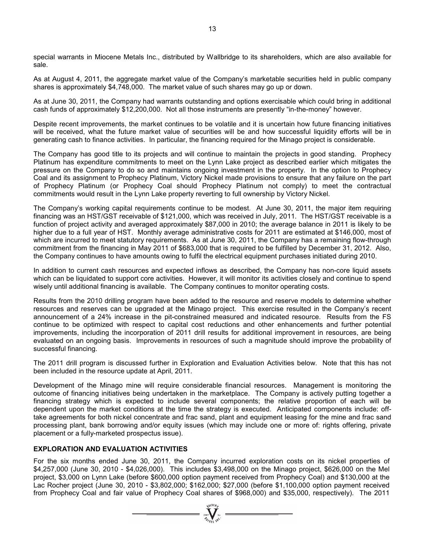special warrants in Miocene Metals Inc., distributed by Wallbridge to its shareholders, which are also available for sale.

As at August 4, 2011, the aggregate market value of the Company's marketable securities held in public company shares is approximately \$4,748,000. The market value of such shares may go up or down.

As at June 30, 2011, the Company had warrants outstanding and options exercisable which could bring in additional cash funds of approximately \$12,200,000. Not all those instruments are presently "in-the-money" however.

Despite recent improvements, the market continues to be volatile and it is uncertain how future financing initiatives will be received, what the future market value of securities will be and how successful liquidity efforts will be in generating cash to finance activities. In particular, the financing required for the Minago project is considerable.

The Company has good title to its projects and will continue to maintain the projects in good standing. Prophecy Platinum has expenditure commitments to meet on the Lynn Lake project as described earlier which mitigates the pressure on the Company to do so and maintains ongoing investment in the property. In the option to Prophecy Coal and its assignment to Prophecy Platinum, Victory Nickel made provisions to ensure that any failure on the part of Prophecy Platinum (or Prophecy Coal should Prophecy Platinum not comply) to meet the contractual commitments would result in the Lynn Lake property reverting to full ownership by Victory Nickel.

The Company's working capital requirements continue to be modest. At June 30, 2011, the major item requiring financing was an HST/GST receivable of \$121,000, which was received in July, 2011. The HST/GST receivable is a function of project activity and averaged approximately \$87,000 in 2010; the average balance in 2011 is likely to be higher due to a full year of HST. Monthly average administrative costs for 2011 are estimated at \$146,000, most of which are incurred to meet statutory requirements. As at June 30, 2011, the Company has a remaining flow-through commitment from the financing in May 2011 of \$683,000 that is required to be fulfilled by December 31, 2012. Also, the Company continues to have amounts owing to fulfil the electrical equipment purchases initiated during 2010.

In addition to current cash resources and expected inflows as described, the Company has non-core liquid assets which can be liquidated to support core activities. However, it will monitor its activities closely and continue to spend wisely until additional financing is available. The Company continues to monitor operating costs.

Results from the 2010 drilling program have been added to the resource and reserve models to determine whether resources and reserves can be upgraded at the Minago project. This exercise resulted in the Company's recent announcement of a 24% increase in the pit-constrained measured and indicated resource. Results from the FS continue to be optimized with respect to capital cost reductions and other enhancements and further potential improvements, including the incorporation of 2011 drill results for additional improvement in resources, are being evaluated on an ongoing basis. Improvements in resources of such a magnitude should improve the probability of successful financing.

The 2011 drill program is discussed further in Exploration and Evaluation Activities below. Note that this has not been included in the resource update at April, 2011.

Development of the Minago mine will require considerable financial resources. Management is monitoring the outcome of financing initiatives being undertaken in the marketplace. The Company is actively putting together a financing strategy which is expected to include several components; the relative proportion of each will be dependent upon the market conditions at the time the strategy is executed. Anticipated components include: offtake agreements for both nickel concentrate and frac sand, plant and equipment leasing for the mine and frac sand processing plant, bank borrowing and/or equity issues (which may include one or more of: rights offering, private placement or a fully-marketed prospectus issue).

### **EXPLORATION AND EVALUATION ACTIVITIES**

For the six months ended June 30, 2011, the Company incurred exploration costs on its nickel properties of \$4,257,000 (June 30, 2010 - \$4,026,000). This includes \$3,498,000 on the Minago project, \$626,000 on the Mel project, \$3,000 on Lynn Lake (before \$600,000 option payment received from Prophecy Coal) and \$130,000 at the Lac Rocher project (June 30, 2010 - \$3,802,000; \$162,000; \$27,000 (before \$1,100,000 option payment received from Prophecy Coal and fair value of Prophecy Coal shares of \$968,000) and \$35,000, respectively). The 2011

 $\sum_{2007}$   $\sum_{N}$   $\sum_{N}$   $=$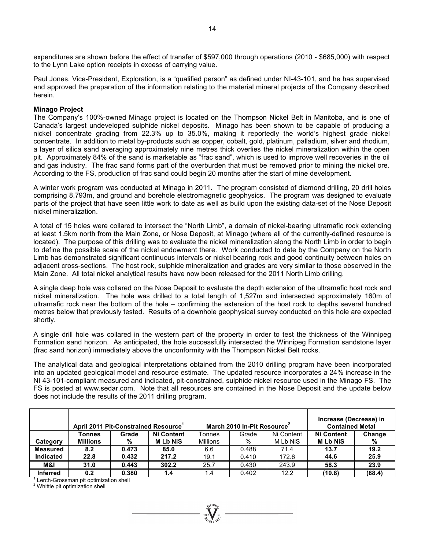expenditures are shown before the effect of transfer of \$597,000 through operations (2010 - \$685,000) with respect to the Lynn Lake option receipts in excess of carrying value.

Paul Jones, Vice-President, Exploration, is a "qualified person" as defined under NI-43-101, and he has supervised and approved the preparation of the information relating to the material mineral projects of the Company described herein.

### **Minago Project**

The Company's 100%-owned Minago project is located on the Thompson Nickel Belt in Manitoba, and is one of Canada's largest undeveloped sulphide nickel deposits. Minago has been shown to be capable of producing a nickel concentrate grading from 22.3% up to 35.0%, making it reportedly the world's highest grade nickel concentrate. In addition to metal by-products such as copper, cobalt, gold, platinum, palladium, silver and rhodium, a layer of silica sand averaging approximately nine metres thick overlies the nickel mineralization within the open pit. Approximately 84% of the sand is marketable as "frac sand", which is used to improve well recoveries in the oil and gas industry. The frac sand forms part of the overburden that must be removed prior to mining the nickel ore. According to the FS, production of frac sand could begin 20 months after the start of mine development.

A winter work program was conducted at Minago in 2011. The program consisted of diamond drilling, 20 drill holes comprising 8,793m, and ground and borehole electromagnetic geophysics. The program was designed to evaluate parts of the project that have seen little work to date as well as build upon the existing data-set of the Nose Deposit nickel mineralization.

A total of 15 holes were collared to intersect the "North Limb", a domain of nickel-bearing ultramafic rock extending at least 1.5km north from the Main Zone, or Nose Deposit, at Minago (where all of the currently-defined resource is located). The purpose of this drilling was to evaluate the nickel mineralization along the North Limb in order to begin to define the possible scale of the nickel endowment there. Work conducted to date by the Company on the North Limb has demonstrated significant continuous intervals or nickel bearing rock and good continuity between holes on adjacent cross-sections. The host rock, sulphide mineralization and grades are very similar to those observed in the Main Zone. All total nickel analytical results have now been released for the 2011 North Limb drilling.

A single deep hole was collared on the Nose Deposit to evaluate the depth extension of the ultramafic host rock and nickel mineralization. The hole was drilled to a total length of 1,527m and intersected approximately 160m of ultramafic rock near the bottom of the hole – confirming the extension of the host rock to depths several hundred metres below that previously tested. Results of a downhole geophysical survey conducted on this hole are expected shortly.

A single drill hole was collared in the western part of the property in order to test the thickness of the Winnipeg Formation sand horizon. As anticipated, the hole successfully intersected the Winnipeg Formation sandstone layer (frac sand horizon) immediately above the unconformity with the Thompson Nickel Belt rocks.

The analytical data and geological interpretations obtained from the 2010 drilling program have been incorporated into an updated geological model and resource estimate. The updated resource incorporates a 24% increase in the NI 43-101-compliant measured and indicated, pit-constrained, sulphide nickel resource used in the Minago FS. The FS is posted at www.sedar.com. Note that all resources are contained in the Nose Deposit and the update below does not include the results of the 2011 drilling program.

|                  | April 2011 Pit-Constrained Resource <sup>1</sup> |       |               | March 2010 In-Pit Resource <sup>2</sup> |       |            | Increase (Decrease) in<br><b>Contained Metal</b> |        |
|------------------|--------------------------------------------------|-------|---------------|-----------------------------------------|-------|------------|--------------------------------------------------|--------|
|                  | Tonnes                                           | Grade | Ni Content    | Tonnes                                  | Grade | Ni Content | <b>Ni Content</b>                                | Change |
| Category         | <b>Millions</b>                                  | %     | <b>MLbNiS</b> | <b>Millions</b>                         | %     | M Lb NiS   | <b>MLbNiS</b>                                    | %      |
| <b>Measured</b>  | 8.2                                              | 0.473 | 85.0          | 6.6                                     | 0.488 | 71.4       | 13.7                                             | 19.2   |
| <b>Indicated</b> | 22.8                                             | 0.432 | 217.2         | 19.1                                    | 0.410 | 172.6      | 44.6                                             | 25.9   |
| M&I              | 31.0                                             | 0.443 | 302.2         | 25.7                                    | 0.430 | 243.9      | 58.3                                             | 23.9   |
| <b>Inferred</b>  | 0.2                                              | 0.380 | 1.4           | 1.4                                     | 0.402 | 12.2       | (10.8)                                           | (88.4) |

1 Lerch-Grossman pit optimization shell

<sup>2</sup> Whittle pit optimization shell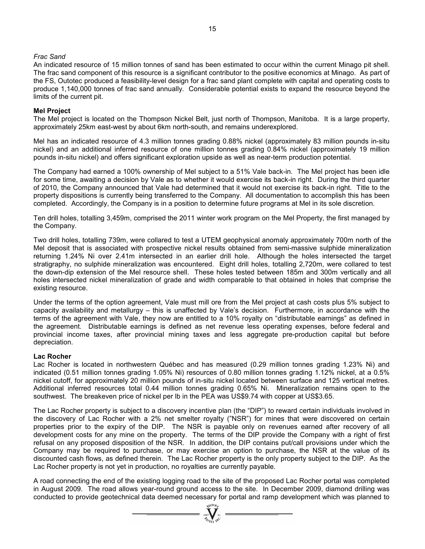### *Frac Sand*

An indicated resource of 15 million tonnes of sand has been estimated to occur within the current Minago pit shell. The frac sand component of this resource is a significant contributor to the positive economics at Minago. As part of the FS, Outotec produced a feasibility-level design for a frac sand plant complete with capital and operating costs to produce 1,140,000 tonnes of frac sand annually. Considerable potential exists to expand the resource beyond the limits of the current pit.

### **Mel Project**

The Mel project is located on the Thompson Nickel Belt, just north of Thompson, Manitoba. It is a large property, approximately 25km east-west by about 6km north-south, and remains underexplored.

Mel has an indicated resource of 4.3 million tonnes grading 0.88% nickel (approximately 83 million pounds in-situ nickel) and an additional inferred resource of one million tonnes grading 0.84% nickel (approximately 19 million pounds in-situ nickel) and offers significant exploration upside as well as near-term production potential.

The Company had earned a 100% ownership of Mel subject to a 51% Vale back-in. The Mel project has been idle for some time, awaiting a decision by Vale as to whether it would exercise its back-in right. During the third quarter of 2010, the Company announced that Vale had determined that it would not exercise its back-in right. Title to the property dispositions is currently being transferred to the Company. All documentation to accomplish this has been completed. Accordingly, the Company is in a position to determine future programs at Mel in its sole discretion.

Ten drill holes, totalling 3,459m, comprised the 2011 winter work program on the Mel Property, the first managed by the Company.

Two drill holes, totalling 739m, were collared to test a UTEM geophysical anomaly approximately 700m north of the Mel deposit that is associated with prospective nickel results obtained from semi-massive sulphide mineralization returning 1.24% Ni over 2.41m intersected in an earlier drill hole. Although the holes intersected the target stratigraphy, no sulphide mineralization was encountered. Eight drill holes, totalling 2,720m, were collared to test the down-dip extension of the Mel resource shell. These holes tested between 185m and 300m vertically and all holes intersected nickel mineralization of grade and width comparable to that obtained in holes that comprise the existing resource.

Under the terms of the option agreement, Vale must mill ore from the Mel project at cash costs plus 5% subject to capacity availability and metallurgy – this is unaffected by Vale's decision. Furthermore, in accordance with the terms of the agreement with Vale, they now are entitled to a 10% royalty on "distributable earnings" as defined in the agreement. Distributable earnings is defined as net revenue less operating expenses, before federal and provincial income taxes, after provincial mining taxes and less aggregate pre-production capital but before depreciation.

### **Lac Rocher**

Lac Rocher is located in northwestern Québec and has measured (0.29 million tonnes grading 1.23% Ni) and indicated (0.51 million tonnes grading 1.05% Ni) resources of 0.80 million tonnes grading 1.12% nickel, at a 0.5% nickel cutoff, for approximately 20 million pounds of in-situ nickel located between surface and 125 vertical metres. Additional inferred resources total 0.44 million tonnes grading 0.65% Ni. Mineralization remains open to the southwest. The breakeven price of nickel per lb in the PEA was US\$9.74 with copper at US\$3.65.

The Lac Rocher property is subject to a discovery incentive plan (the "DIP") to reward certain individuals involved in the discovery of Lac Rocher with a 2% net smelter royalty ("NSR") for mines that were discovered on certain properties prior to the expiry of the DIP. The NSR is payable only on revenues earned after recovery of all development costs for any mine on the property. The terms of the DIP provide the Company with a right of first refusal on any proposed disposition of the NSR. In addition, the DIP contains put/call provisions under which the Company may be required to purchase, or may exercise an option to purchase, the NSR at the value of its discounted cash flows, as defined therein. The Lac Rocher property is the only property subject to the DIP. As the Lac Rocher property is not yet in production, no royalties are currently payable.

A road connecting the end of the existing logging road to the site of the proposed Lac Rocher portal was completed in August 2009. The road allows year-round ground access to the site. In December 2009, diamond drilling was conducted to provide geotechnical data deemed necessary for portal and ramp development which was planned to

 $\sum_{2007}$  WCIOR<sub>E</sub>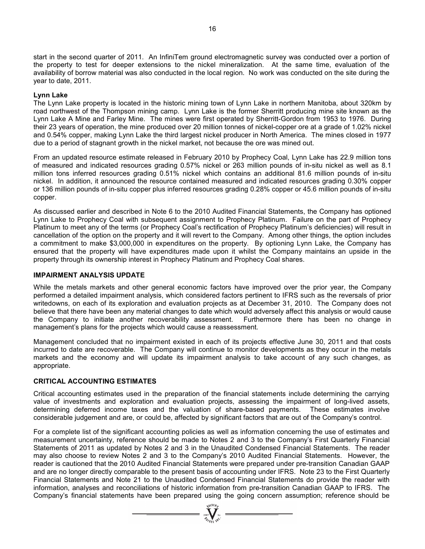start in the second quarter of 2011. An InfiniTem ground electromagnetic survey was conducted over a portion of the property to test for deeper extensions to the nickel mineralization. At the same time, evaluation of the availability of borrow material was also conducted in the local region. No work was conducted on the site during the year to date, 2011.

### **Lynn Lake**

The Lynn Lake property is located in the historic mining town of Lynn Lake in northern Manitoba, about 320km by road northwest of the Thompson mining camp. Lynn Lake is the former Sherritt producing mine site known as the Lynn Lake A Mine and Farley Mine. The mines were first operated by Sherritt-Gordon from 1953 to 1976. During their 23 years of operation, the mine produced over 20 million tonnes of nickel-copper ore at a grade of 1.02% nickel and 0.54% copper, making Lynn Lake the third largest nickel producer in North America. The mines closed in 1977 due to a period of stagnant growth in the nickel market, not because the ore was mined out.

From an updated resource estimate released in February 2010 by Prophecy Coal, Lynn Lake has 22.9 million tons of measured and indicated resources grading 0.57% nickel or 263 million pounds of in-situ nickel as well as 8.1 million tons inferred resources grading 0.51% nickel which contains an additional 81.6 million pounds of in-situ nickel. In addition, it announced the resource contained measured and indicated resources grading 0.30% copper or 136 million pounds of in-situ copper plus inferred resources grading 0.28% copper or 45.6 million pounds of in-situ copper.

As discussed earlier and described in Note 6 to the 2010 Audited Financial Statements, the Company has optioned Lynn Lake to Prophecy Coal with subsequent assignment to Prophecy Platinum. Failure on the part of Prophecy Platinum to meet any of the terms (or Prophecy Coal's rectification of Prophecy Platinum's deficiencies) will result in cancellation of the option on the property and it will revert to the Company. Among other things, the option includes a commitment to make \$3,000,000 in expenditures on the property. By optioning Lynn Lake, the Company has ensured that the property will have expenditures made upon it whilst the Company maintains an upside in the property through its ownership interest in Prophecy Platinum and Prophecy Coal shares.

### **IMPAIRMENT ANALYSIS UPDATE**

While the metals markets and other general economic factors have improved over the prior year, the Company performed a detailed impairment analysis, which considered factors pertinent to IFRS such as the reversals of prior writedowns, on each of its exploration and evaluation projects as at December 31, 2010. The Company does not believe that there have been any material changes to date which would adversely affect this analysis or would cause the Company to initiate another recoverability assessment. Furthermore there has been no change in management's plans for the projects which would cause a reassessment.

Management concluded that no impairment existed in each of its projects effective June 30, 2011 and that costs incurred to date are recoverable. The Company will continue to monitor developments as they occur in the metals markets and the economy and will update its impairment analysis to take account of any such changes, as appropriate.

### **CRITICAL ACCOUNTING ESTIMATES**

Critical accounting estimates used in the preparation of the financial statements include determining the carrying value of investments and exploration and evaluation projects, assessing the impairment of long-lived assets, determining deferred income taxes and the valuation of share-based payments. These estimates involve considerable judgement and are, or could be, affected by significant factors that are out of the Company's control.

For a complete list of the significant accounting policies as well as information concerning the use of estimates and measurement uncertainty, reference should be made to Notes 2 and 3 to the Company's First Quarterly Financial Statements of 2011 as updated by Notes 2 and 3 in the Unaudited Condensed Financial Statements. The reader may also choose to review Notes 2 and 3 to the Company's 2010 Audited Financial Statements. However, the reader is cautioned that the 2010 Audited Financial Statements were prepared under pre-transition Canadian GAAP and are no longer directly comparable to the present basis of accounting under IFRS. Note 23 to the First Quarterly Financial Statements and Note 21 to the Unaudited Condensed Financial Statements do provide the reader with information, analyses and reconciliations of historic information from pre-transition Canadian GAAP to IFRS. The Company's financial statements have been prepared using the going concern assumption; reference should be

 $\sum_{2007}$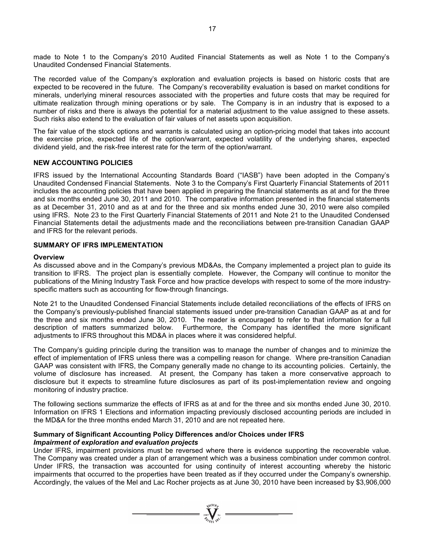made to Note 1 to the Company's 2010 Audited Financial Statements as well as Note 1 to the Company's Unaudited Condensed Financial Statements.

The recorded value of the Company's exploration and evaluation projects is based on historic costs that are expected to be recovered in the future. The Company's recoverability evaluation is based on market conditions for minerals, underlying mineral resources associated with the properties and future costs that may be required for ultimate realization through mining operations or by sale. The Company is in an industry that is exposed to a number of risks and there is always the potential for a material adjustment to the value assigned to these assets. Such risks also extend to the evaluation of fair values of net assets upon acquisition.

The fair value of the stock options and warrants is calculated using an option-pricing model that takes into account the exercise price, expected life of the option/warrant, expected volatility of the underlying shares, expected dividend yield, and the risk-free interest rate for the term of the option/warrant.

#### **NEW ACCOUNTING POLICIES**

IFRS issued by the International Accounting Standards Board ("IASB") have been adopted in the Company's Unaudited Condensed Financial Statements. Note 3 to the Company's First Quarterly Financial Statements of 2011 includes the accounting policies that have been applied in preparing the financial statements as at and for the three and six months ended June 30, 2011 and 2010. The comparative information presented in the financial statements as at December 31, 2010 and as at and for the three and six months ended June 30, 2010 were also compiled using IFRS. Note 23 to the First Quarterly Financial Statements of 2011 and Note 21 to the Unaudited Condensed Financial Statements detail the adjustments made and the reconciliations between pre-transition Canadian GAAP and IFRS for the relevant periods.

### **SUMMARY OF IFRS IMPLEMENTATION**

#### **Overview**

As discussed above and in the Company's previous MD&As, the Company implemented a project plan to guide its transition to IFRS. The project plan is essentially complete. However, the Company will continue to monitor the publications of the Mining Industry Task Force and how practice develops with respect to some of the more industryspecific matters such as accounting for flow-through financings.

Note 21 to the Unaudited Condensed Financial Statements include detailed reconciliations of the effects of IFRS on the Company's previously-published financial statements issued under pre-transition Canadian GAAP as at and for the three and six months ended June 30, 2010. The reader is encouraged to refer to that information for a full description of matters summarized below. Furthermore, the Company has identified the more significant adjustments to IFRS throughout this MD&A in places where it was considered helpful.

The Company's guiding principle during the transition was to manage the number of changes and to minimize the effect of implementation of IFRS unless there was a compelling reason for change. Where pre-transition Canadian GAAP was consistent with IFRS, the Company generally made no change to its accounting policies. Certainly, the volume of disclosure has increased. At present, the Company has taken a more conservative approach to disclosure but it expects to streamline future disclosures as part of its post-implementation review and ongoing monitoring of industry practice.

The following sections summarize the effects of IFRS as at and for the three and six months ended June 30, 2010. Information on IFRS 1 Elections and information impacting previously disclosed accounting periods are included in the MD&A for the three months ended March 31, 2010 and are not repeated here.

#### **Summary of Significant Accounting Policy Differences and/or Choices under IFRS**  *Impairment of exploration and evaluation projects*

Under IFRS, impairment provisions must be reversed where there is evidence supporting the recoverable value. The Company was created under a plan of arrangement which was a business combination under common control. Under IFRS, the transaction was accounted for using continuity of interest accounting whereby the historic impairments that occurred to the properties have been treated as if they occurred under the Company's ownership. Accordingly, the values of the Mel and Lac Rocher projects as at June 30, 2010 have been increased by \$3,906,000

 $\sum_{2007}$   $\sum_{\gamma_i \in \mathcal{N}}$   $\sum_{\gamma_i \in \mathcal{N}}$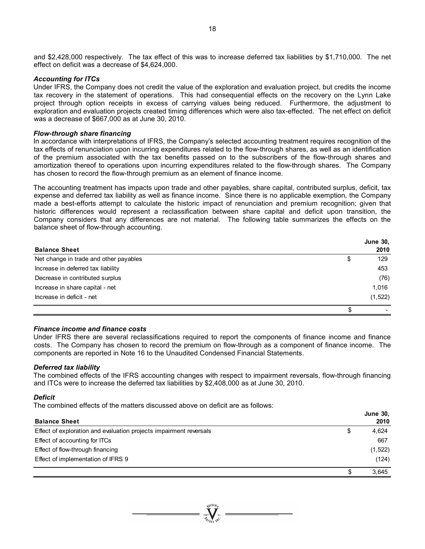and \$2,428,000 respectively. The tax effect of this was to increase deferred tax liabilities by \$1,710,000. The net effect on deficit was a decrease of \$4,624,000.

#### *Accounting for ITCs*

Under IFRS, the Company does not credit the value of the exploration and evaluation project, but credits the income tax recovery in the statement of operations. This had consequential effects on the recovery on the Lynn Lake project through option receipts in excess of carrying values being reduced. Furthermore, the adjustment to exploration and evaluation projects created timing differences which were also tax-effected. The net effect on deficit was a decrease of \$667,000 as at June 30, 2010.

#### *Flow-through share financing*

In accordance with interpretations of IFRS, the Company's selected accounting treatment requires recognition of the tax effects of renunciation upon incurring expenditures related to the flow-through shares, as well as an identification of the premium associated with the tax benefits passed on to the subscribers of the flow-through shares and amortization thereof to operations upon incurring expenditures related to the flow-through shares. The Company has chosen to record the flow-through premium as an element of finance income.

The accounting treatment has impacts upon trade and other payables, share capital, contributed surplus, deficit, tax expense and deferred tax liability as well as finance income. Since there is no applicable exemption, the Company made a best-efforts attempt to calculate the historic impact of renunciation and premium recognition; given that historic differences would represent a reclassification between share capital and deficit upon transition, the Company considers that any differences are not material. The following table summarizes the effects on the balance sheet of flow-through accounting.

|                                        | <b>June 30,</b> |
|----------------------------------------|-----------------|
| <b>Balance Sheet</b>                   | 2010            |
| Net change in trade and other payables | \$<br>129       |
| Increase in deferred tax liability     | 453             |
| Decrease in contributed surplus        | (76)            |
| Increase in share capital - net        | 1.016           |
| Increase in deficit - net              | (1, 522)        |
|                                        |                 |

#### *Finance income and finance costs*

Under IFRS there are several reclassifications required to report the components of finance income and finance costs. The Company has chosen to record the premium on flow-through as a component of finance income. The components are reported in Note 16 to the Unaudited Condensed Financial Statements.

### *Deferred tax liability*

The combined effects of the IFRS accounting changes with respect to impairment reversals, flow-through financing and ITCs were to increase the deferred tax liabilities by \$2,408,000 as at June 30, 2010.

### *Deficit*

The combined effects of the matters discussed above on deficit are as follows:

|                                                                    |   | <b>June 30,</b> |
|--------------------------------------------------------------------|---|-----------------|
| <b>Balance Sheet</b>                                               |   | 2010            |
| Effect of exploration and evaluation projects impairment reversals | S | 4,624           |
| Effect of accounting for ITCs                                      |   | 667             |
| Effect of flow-through financing                                   |   | (1,522)         |
| Effect of implementation of IFRS 9                                 |   | (124)           |
|                                                                    | S | 3.645           |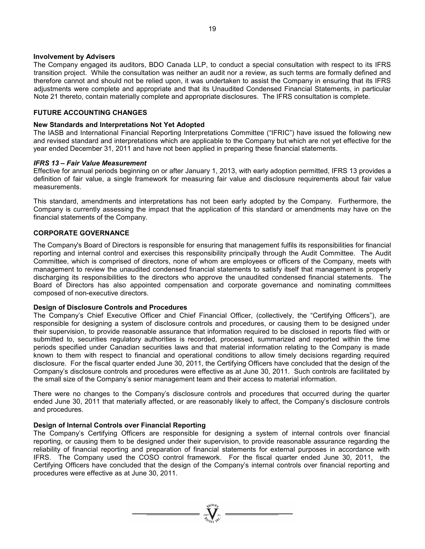#### **Involvement by Advisers**

The Company engaged its auditors, BDO Canada LLP, to conduct a special consultation with respect to its IFRS transition project. While the consultation was neither an audit nor a review, as such terms are formally defined and therefore cannot and should not be relied upon, it was undertaken to assist the Company in ensuring that its IFRS adjustments were complete and appropriate and that its Unaudited Condensed Financial Statements, in particular Note 21 thereto, contain materially complete and appropriate disclosures. The IFRS consultation is complete.

### **FUTURE ACCOUNTING CHANGES**

#### **New Standards and Interpretations Not Yet Adopted**

The IASB and International Financial Reporting Interpretations Committee ("IFRIC") have issued the following new and revised standard and interpretations which are applicable to the Company but which are not yet effective for the year ended December 31, 2011 and have not been applied in preparing these financial statements.

#### *IFRS 13 – Fair Value Measurement*

Effective for annual periods beginning on or after January 1, 2013, with early adoption permitted, IFRS 13 provides a definition of fair value, a single framework for measuring fair value and disclosure requirements about fair value measurements.

This standard, amendments and interpretations has not been early adopted by the Company. Furthermore, the Company is currently assessing the impact that the application of this standard or amendments may have on the financial statements of the Company.

### **CORPORATE GOVERNANCE**

The Company's Board of Directors is responsible for ensuring that management fulfils its responsibilities for financial reporting and internal control and exercises this responsibility principally through the Audit Committee. The Audit Committee, which is comprised of directors, none of whom are employees or officers of the Company, meets with management to review the unaudited condensed financial statements to satisfy itself that management is properly discharging its responsibilities to the directors who approve the unaudited condensed financial statements. The Board of Directors has also appointed compensation and corporate governance and nominating committees composed of non-executive directors.

#### **Design of Disclosure Controls and Procedures**

The Company's Chief Executive Officer and Chief Financial Officer, (collectively, the "Certifying Officers"), are responsible for designing a system of disclosure controls and procedures, or causing them to be designed under their supervision, to provide reasonable assurance that information required to be disclosed in reports filed with or submitted to, securities regulatory authorities is recorded, processed, summarized and reported within the time periods specified under Canadian securities laws and that material information relating to the Company is made known to them with respect to financial and operational conditions to allow timely decisions regarding required disclosure. For the fiscal quarter ended June 30, 2011, the Certifying Officers have concluded that the design of the Company's disclosure controls and procedures were effective as at June 30, 2011. Such controls are facilitated by the small size of the Company's senior management team and their access to material information.

There were no changes to the Company's disclosure controls and procedures that occurred during the quarter ended June 30, 2011 that materially affected, or are reasonably likely to affect, the Company's disclosure controls and procedures.

#### **Design of Internal Controls over Financial Reporting**

The Company's Certifying Officers are responsible for designing a system of internal controls over financial reporting, or causing them to be designed under their supervision, to provide reasonable assurance regarding the reliability of financial reporting and preparation of financial statements for external purposes in accordance with IFRS. The Company used the COSO control framework. For the fiscal quarter ended June 30, 2011, the Certifying Officers have concluded that the design of the Company's internal controls over financial reporting and procedures were effective as at June 30, 2011.

 $\sum_{2007}$  Wellon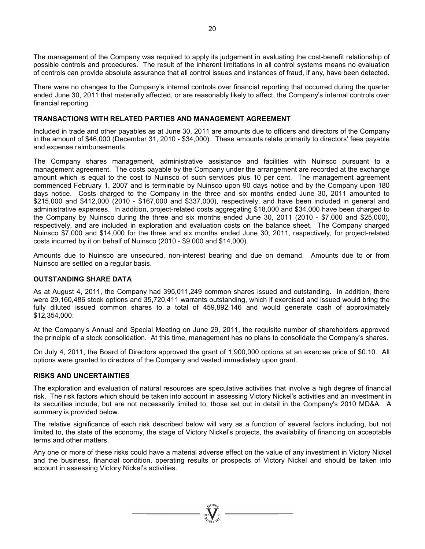The management of the Company was required to apply its judgement in evaluating the cost-benefit relationship of possible controls and procedures. The result of the inherent limitations in all control systems means no evaluation of controls can provide absolute assurance that all control issues and instances of fraud, if any, have been detected.

There were no changes to the Company's internal controls over financial reporting that occurred during the quarter ended June 30, 2011 that materially affected, or are reasonably likely to affect, the Company's internal controls over financial reporting.

### **TRANSACTIONS WITH RELATED PARTIES AND MANAGEMENT AGREEMENT**

Included in trade and other payables as at June 30, 2011 are amounts due to officers and directors of the Company in the amount of \$46,000 (December 31, 2010 - \$34,000). These amounts relate primarily to directors' fees payable and expense reimbursements.

The Company shares management, administrative assistance and facilities with Nuinsco pursuant to a management agreement. The costs payable by the Company under the arrangement are recorded at the exchange amount which is equal to the cost to Nuinsco of such services plus 10 per cent. The management agreement commenced February 1, 2007 and is terminable by Nuinsco upon 90 days notice and by the Company upon 180 days notice. Costs charged to the Company in the three and six months ended June 30, 2011 amounted to \$215,000 and \$412,000 (2010 - \$167,000 and \$337,000), respectively, and have been included in general and administrative expenses. In addition, project-related costs aggregating \$18,000 and \$34,000 have been charged to the Company by Nuinsco during the three and six months ended June 30, 2011 (2010 - \$7,000 and \$25,000), respectively, and are included in exploration and evaluation costs on the balance sheet. The Company charged Nuinsco \$7,000 and \$14,000 for the three and six months ended June 30, 2011, respectively, for project-related costs incurred by it on behalf of Nuinsco (2010 - \$9,000 and \$14,000).

Amounts due to Nuinsco are unsecured, non-interest bearing and due on demand. Amounts due to or from Nuinsco are settled on a regular basis.

### **OUTSTANDING SHARE DATA**

As at August 4, 2011, the Company had 395,011,249 common shares issued and outstanding. In addition, there were 29,160,486 stock options and 35,720,411 warrants outstanding, which if exercised and issued would bring the fully diluted issued common shares to a total of 459,892,146 and would generate cash of approximately \$12,354,000.

At the Company's Annual and Special Meeting on June 29, 2011, the requisite number of shareholders approved the principle of a stock consolidation. At this time, management has no plans to consolidate the Company's shares.

On July 4, 2011, the Board of Directors approved the grant of 1,900,000 options at an exercise price of \$0.10. All options were granted to directors of the Company and vested immediately upon grant.

### **RISKS AND UNCERTAINTIES**

The exploration and evaluation of natural resources are speculative activities that involve a high degree of financial risk. The risk factors which should be taken into account in assessing Victory Nickel's activities and an investment in its securities include, but are not necessarily limited to, those set out in detail in the Company's 2010 MD&A. A summary is provided below.

The relative significance of each risk described below will vary as a function of several factors including, but not limited to, the state of the economy, the stage of Victory Nickel's projects, the availability of financing on acceptable terms and other matters.

Any one or more of these risks could have a material adverse effect on the value of any investment in Victory Nickel and the business, financial condition, operating results or prospects of Victory Nickel and should be taken into account in assessing Victory Nickel's activities.

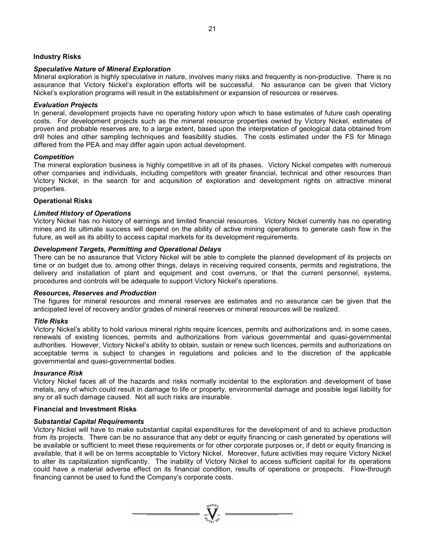### **Industry Risks**

### *Speculative Nature of Mineral Exploration*

Mineral exploration is highly speculative in nature, involves many risks and frequently is non-productive. There is no assurance that Victory Nickel's exploration efforts will be successful. No assurance can be given that Victory Nickel's exploration programs will result in the establishment or expansion of resources or reserves.

### *Evaluation Projects*

In general, development projects have no operating history upon which to base estimates of future cash operating costs. For development projects such as the mineral resource properties owned by Victory Nickel, estimates of proven and probable reserves are, to a large extent, based upon the interpretation of geological data obtained from drill holes and other sampling techniques and feasibility studies. The costs estimated under the FS for Minago differed from the PEA and may differ again upon actual development.

### *Competition*

The mineral exploration business is highly competitive in all of its phases. Victory Nickel competes with numerous other companies and individuals, including competitors with greater financial, technical and other resources than Victory Nickel, in the search for and acquisition of exploration and development rights on attractive mineral properties.

### **Operational Risks**

### *Limited History of Operations*

Victory Nickel has no history of earnings and limited financial resources. Victory Nickel currently has no operating mines and its ultimate success will depend on the ability of active mining operations to generate cash flow in the future, as well as its ability to access capital markets for its development requirements.

### *Development Targets, Permitting and Operational Delays*

There can be no assurance that Victory Nickel will be able to complete the planned development of its projects on time or on budget due to, among other things, delays in receiving required consents, permits and registrations, the delivery and installation of plant and equipment and cost overruns, or that the current personnel, systems, procedures and controls will be adequate to support Victory Nickel's operations.

### *Resources, Reserves and Production*

The figures for mineral resources and mineral reserves are estimates and no assurance can be given that the anticipated level of recovery and/or grades of mineral reserves or mineral resources will be realized.

### *Title Risks*

Victory Nickel's ability to hold various mineral rights require licences, permits and authorizations and, in some cases, renewals of existing licences, permits and authorizations from various governmental and quasi-governmental authorities. However, Victory Nickel's ability to obtain, sustain or renew such licences, permits and authorizations on acceptable terms is subject to changes in regulations and policies and to the discretion of the applicable governmental and quasi-governmental bodies.

### *Insurance Risk*

Victory Nickel faces all of the hazards and risks normally incidental to the exploration and development of base metals, any of which could result in damage to life or property, environmental damage and possible legal liability for any or all such damage caused. Not all such risks are insurable.

### **Financial and Investment Risks**

### *Substantial Capital Requirements*

Victory Nickel will have to make substantial capital expenditures for the development of and to achieve production from its projects. There can be no assurance that any debt or equity financing or cash generated by operations will be available or sufficient to meet these requirements or for other corporate purposes or, if debt or equity financing is available, that it will be on terms acceptable to Victory Nickel. Moreover, future activities may require Victory Nickel to alter its capitalization significantly. The inability of Victory Nickel to access sufficient capital for its operations could have a material adverse effect on its financial condition, results of operations or prospects. Flow-through financing cannot be used to fund the Company's corporate costs.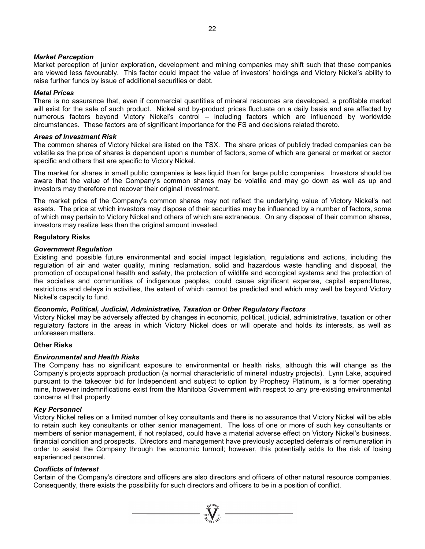### *Market Perception*

Market perception of junior exploration, development and mining companies may shift such that these companies are viewed less favourably. This factor could impact the value of investors' holdings and Victory Nickel's ability to raise further funds by issue of additional securities or debt.

### *Metal Prices*

There is no assurance that, even if commercial quantities of mineral resources are developed, a profitable market will exist for the sale of such product. Nickel and by-product prices fluctuate on a daily basis and are affected by numerous factors beyond Victory Nickel's control – including factors which are influenced by worldwide circumstances. These factors are of significant importance for the FS and decisions related thereto.

#### *Areas of Investment Risk*

The common shares of Victory Nickel are listed on the TSX. The share prices of publicly traded companies can be volatile as the price of shares is dependent upon a number of factors, some of which are general or market or sector specific and others that are specific to Victory Nickel.

The market for shares in small public companies is less liquid than for large public companies. Investors should be aware that the value of the Company's common shares may be volatile and may go down as well as up and investors may therefore not recover their original investment.

The market price of the Company's common shares may not reflect the underlying value of Victory Nickel's net assets. The price at which investors may dispose of their securities may be influenced by a number of factors, some of which may pertain to Victory Nickel and others of which are extraneous. On any disposal of their common shares, investors may realize less than the original amount invested.

### **Regulatory Risks**

#### *Government Regulation*

Existing and possible future environmental and social impact legislation, regulations and actions, including the regulation of air and water quality, mining reclamation, solid and hazardous waste handling and disposal, the promotion of occupational health and safety, the protection of wildlife and ecological systems and the protection of the societies and communities of indigenous peoples, could cause significant expense, capital expenditures, restrictions and delays in activities, the extent of which cannot be predicted and which may well be beyond Victory Nickel's capacity to fund.

### *Economic, Political, Judicial, Administrative, Taxation or Other Regulatory Factors*

Victory Nickel may be adversely affected by changes in economic, political, judicial, administrative, taxation or other regulatory factors in the areas in which Victory Nickel does or will operate and holds its interests, as well as unforeseen matters.

#### **Other Risks**

### *Environmental and Health Risks*

The Company has no significant exposure to environmental or health risks, although this will change as the Company's projects approach production (a normal characteristic of mineral industry projects). Lynn Lake, acquired pursuant to the takeover bid for Independent and subject to option by Prophecy Platinum, is a former operating mine, however indemnifications exist from the Manitoba Government with respect to any pre-existing environmental concerns at that property.

#### *Key Personnel*

Victory Nickel relies on a limited number of key consultants and there is no assurance that Victory Nickel will be able to retain such key consultants or other senior management. The loss of one or more of such key consultants or members of senior management, if not replaced, could have a material adverse effect on Victory Nickel's business, financial condition and prospects. Directors and management have previously accepted deferrals of remuneration in order to assist the Company through the economic turmoil; however, this potentially adds to the risk of losing experienced personnel.

#### *Conflicts of Interest*

Certain of the Company's directors and officers are also directors and officers of other natural resource companies. Consequently, there exists the possibility for such directors and officers to be in a position of conflict.

 $\sum_{2007}$   $\sum_{\gamma_i \in \mathcal{N}}$   $\sum_{\gamma_i \in \mathcal{N}}$